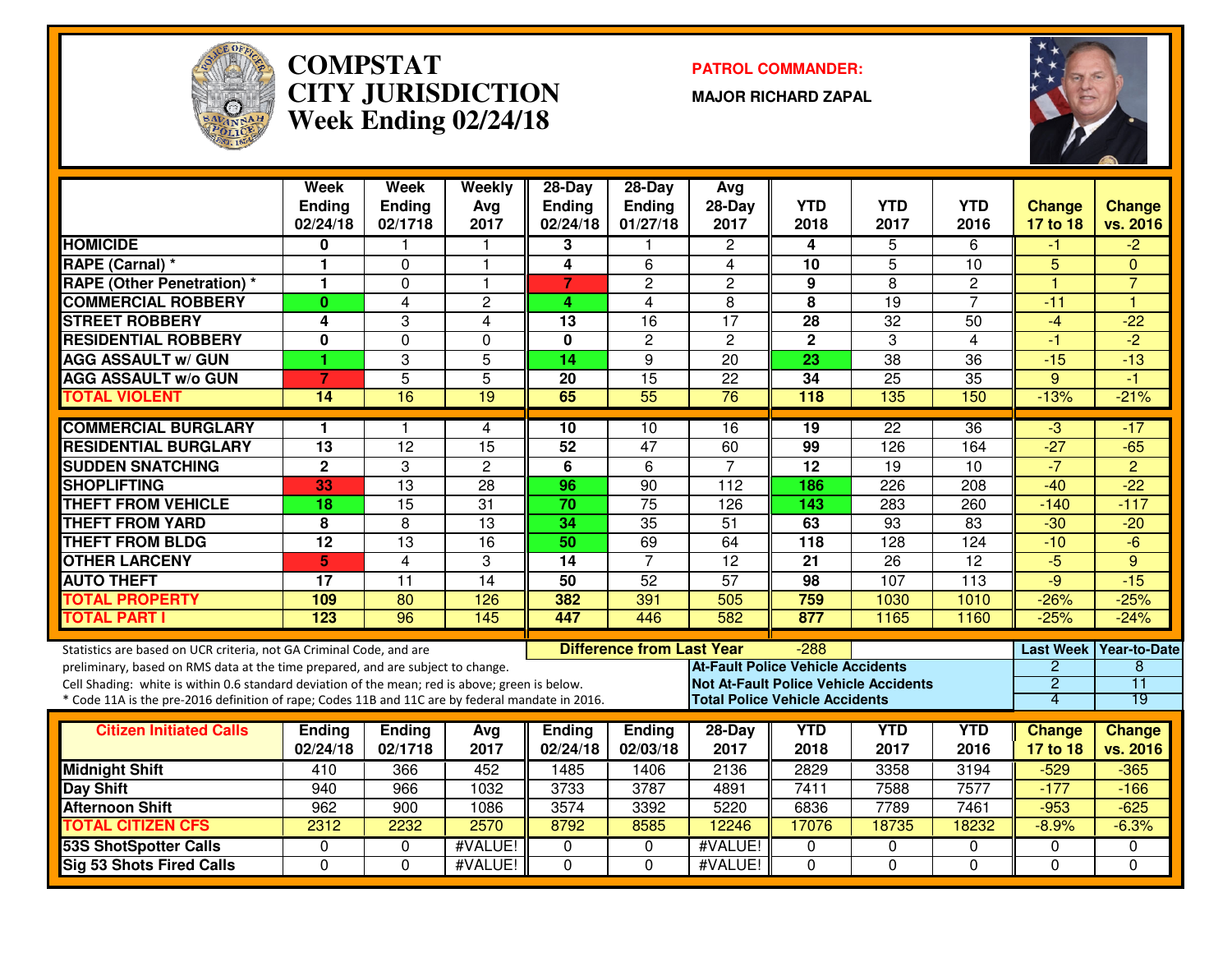

#### **COMPSTAT PATROL COMMANDER: CITY JURISDICTIONWeek Ending 02/24/18**

**MAJOR RICHARD ZAPAL**



|                                                                                                  | Week<br><b>Ending</b><br>02/24/18 | Week<br><b>Ending</b><br>02/1718 | Weekly<br>Avg<br>2017 | $28 - Day$<br><b>Ending</b><br>02/24/18 | $28-Day$<br><b>Ending</b><br>01/27/18 | Avg<br>$28-Day$<br>2017                  | <b>YTD</b><br>2018      | <b>YTD</b><br>2017                           | <b>YTD</b><br>2016 | <b>Change</b><br>17 to 18 | <b>Change</b><br>vs. 2016 |
|--------------------------------------------------------------------------------------------------|-----------------------------------|----------------------------------|-----------------------|-----------------------------------------|---------------------------------------|------------------------------------------|-------------------------|----------------------------------------------|--------------------|---------------------------|---------------------------|
| <b>HOMICIDE</b>                                                                                  | 0                                 | $\mathbf 1$                      |                       | 3                                       |                                       | $\mathbf{2}$                             | 4                       | 5                                            | 6                  | -1                        | $-2$                      |
| RAPE (Carnal) *                                                                                  | $\mathbf 1$                       | 0                                | $\overline{1}$        | 4                                       | 6                                     | $\overline{4}$                           | 10                      | $\overline{5}$                               | $\overline{10}$    | $\overline{5}$            | $\Omega$                  |
| <b>RAPE (Other Penetration) *</b>                                                                | 1                                 | $\mathbf 0$                      | $\overline{1}$        | $\overline{7}$                          | $\overline{2}$                        | $\overline{2}$                           | 9                       | $\overline{8}$                               | $\overline{2}$     | $\overline{1}$            | $\overline{7}$            |
| <b>COMMERCIAL ROBBERY</b>                                                                        | $\mathbf{0}$                      | 4                                | $\overline{2}$        | 4                                       | 4                                     | $\overline{8}$                           | $\overline{\mathbf{8}}$ | 19                                           | $\overline{7}$     | $-11$                     | $\overline{1}$            |
| <b>STREET ROBBERY</b>                                                                            | 4                                 | 3                                | $\overline{4}$        | $\overline{13}$                         | $\overline{16}$                       | 17                                       | 28                      | 32                                           | $\overline{50}$    | $-4$                      | $-22$                     |
| <b>RESIDENTIAL ROBBERY</b>                                                                       | $\mathbf 0$                       | $\overline{0}$                   | $\Omega$              | $\mathbf{0}$                            | $\overline{2}$                        | $\overline{2}$                           | $\overline{2}$          | 3                                            | $\overline{4}$     | $-1$                      | $-2$                      |
| <b>AGG ASSAULT w/ GUN</b>                                                                        | 1                                 | 3                                | $\overline{5}$        | $\overline{14}$                         | $\overline{9}$                        | $\overline{20}$                          | 23                      | $\overline{38}$                              | 36                 | $-15$                     | $-13$                     |
| <b>AGG ASSAULT W/o GUN</b>                                                                       | $\overline{7}$                    | 5                                | 5                     | $\overline{20}$                         | $\overline{15}$                       | $\overline{22}$                          | $\overline{34}$         | $\overline{25}$                              | $\overline{35}$    | 9                         | $-1$                      |
| <b>TOTAL VIOLENT</b>                                                                             | 14                                | 16                               | 19                    | 65                                      | 55                                    | 76                                       | 118                     | 135                                          | 150                | $-13%$                    | $-21%$                    |
| <b>COMMERCIAL BURGLARY</b>                                                                       | 1                                 | 1                                | 4                     | 10                                      | 10                                    | 16                                       | 19                      | 22                                           | 36                 | -3                        | $-17$                     |
| <b>RESIDENTIAL BURGLARY</b>                                                                      | $\overline{13}$                   | $\overline{12}$                  | 15                    | $\overline{52}$                         | $\overline{47}$                       | 60                                       | 99                      | 126                                          | 164                | $-27$                     | $-65$                     |
| <b>SUDDEN SNATCHING</b>                                                                          | $\mathbf{2}$                      | 3                                | $\mathbf{2}$          | 6                                       | 6                                     | $\overline{7}$                           | 12                      | 19                                           | 10                 | $-7$                      | $\overline{2}$            |
| <b>SHOPLIFTING</b>                                                                               | 33                                | $\overline{13}$                  | $\overline{28}$       | 96                                      | $\overline{90}$                       | $\overline{112}$                         | 186                     | $\overline{226}$                             | $\overline{208}$   | $-40$                     | $-22$                     |
| <b>THEFT FROM VEHICLE</b>                                                                        | 18                                | 15                               | 31                    | 70                                      | $\overline{75}$                       | 126                                      | 143                     | 283                                          | 260                | $-140$                    | $-117$                    |
| <b>THEFT FROM YARD</b>                                                                           | 8                                 | 8                                | $\overline{13}$       | 34                                      | $\overline{35}$                       | $\overline{51}$                          | 63                      | 93                                           | 83                 | $-30$                     | $-20$                     |
| <b>THEFT FROM BLDG</b>                                                                           | 12                                | 13                               | 16                    | 50                                      | 69                                    | 64                                       | 118                     | 128                                          | 124                | $-10$                     | $-6$                      |
| <b>OTHER LARCENY</b>                                                                             | 5                                 | 4                                | 3                     | 14                                      | $\overline{7}$                        | 12                                       | 21                      | 26                                           | 12                 | $-5$                      | 9                         |
| <b>AUTO THEFT</b>                                                                                | 17                                | $\overline{11}$                  | $\overline{14}$       | $\overline{50}$                         | $\overline{52}$                       | 57                                       | 98                      | 107                                          | 113                | $-9$                      | $-15$                     |
| <b>TOTAL PROPERTY</b>                                                                            | 109                               | $\overline{80}$                  | 126                   | 382                                     | 391                                   | 505                                      | 759                     | 1030                                         | 1010               | $-26%$                    | $-25%$                    |
| <b>TOTAL PART I</b>                                                                              | 123                               | 96                               | 145                   | 447                                     | 446                                   | 582                                      | 877                     | 1165                                         | 1160               | $-25%$                    | $-24%$                    |
| Statistics are based on UCR criteria, not GA Criminal Code, and are                              |                                   |                                  |                       |                                         | <b>Difference from Last Year</b>      |                                          | $-288$                  |                                              |                    | <b>Last Week</b>          | <b>Year-to-Date</b>       |
| preliminary, based on RMS data at the time prepared, and are subject to change.                  |                                   |                                  |                       |                                         |                                       | <b>At-Fault Police Vehicle Accidents</b> |                         |                                              |                    | 2                         | 8                         |
| Cell Shading: white is within 0.6 standard deviation of the mean; red is above; green is below.  |                                   |                                  |                       |                                         |                                       |                                          |                         | <b>Not At-Fault Police Vehicle Accidents</b> |                    | $\overline{2}$            | $\overline{11}$           |
| * Code 11A is the pre-2016 definition of rape; Codes 11B and 11C are by federal mandate in 2016. |                                   |                                  |                       |                                         |                                       | <b>Total Police Vehicle Accidents</b>    |                         |                                              |                    | 4                         | 19                        |
| <b>Citizen Initiated Calls</b>                                                                   | Ending                            |                                  |                       |                                         |                                       |                                          | <b>YTD</b>              | <b>YTD</b>                                   | <b>YTD</b>         |                           |                           |
|                                                                                                  | 02/24/18                          | Ending<br>02/1718                | Avg<br>2017           | Ending<br>02/24/18                      | Ending<br>02/03/18                    | 28-Day<br>2017                           | 2018                    | 2017                                         | 2016               | <b>Change</b><br>17 to 18 | <b>Change</b><br>vs. 2016 |
| <b>Midnight Shift</b>                                                                            | 410                               | 366                              | 452                   | 1485                                    | 1406                                  | 2136                                     | 2829                    | 3358                                         | 3194               | $-529$                    | $-365$                    |
| Day Shift                                                                                        | 940                               | 966                              | 1032                  | 3733                                    | 3787                                  | 4891                                     | 7411                    | 7588                                         | 7577               | $-177$                    | $-166$                    |
| <b>Afternoon Shift</b>                                                                           | 962                               | 900                              | 1086                  | 3574                                    | 3392                                  | 5220                                     | 6836                    | 7789                                         | 7461               | $-953$                    | $-625$                    |
| <b>TOTAL CITIZEN CFS</b>                                                                         | 2312                              | 2232                             | 2570                  | 8792                                    | 8585                                  | 12246                                    | 17076                   | 18735                                        | 18232              | $-8.9%$                   | $-6.3%$                   |
| <b>53S ShotSpotter Calls</b>                                                                     | $\Omega$                          | 0                                | #VALUE!               | 0                                       | 0                                     | #VALUE!                                  | $\mathbf 0$             | $\Omega$                                     | $\Omega$           | $\Omega$                  | $\Omega$                  |
| <b>Sig 53 Shots Fired Calls</b>                                                                  | $\Omega$                          | $\Omega$                         | #VALUE!               | 0                                       | $\Omega$                              | #VALUE!                                  | $\mathbf 0$             | $\Omega$                                     | $\Omega$           | $\Omega$                  | $\Omega$                  |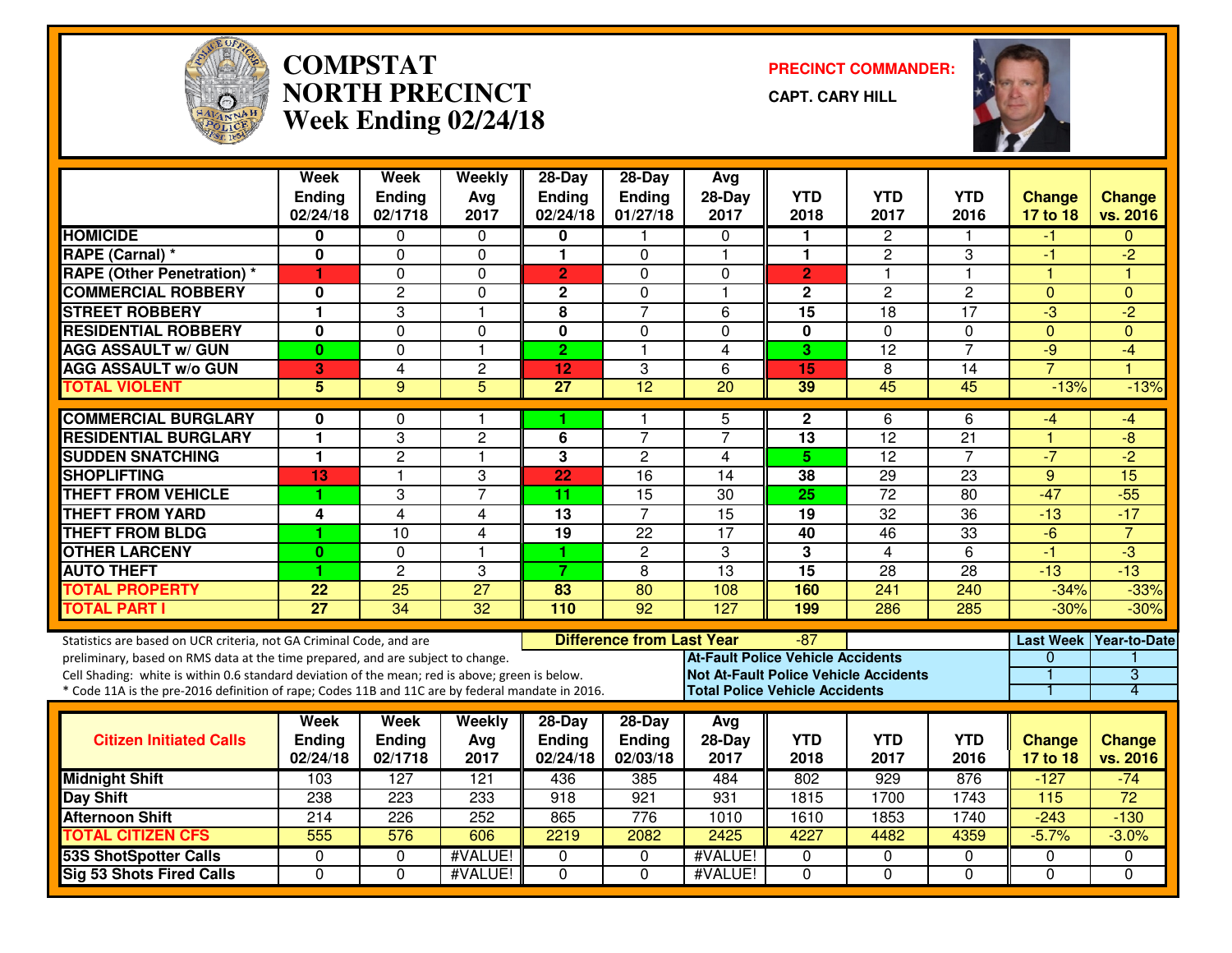

#### **COMPSTAT PRECINCT COMMANDER: NORTH PRECINCTWeek Ending 02/24/18**

**CAPT. CARY HILL**



|                                                                                                                                                                                                                                                                                                                                                               | <b>Week</b><br><b>Ending</b><br>02/24/18 | Week<br><b>Ending</b><br>02/1718 | Weekly<br>Avg<br>2017 | $28-Dav$<br><b>Ending</b><br>02/24/18 | $28-Day$<br><b>Ending</b><br>01/27/18 | Avg<br>$28-Day$<br>2017                  | <b>YTD</b><br>2018                           | <b>YTD</b><br>2017                           | <b>YTD</b><br>2016 | <b>Change</b><br>17 to 18 | <b>Change</b><br>vs. 2016          |
|---------------------------------------------------------------------------------------------------------------------------------------------------------------------------------------------------------------------------------------------------------------------------------------------------------------------------------------------------------------|------------------------------------------|----------------------------------|-----------------------|---------------------------------------|---------------------------------------|------------------------------------------|----------------------------------------------|----------------------------------------------|--------------------|---------------------------|------------------------------------|
| <b>HOMICIDE</b>                                                                                                                                                                                                                                                                                                                                               | 0                                        | 0                                | $\mathbf 0$           | 0                                     | $\mathbf{1}$                          | $\mathbf 0$                              | 1                                            | $\overline{c}$                               | 1                  | -1                        | $\Omega$                           |
| RAPE (Carnal) *                                                                                                                                                                                                                                                                                                                                               | $\bf{0}$                                 | $\mathbf 0$                      | $\mathbf 0$           | 1                                     | $\Omega$                              |                                          | 1                                            | $\overline{2}$                               | 3                  | $-1$                      | $\overline{-2}$                    |
| <b>RAPE (Other Penetration) *</b>                                                                                                                                                                                                                                                                                                                             | 1                                        | $\Omega$                         | $\Omega$              | $\overline{2}$                        | $\Omega$                              | $\Omega$                                 | $\overline{2}$                               | $\mathbf{1}$                                 | $\mathbf{1}$       | $\overline{1}$            | $\overline{1}$                     |
| <b>COMMERCIAL ROBBERY</b>                                                                                                                                                                                                                                                                                                                                     | $\bf{0}$                                 | 2                                | $\Omega$              | $\overline{2}$                        | $\Omega$                              | $\mathbf{1}$                             | $\mathbf{2}$                                 | $\overline{c}$                               | $\overline{c}$     | $\mathbf{0}$              | $\Omega$                           |
| <b>STREET ROBBERY</b>                                                                                                                                                                                                                                                                                                                                         | $\mathbf{1}$                             | 3                                | $\mathbf{1}$          | 8                                     | $\overline{7}$                        | 6                                        | $\overline{15}$                              | $\overline{18}$                              | 17                 | -3                        | $\overline{2}$                     |
| <b>RESIDENTIAL ROBBERY</b>                                                                                                                                                                                                                                                                                                                                    | 0                                        | $\Omega$                         | 0                     | 0                                     | $\Omega$                              | $\Omega$                                 | 0                                            | $\Omega$                                     | 0                  | $\Omega$                  | $\Omega$                           |
| <b>AGG ASSAULT w/ GUN</b>                                                                                                                                                                                                                                                                                                                                     | $\bf{0}$                                 | 0                                | $\overline{1}$        | $\overline{2}$                        | $\overline{\phantom{a}}$              | $\overline{4}$                           | 3                                            | $\overline{12}$                              | 7                  | -9                        | $-4$                               |
| <b>AGG ASSAULT w/o GUN</b>                                                                                                                                                                                                                                                                                                                                    | 3                                        | $\overline{4}$                   | $\overline{c}$        | 12                                    | 3                                     | 6                                        | 15                                           | 8                                            | 14                 | $\overline{7}$            | H                                  |
| <b>TOTAL VIOLENT</b>                                                                                                                                                                                                                                                                                                                                          | 5                                        | 9                                | 5                     | $\overline{27}$                       | $\overline{12}$                       | 20                                       | 39                                           | 45                                           | 45                 | $-13%$                    | $-13%$                             |
| <b>COMMERCIAL BURGLARY</b>                                                                                                                                                                                                                                                                                                                                    | $\bf{0}$                                 | $\Omega$                         | 1                     |                                       | 1                                     | 5                                        | $\mathbf{2}$                                 | 6                                            | 6                  | $-4$                      | -4                                 |
| <b>RESIDENTIAL BURGLARY</b>                                                                                                                                                                                                                                                                                                                                   | $\mathbf{1}$                             | 3                                | $\overline{c}$        | 6                                     | 7                                     | $\overline{7}$                           | $\overline{13}$                              | 12                                           | 21                 | $\overline{1}$            | $-8$                               |
| <b>SUDDEN SNATCHING</b>                                                                                                                                                                                                                                                                                                                                       | $\mathbf{1}$                             | $\overline{2}$                   | $\overline{1}$        | 3                                     | 2                                     | 4                                        | 5 <sup>5</sup>                               | $\overline{12}$                              | 7                  | $-7$                      | $\overline{-2}$                    |
| <b>SHOPLIFTING</b>                                                                                                                                                                                                                                                                                                                                            | 13                                       | $\mathbf{1}$                     | 3                     | $\overline{22}$                       | 16                                    | 14                                       | 38                                           | 29                                           | 23                 | 9                         | $\overline{15}$                    |
| <b>THEFT FROM VEHICLE</b>                                                                                                                                                                                                                                                                                                                                     | 1                                        | 3                                | $\overline{7}$        | 11                                    | 15                                    | $\overline{30}$                          | $\overline{25}$                              | $\overline{72}$                              | 80                 | $-47$                     | $-55$                              |
| <b>THEFT FROM YARD</b>                                                                                                                                                                                                                                                                                                                                        | 4                                        | $\overline{4}$                   | 4                     | $\overline{13}$                       | $\overline{7}$                        | 15                                       | 19                                           | $\overline{32}$                              | $\overline{36}$    | $-13$                     | $-17$                              |
| <b>THEFT FROM BLDG</b>                                                                                                                                                                                                                                                                                                                                        | 1                                        | 10                               | 4                     | 19                                    | 22                                    | 17                                       | 40                                           | 46                                           | 33                 | $-6$                      | $\overline{7}$                     |
| <b>OTHER LARCENY</b>                                                                                                                                                                                                                                                                                                                                          | $\bf{0}$                                 | $\Omega$                         | 1                     |                                       | $\overline{c}$                        | 3                                        | $\overline{3}$                               | $\overline{4}$                               | 6                  | $-1$                      | ل-<br>و-                           |
| <b>AUTO THEFT</b>                                                                                                                                                                                                                                                                                                                                             | 1                                        | $\overline{2}$                   | 3                     | 7                                     | $\overline{8}$                        | $\overline{13}$                          | $\overline{15}$                              | $\overline{28}$                              | $\overline{28}$    | $-13$                     | $-13$                              |
| <b>TOTAL PROPERTY</b>                                                                                                                                                                                                                                                                                                                                         | $\overline{22}$                          | $\overline{25}$                  | $\overline{27}$       | 83                                    | 80                                    | 108                                      | 160                                          | 241                                          | 240                | $-34%$                    | $-33%$                             |
| <b>TOTAL PART I</b>                                                                                                                                                                                                                                                                                                                                           | $\overline{27}$                          | 34                               | 32                    | 110                                   | 92                                    | 127                                      | 199                                          | 286                                          | 285                | $-30%$                    | $-30%$                             |
| Statistics are based on UCR criteria, not GA Criminal Code, and are<br>preliminary, based on RMS data at the time prepared, and are subject to change.<br>Cell Shading: white is within 0.6 standard deviation of the mean; red is above; green is below.<br>* Code 11A is the pre-2016 definition of rape; Codes 11B and 11C are by federal mandate in 2016. |                                          |                                  |                       |                                       | <b>Difference from Last Year</b>      | <b>At-Fault Police Vehicle Accidents</b> | -87<br><b>Total Police Vehicle Accidents</b> | <b>Not At-Fault Police Vehicle Accidents</b> |                    | $\mathbf{0}$              | Last Week   Year-to-Date<br>3<br>4 |
| <b>Citizen Initiated Calls</b>                                                                                                                                                                                                                                                                                                                                | Week<br><b>Ending</b><br>02/24/18        | Week<br><b>Ending</b><br>02/1718 | Weekly<br>Avg<br>2017 | 28-Day<br>Ending<br>02/24/18          | 28-Day<br>Ending<br>02/03/18          | Avg<br>$28-Day$<br>2017                  | <b>YTD</b><br>2018                           | <b>YTD</b><br>2017                           | <b>YTD</b><br>2016 | <b>Change</b><br>17 to 18 | <b>Change</b><br>vs. 2016          |
| <b>Midnight Shift</b>                                                                                                                                                                                                                                                                                                                                         | 103                                      | 127                              | 121                   | 436                                   | 385                                   | 484                                      | 802                                          | 929                                          | 876                | $-127$                    | $-74$                              |
| <b>Day Shift</b>                                                                                                                                                                                                                                                                                                                                              | 238                                      | $\overline{223}$                 | 233                   | 918                                   | 921                                   | 931                                      | 1815                                         | 1700                                         | 1743               | 115                       | $\overline{72}$                    |
| <b>Afternoon Shift</b>                                                                                                                                                                                                                                                                                                                                        | 214                                      | 226                              | 252                   | 865                                   | 776                                   | 1010                                     | 1610                                         | 1853                                         | 1740               | $-243$                    | $-130$                             |
| <b>TOTAL CITIZEN CFS</b>                                                                                                                                                                                                                                                                                                                                      | 555                                      | 576                              | 606                   | 2219                                  | 2082                                  | 2425                                     | 4227                                         | 4482                                         | 4359               | $-5.7%$                   | $-3.0%$                            |
| <b>53S ShotSpotter Calls</b>                                                                                                                                                                                                                                                                                                                                  | $\Omega$                                 | 0                                | #VALUE!               | $\Omega$                              | $\Omega$                              | #VALUE!                                  | $\Omega$                                     | $\Omega$                                     | 0                  | $\Omega$                  | $\Omega$                           |
| <b>Sig 53 Shots Fired Calls</b>                                                                                                                                                                                                                                                                                                                               | $\mathbf 0$                              | $\mathbf 0$                      | #VALUE!               | $\mathbf 0$                           | 0                                     | #VALUE!                                  | $\mathbf{0}$                                 | $\mathbf 0$                                  | 0                  | $\mathbf 0$               | $\Omega$                           |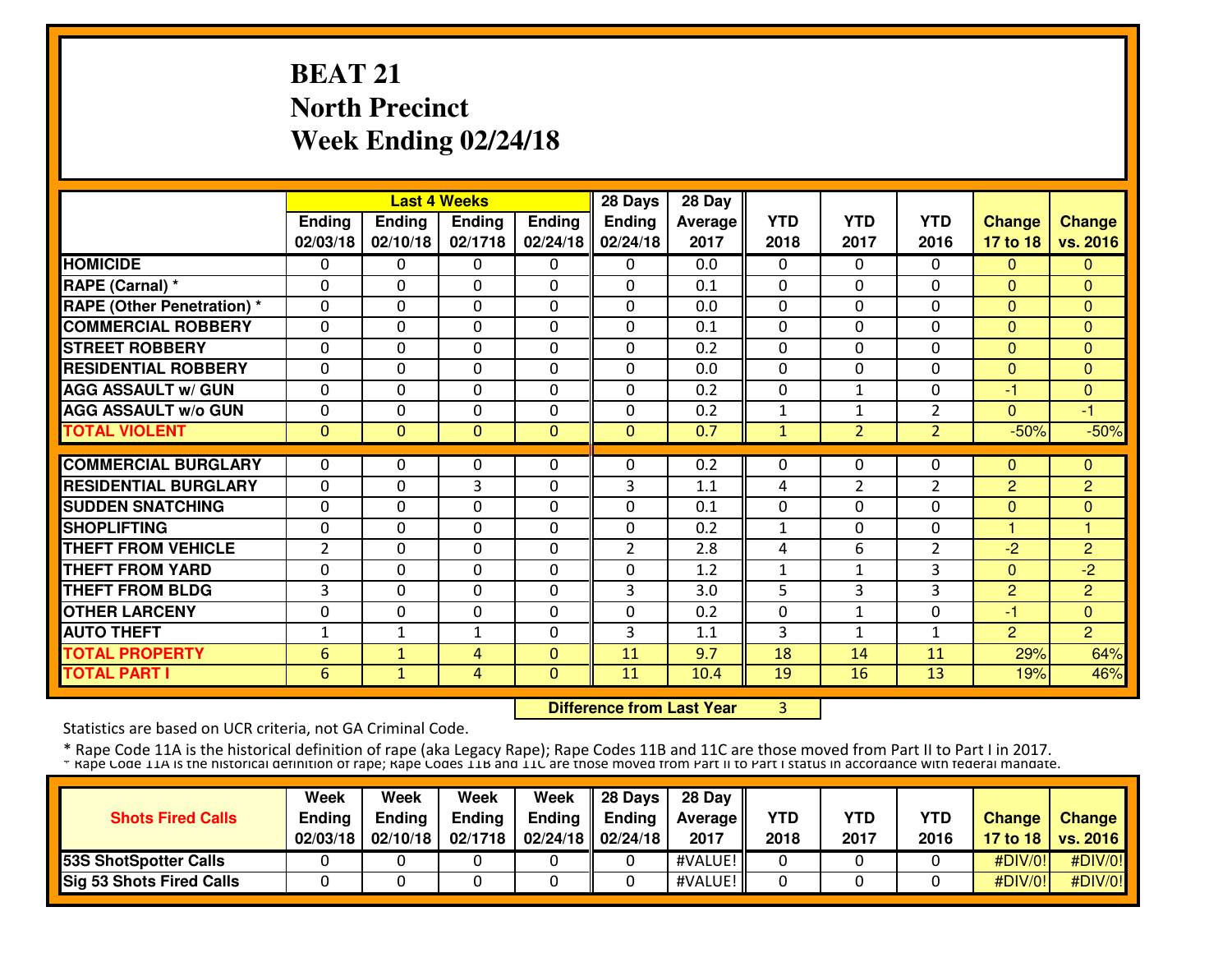# **BEAT 21 North PrecinctWeek Ending 02/24/18**

|                                   |                |               | <b>Last 4 Weeks</b> |               | 28 Days       | 28 Day  |              |                |                |                |                |
|-----------------------------------|----------------|---------------|---------------------|---------------|---------------|---------|--------------|----------------|----------------|----------------|----------------|
|                                   | Ending         | <b>Ending</b> | <b>Ending</b>       | <b>Ending</b> | <b>Ending</b> | Average | <b>YTD</b>   | <b>YTD</b>     | <b>YTD</b>     | <b>Change</b>  | <b>Change</b>  |
|                                   | 02/03/18       | 02/10/18      | 02/1718             | 02/24/18      | 02/24/18      | 2017    | 2018         | 2017           | 2016           | 17 to 18       | vs. 2016       |
| <b>HOMICIDE</b>                   | 0              | 0             | 0                   | 0             | $\Omega$      | 0.0     | 0            | $\Omega$       | 0              | $\mathbf{0}$   | $\mathbf{0}$   |
| RAPE (Carnal) *                   | 0              | 0             | 0                   | 0             | $\Omega$      | 0.1     | $\mathbf{0}$ | 0              | 0              | $\Omega$       | $\mathbf{0}$   |
| <b>RAPE (Other Penetration)</b> * | 0              | $\Omega$      | 0                   | 0             | $\Omega$      | 0.0     | $\mathbf 0$  | $\Omega$       | $\Omega$       | $\overline{0}$ | $\overline{0}$ |
| <b>COMMERCIAL ROBBERY</b>         | $\mathbf{0}$   | $\Omega$      | 0                   | 0             | $\Omega$      | 0.1     | $\mathbf{0}$ | 0              | 0              | $\Omega$       | $\mathbf{0}$   |
| <b>STREET ROBBERY</b>             | 0              | $\Omega$      | 0                   | 0             | $\mathbf{0}$  | 0.2     | $\mathbf{0}$ | 0              | 0              | $\Omega$       | 0              |
| <b>RESIDENTIAL ROBBERY</b>        | 0              | 0             | 0                   | 0             | $\Omega$      | 0.0     | 0            | 0              | 0              | $\overline{0}$ | $\overline{0}$ |
| <b>AGG ASSAULT w/ GUN</b>         | $\Omega$       | 0             | 0                   | 0             | $\Omega$      | 0.2     | 0            | 1              | 0              | -1             | 0              |
| <b>AGG ASSAULT W/o GUN</b>        | $\mathbf{0}$   | 0             | 0                   | 0             | $\Omega$      | 0.2     | $\mathbf{1}$ | $\mathbf{1}$   | $\overline{2}$ | $\Omega$       | -1             |
| <b>TOTAL VIOLENT</b>              | $\Omega$       | $\Omega$      | $\mathbf{0}$        | $\mathbf{0}$  | $\mathbf{0}$  | 0.7     | 1            | $\overline{2}$ | $\overline{2}$ | $-50%$         | $-50%$         |
|                                   |                |               |                     |               |               |         |              |                |                |                |                |
| <b>COMMERCIAL BURGLARY</b>        | $\Omega$       | 0             | 0                   | 0             | $\Omega$      | 0.2     | 0            | 0              | 0              | $\Omega$       | $\mathbf{0}$   |
| <b>RESIDENTIAL BURGLARY</b>       | $\Omega$       | 0             | 3                   | $\Omega$      | 3             | 1.1     | 4            | $\mathfrak{p}$ | $\overline{2}$ | 2              | $\overline{2}$ |
| <b>SUDDEN SNATCHING</b>           | 0              | 0             | $\Omega$            | $\Omega$      | $\Omega$      | 0.1     | $\Omega$     | 0              | 0              | $\Omega$       | $\mathbf{0}$   |
| <b>SHOPLIFTING</b>                | 0              | 0             | $\Omega$            | $\Omega$      | $\Omega$      | 0.2     | $\mathbf{1}$ | 0              | 0              | н              |                |
| <b>THEFT FROM VEHICLE</b>         | $\overline{2}$ | $\Omega$      | 0                   | 0             | 2             | 2.8     | 4            | 6              | $\overline{2}$ | $-2$           | $\overline{2}$ |
| <b>THEFT FROM YARD</b>            | 0              | $\Omega$      | 0                   | 0             | $\Omega$      | 1.2     | $\mathbf{1}$ | $\mathbf{1}$   | 3              | $\Omega$       | $-2$           |
| <b>THEFT FROM BLDG</b>            | 3              | $\Omega$      | 0                   | 0             | 3             | 3.0     | 5            | 3              | 3              | 2              | $\overline{2}$ |
| <b>OTHER LARCENY</b>              | $\mathbf{0}$   | 0             | 0                   | 0             | $\Omega$      | 0.2     | 0            | $\mathbf{1}$   | 0              | $-1$           | $\overline{0}$ |
| <b>AUTO THEFT</b>                 | $\mathbf{1}$   | 1             | $\mathbf{1}$        | 0             | 3             | 1.1     | 3            | $\mathbf{1}$   | 1              | $\overline{2}$ | $\overline{2}$ |
| <b>TOTAL PROPERTY</b>             | 6              | $\mathbf{1}$  | 4                   | $\mathbf 0$   | 11            | 9.7     | 18           | 14             | 11             | 29%            | 64%            |
| <b>TOTAL PART I</b>               | 6              | $\mathbf{1}$  | 4                   | $\mathbf{0}$  | 11            | 10.4    | 19           | 16             | 13             | 19%            | 46%            |

 **Difference from Last Year**<sup>3</sup>

Statistics are based on UCR criteria, not GA Criminal Code.

|                                 | Week          | Week          | Week          | Week                                      | ll 28 Davs    | 28 Dav            |            |      |      |               |                     |
|---------------------------------|---------------|---------------|---------------|-------------------------------------------|---------------|-------------------|------------|------|------|---------------|---------------------|
| <b>Shots Fired Calls</b>        | <b>Ending</b> | <b>Ending</b> | <b>Ending</b> | Ending                                    | <b>Ending</b> | <b>Average</b> II | <b>YTD</b> | YTD  | YTD  | <b>Change</b> | <b>Change</b>       |
|                                 | 02/03/18      | 02/10/18      | 02/1718       | $\parallel$ 02/24/18 $\parallel$ 02/24/18 |               | 2017              | 2018       | 2017 | 2016 |               | 17 to 18   vs. 2016 |
| <b>53S ShotSpotter Calls</b>    |               |               |               |                                           |               | #VALUE!           |            |      |      | #DIV/0!       | $\#$ DIV/0!         |
| <b>Sig 53 Shots Fired Calls</b> |               |               |               |                                           |               | #VALUE!           |            |      |      | #DIV/0!]      | #DIV/0!             |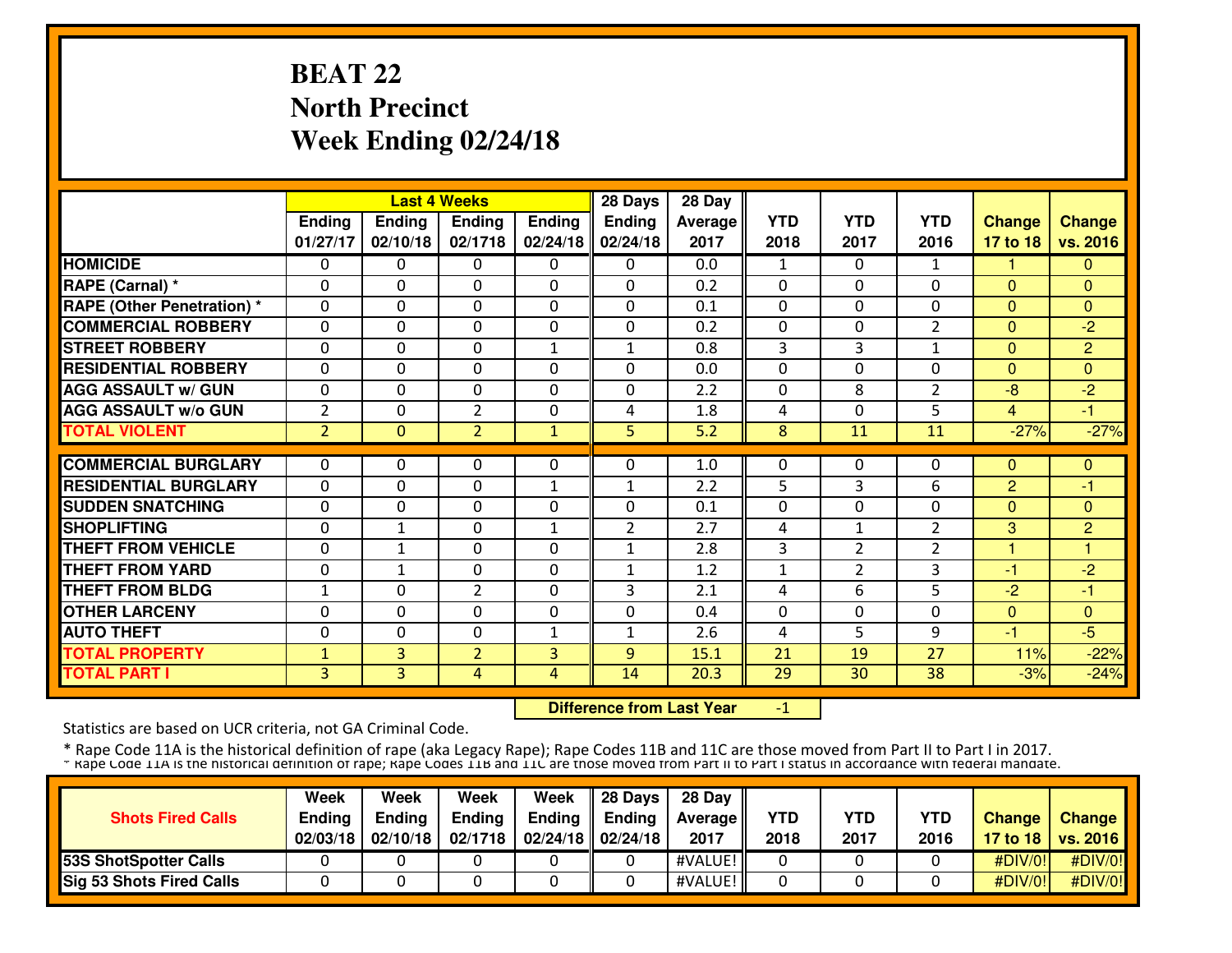# **BEAT 22 North PrecinctWeek Ending 02/24/18**

|                                   |                |              | <b>Last 4 Weeks</b> |                | 28 Days        | 28 Day  |              |                |                |                |                |
|-----------------------------------|----------------|--------------|---------------------|----------------|----------------|---------|--------------|----------------|----------------|----------------|----------------|
|                                   | <b>Ending</b>  | Ending       | Ending              | <b>Ending</b>  | <b>Ending</b>  | Average | <b>YTD</b>   | <b>YTD</b>     | <b>YTD</b>     | <b>Change</b>  | <b>Change</b>  |
|                                   | 01/27/17       | 02/10/18     | 02/1718             | 02/24/18       | 02/24/18       | 2017    | 2018         | 2017           | 2016           | 17 to 18       | vs. 2016       |
| <b>HOMICIDE</b>                   | 0              | $\Omega$     | 0                   | 0              | $\Omega$       | 0.0     | 1            | 0              | $\mathbf{1}$   |                | $\mathbf{0}$   |
| RAPE (Carnal) *                   | $\mathbf{0}$   | $\Omega$     | 0                   | 0              | $\Omega$       | 0.2     | $\mathbf{0}$ | 0              | $\Omega$       | $\Omega$       | $\mathbf{0}$   |
| <b>RAPE (Other Penetration)</b> * | $\mathbf 0$    | $\Omega$     | 0                   | 0              | $\Omega$       | 0.1     | $\mathbf 0$  | 0              | $\Omega$       | $\overline{0}$ | $\overline{0}$ |
| <b>COMMERCIAL ROBBERY</b>         | 0              | $\Omega$     | 0                   | 0              | $\Omega$       | 0.2     | $\mathbf 0$  | 0              | $\overline{2}$ | $\Omega$       | $-2$           |
| <b>STREET ROBBERY</b>             | 0              | $\Omega$     | 0                   | $\mathbf{1}$   | $\mathbf{1}$   | 0.8     | 3            | 3              | 1              | $\mathbf{0}$   | $\overline{2}$ |
| <b>RESIDENTIAL ROBBERY</b>        | 0              | 0            | 0                   | 0              | $\Omega$       | 0.0     | 0            | 0              | 0              | $\Omega$       | $\overline{0}$ |
| <b>AGG ASSAULT w/ GUN</b>         | $\mathbf{0}$   | $\Omega$     | 0                   | 0              | $\Omega$       | 2.2     | $\mathbf{0}$ | 8              | $\overline{2}$ | -8             | $-2$           |
| <b>AGG ASSAULT w/o GUN</b>        | $\overline{2}$ | $\Omega$     | $\overline{2}$      | 0              | 4              | 1.8     | 4            | 0              | 5              | $\overline{4}$ | -1             |
| <b>TOTAL VIOLENT</b>              | $\overline{2}$ | $\Omega$     | $\overline{2}$      | $\mathbf{1}$   | 5.             | 5.2     | 8            | 11             | 11             | $-27%$         | $-27%$         |
|                                   |                |              |                     |                |                |         |              |                |                |                |                |
| <b>COMMERCIAL BURGLARY</b>        | 0              | 0            | 0                   | 0              | $\Omega$       | 1.0     | 0            | 0              | 0              | $\Omega$       | $\mathbf{0}$   |
| <b>RESIDENTIAL BURGLARY</b>       | $\Omega$       | $\Omega$     | 0                   | $\mathbf{1}$   | $\mathbf{1}$   | 2.2     | 5            | 3              | 6              | 2              | -1             |
| <b>SUDDEN SNATCHING</b>           | $\mathbf{0}$   | $\Omega$     | 0                   | 0              | $\Omega$       | 0.1     | 0            | 0              | 0              | $\Omega$       | $\Omega$       |
| <b>SHOPLIFTING</b>                | $\mathbf{0}$   | $\mathbf{1}$ | 0                   | $\mathbf{1}$   | $\overline{2}$ | 2.7     | 4            | 1              | $\mathcal{P}$  | 3              | $\overline{2}$ |
| <b>THEFT FROM VEHICLE</b>         | 0              | $\mathbf{1}$ | 0                   | 0              | $\mathbf{1}$   | 2.8     | 3            | $\overline{2}$ | $\overline{2}$ | 1              | 1              |
| <b>THEFT FROM YARD</b>            | 0              | $\mathbf{1}$ | 0                   | 0              | $\mathbf{1}$   | 1.2     | $\mathbf{1}$ | $\overline{2}$ | 3              | $-1$           | $-2$           |
| <b>THEFT FROM BLDG</b>            | $\mathbf{1}$   | $\Omega$     | $\overline{2}$      | 0              | 3              | 2.1     | 4            | 6              | 5              | $-2$           | $-1$           |
| <b>OTHER LARCENY</b>              | $\mathbf 0$    | $\Omega$     | 0                   | 0              | $\Omega$       | 0.4     | $\mathbf{0}$ | $\Omega$       | 0              | $\Omega$       | $\mathbf{0}$   |
| <b>AUTO THEFT</b>                 | $\mathbf 0$    | $\Omega$     | 0                   | $\mathbf{1}$   | $\mathbf{1}$   | 2.6     | 4            | 5              | 9              | $-1$           | $-5$           |
| <b>TOTAL PROPERTY</b>             | $\mathbf{1}$   | 3            | $\overline{2}$      | 3              | 9              | 15.1    | 21           | 19             | 27             | 11%            | $-22%$         |
| <b>TOTAL PART I</b>               | 3              | 3            | 4                   | $\overline{4}$ | 14             | 20.3    | 29           | 30             | 38             | $-3%$          | $-24%$         |

 **Difference from Last Year**-1

Statistics are based on UCR criteria, not GA Criminal Code.

|                                 | Week          | Week          | Week          | Week                                      | $\parallel$ 28 Days | 28 Dav            |      |      |      |               |                     |
|---------------------------------|---------------|---------------|---------------|-------------------------------------------|---------------------|-------------------|------|------|------|---------------|---------------------|
| <b>Shots Fired Calls</b>        | <b>Ending</b> | <b>Ending</b> | <b>Ending</b> | Ending                                    | <b>Ending</b>       | <b>Average</b> II | YTD  | YTD  | YTD  | <b>Change</b> | <b>Change</b>       |
|                                 | 02/03/18      | 02/10/18      | 02/1718       | $\parallel$ 02/24/18 $\parallel$ 02/24/18 |                     | 2017              | 2018 | 2017 | 2016 |               | 17 to 18   vs. 2016 |
| <b>153S ShotSpotter Calls</b>   |               |               |               |                                           |                     | #VALUE!           |      |      |      | #DIV/0!]      | #DIV/0!             |
| <b>Sig 53 Shots Fired Calls</b> |               |               |               |                                           |                     | #VALUE!           |      |      |      | #DIV/0!]      | #DIV/0!             |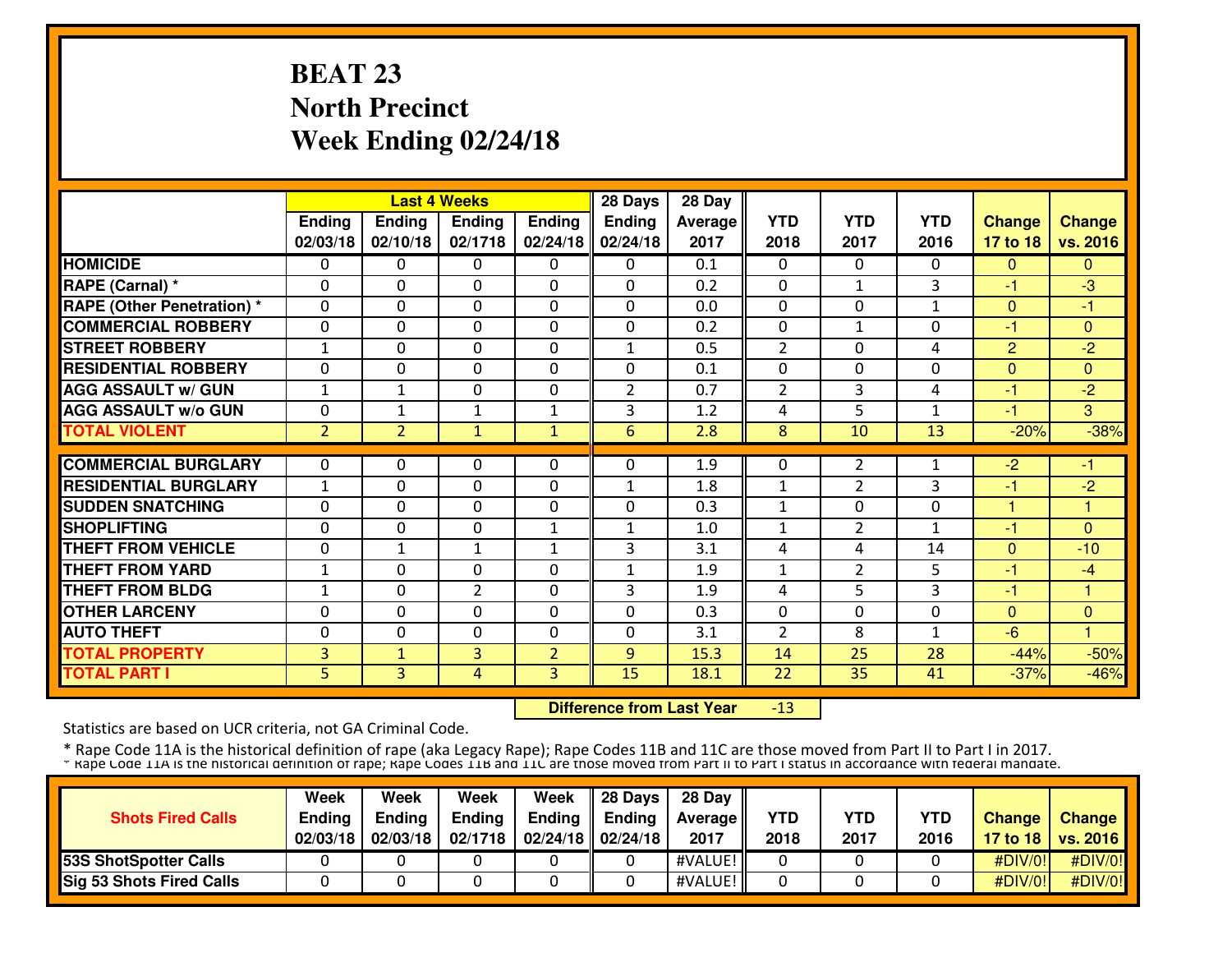# **BEAT 23 North PrecinctWeek Ending 02/24/18**

|                                  |                    |                    | <b>Last 4 Weeks</b> |                           | 28 Days                   | 28 Day          |                    |                    |                    |                           |                           |
|----------------------------------|--------------------|--------------------|---------------------|---------------------------|---------------------------|-----------------|--------------------|--------------------|--------------------|---------------------------|---------------------------|
|                                  | Ending<br>02/03/18 | Ending<br>02/10/18 | Ending<br>02/1718   | <b>Ending</b><br>02/24/18 | <b>Ending</b><br>02/24/18 | Average<br>2017 | <b>YTD</b><br>2018 | <b>YTD</b><br>2017 | <b>YTD</b><br>2016 | <b>Change</b><br>17 to 18 | <b>Change</b><br>vs. 2016 |
| <b>HOMICIDE</b>                  |                    |                    |                     |                           |                           | 0.1             |                    | $\Omega$           |                    |                           |                           |
|                                  | 0                  | 0                  | 0                   | 0                         | $\Omega$                  |                 | 0                  |                    | 0                  | $\mathbf{0}$              | $\Omega$                  |
| RAPE (Carnal) *                  | 0                  | $\Omega$           | 0                   | 0                         | $\Omega$                  | 0.2             | $\mathbf{0}$       | 1                  | 3                  | $-1$                      | -3                        |
| <b>RAPE (Other Penetration)*</b> | 0                  | $\Omega$           | 0                   | 0                         | $\Omega$                  | 0.0             | $\mathbf 0$        | 0                  | $\mathbf{1}$       | $\Omega$                  | $-1$                      |
| <b>ICOMMERCIAL ROBBERY</b>       | 0                  | 0                  | 0                   | 0                         | $\Omega$                  | 0.2             | $\mathbf 0$        | $\mathbf{1}$       | 0                  | $-1$                      | $\overline{0}$            |
| <b>STREET ROBBERY</b>            | $\mathbf{1}$       | 0                  | 0                   | 0                         | 1                         | 0.5             | $\overline{2}$     | $\Omega$           | 4                  | $\overline{2}$            | $-2$                      |
| <b>RESIDENTIAL ROBBERY</b>       | 0                  | 0                  | 0                   | $\Omega$                  | $\Omega$                  | 0.1             | $\Omega$           | 0                  | 0                  | $\Omega$                  | $\Omega$                  |
| <b>AGG ASSAULT w/ GUN</b>        | $\mathbf{1}$       | $\mathbf{1}$       | 0                   | 0                         | $\overline{2}$            | 0.7             | $\overline{2}$     | 3                  | 4                  | -1                        | $-2$                      |
| <b>AGG ASSAULT w/o GUN</b>       | 0                  | $\mathbf{1}$       | $\mathbf{1}$        | 1                         | 3                         | 1.2             | 4                  | 5                  | 1                  | -1                        | 3                         |
| <b>TOTAL VIOLENT</b>             | $\overline{2}$     | $\overline{2}$     | $\mathbf{1}$        | $\mathbf{1}$              | 6                         | 2.8             | 8                  | 10                 | 13                 | $-20%$                    | $-38%$                    |
|                                  |                    |                    |                     |                           |                           |                 |                    |                    |                    |                           |                           |
| <b>COMMERCIAL BURGLARY</b>       | 0                  | 0                  | 0                   | 0                         | $\Omega$                  | 1.9             | 0                  | 2                  |                    | $-2$                      | -1                        |
| <b>RESIDENTIAL BURGLARY</b>      | $\mathbf{1}$       | 0                  | 0                   | 0                         | 1                         | 1.8             | 1                  | $\overline{2}$     | 3                  | -1                        | -2                        |
| <b>SUDDEN SNATCHING</b>          | 0                  | 0                  | 0                   | 0                         | $\Omega$                  | 0.3             | 1                  | 0                  | 0                  |                           |                           |
| <b>SHOPLIFTING</b>               | 0                  | 0                  | 0                   | $\mathbf{1}$              | 1                         | 1.0             | $\mathbf{1}$       | $\overline{2}$     | $\mathbf{1}$       | -1                        | $\Omega$                  |
| <b>THEFT FROM VEHICLE</b>        | 0                  | $\mathbf{1}$       | $\mathbf{1}$        | $\mathbf{1}$              | 3                         | 3.1             | 4                  | 4                  | 14                 | $\Omega$                  | $-10$                     |
| <b>THEFT FROM YARD</b>           | $\mathbf{1}$       | $\Omega$           | 0                   | 0                         | $\mathbf{1}$              | 1.9             | $\mathbf{1}$       | $\overline{2}$     | 5                  | $-1$                      | $-4$                      |
| <b>THEFT FROM BLDG</b>           | $\mathbf{1}$       | $\Omega$           | $\overline{2}$      | 0                         | 3                         | 1.9             | 4                  | 5                  | 3                  | $-1$                      | 1                         |
| <b>OTHER LARCENY</b>             | $\mathbf{0}$       | $\Omega$           | 0                   | $\Omega$                  | $\Omega$                  | 0.3             | 0                  | 0                  | 0                  | $\Omega$                  | 0                         |
| <b>AUTO THEFT</b>                | $\mathbf{0}$       | $\Omega$           | 0                   | 0                         | $\Omega$                  | 3.1             | $\overline{2}$     | 8                  | 1                  | $-6$                      | $\overline{\mathbf{1}}$   |
| <b>TOTAL PROPERTY</b>            | 3                  | $\mathbf{1}$       | 3                   | $\overline{2}$            | 9                         | 15.3            | 14                 | 25                 | 28                 | $-44%$                    | $-50%$                    |
| <b>TOTAL PART I</b>              | 5                  | 3                  | 4                   | 3                         | 15                        | 18.1            | 22                 | 35                 | 41                 | $-37%$                    | $-46%$                    |

 **Difference from Last Year**-13

Statistics are based on UCR criteria, not GA Criminal Code.

|                                 | Week          | Week          | Week          | Week                                      | $\parallel$ 28 Days | 28 Dav            |            |      |            |               |                     |
|---------------------------------|---------------|---------------|---------------|-------------------------------------------|---------------------|-------------------|------------|------|------------|---------------|---------------------|
| <b>Shots Fired Calls</b>        | <b>Ending</b> | <b>Ending</b> | <b>Ending</b> | Ending                                    | Ending              | <b>Average II</b> | <b>YTD</b> | YTD  | <b>YTD</b> | <b>Change</b> | <b>Change</b>       |
|                                 | 02/03/18      | 02/03/18      | 02/1718       | $\parallel$ 02/24/18 $\parallel$ 02/24/18 |                     | 2017              | 2018       | 2017 | 2016       |               | 17 to 18   vs. 2016 |
| <b>53S ShotSpotter Calls</b>    |               |               |               |                                           |                     | #VALUE!           |            |      |            | #DIV/0!       | $\#$ DIV/0!         |
| <b>Sig 53 Shots Fired Calls</b> |               |               |               |                                           |                     | #VALUE!           |            |      |            | #DIV/0!       | #DIV/0!             |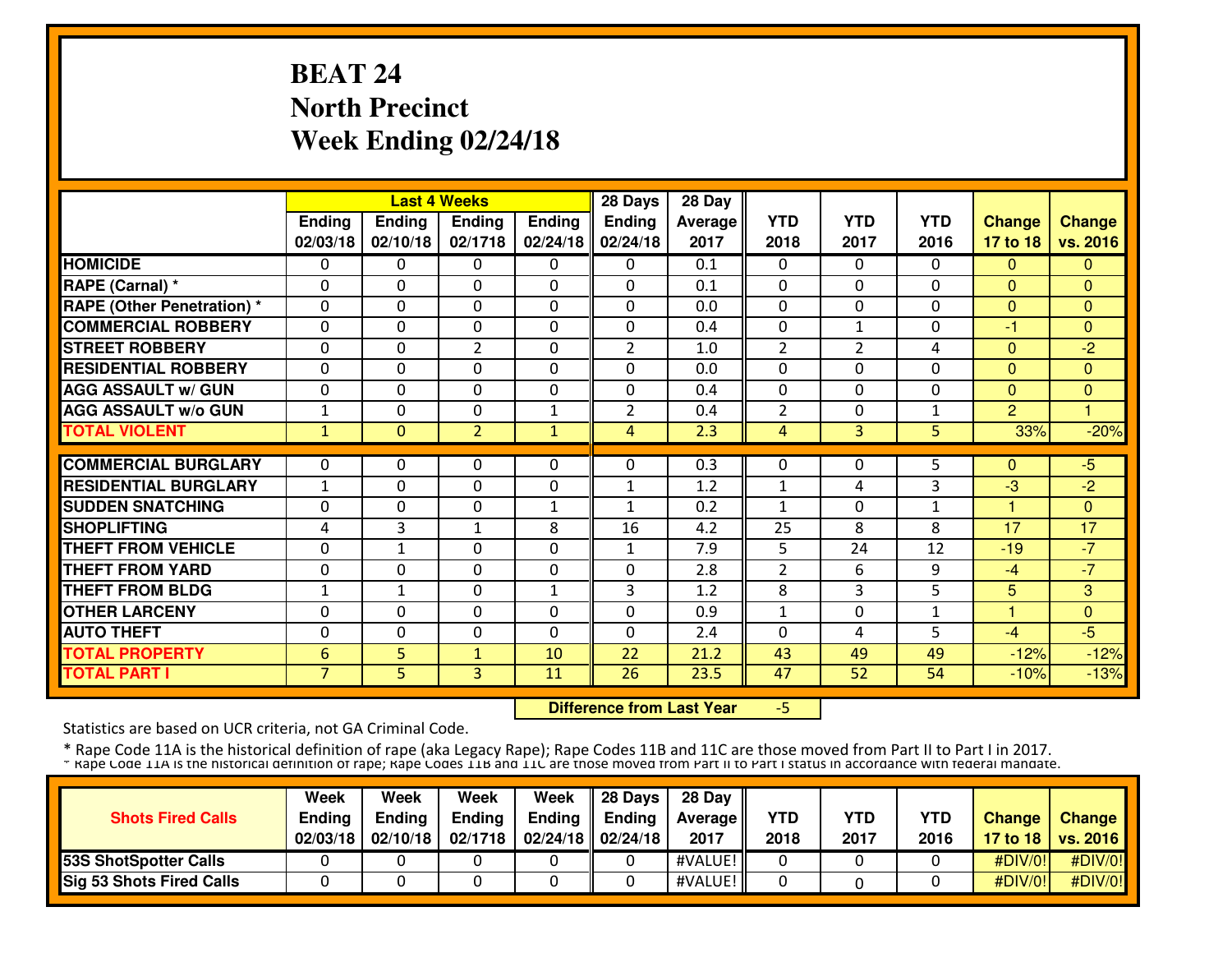# **BEAT 24 North PrecinctWeek Ending 02/24/18**

|                                   |                |               | <b>Last 4 Weeks</b> |               | 28 Days        | 28 Day  |                |                |            |                |                |
|-----------------------------------|----------------|---------------|---------------------|---------------|----------------|---------|----------------|----------------|------------|----------------|----------------|
|                                   | Ending         | <b>Ending</b> | <b>Ending</b>       | <b>Ending</b> | <b>Ending</b>  | Average | <b>YTD</b>     | <b>YTD</b>     | <b>YTD</b> | <b>Change</b>  | <b>Change</b>  |
|                                   | 02/03/18       | 02/10/18      | 02/1718             | 02/24/18      | 02/24/18       | 2017    | 2018           | 2017           | 2016       | 17 to 18       | vs. 2016       |
| <b>HOMICIDE</b>                   | 0              | 0             | 0                   | $\Omega$      | $\Omega$       | 0.1     | 0              | $\Omega$       | 0          | $\mathbf{0}$   | 0              |
| RAPE (Carnal) *                   | 0              | 0             | 0                   | $\Omega$      | $\Omega$       | 0.1     | $\mathbf{0}$   | 0              | 0          | $\Omega$       | $\mathbf{0}$   |
| <b>RAPE (Other Penetration)</b> * | 0              | $\Omega$      | 0                   | 0             | $\Omega$       | 0.0     | $\mathbf 0$    | $\Omega$       | $\Omega$   | $\overline{0}$ | $\overline{0}$ |
| <b>COMMERCIAL ROBBERY</b>         | $\mathbf{0}$   | $\Omega$      | 0                   | 0             | $\Omega$       | 0.4     | $\mathbf{0}$   | $\mathbf{1}$   | 0          | $-1$           | $\Omega$       |
| <b>STREET ROBBERY</b>             | 0              | $\Omega$      | $\overline{2}$      | 0             | $\overline{2}$ | 1.0     | $\overline{2}$ | $\overline{2}$ | 4          | $\Omega$       | $-2$           |
| <b>RESIDENTIAL ROBBERY</b>        | 0              | $\Omega$      | 0                   | $\Omega$      | $\Omega$       | 0.0     | $\Omega$       | 0              | 0          | $\overline{0}$ | $\Omega$       |
| <b>AGG ASSAULT w/ GUN</b>         | $\Omega$       | 0             | 0                   | 0             | $\Omega$       | 0.4     | 0              | 0              | 0          | $\Omega$       | 0              |
| <b>AGG ASSAULT W/o GUN</b>        | 1              | 0             | 0                   | $\mathbf{1}$  | $\overline{2}$ | 0.4     | $\overline{2}$ | 0              | 1          | 2              |                |
| <b>TOTAL VIOLENT</b>              | 1              | $\Omega$      | $\overline{2}$      | $\mathbf{1}$  | 4              | 2.3     | 4              | 3              | 5.         | 33%            | $-20%$         |
|                                   |                |               |                     |               |                |         |                |                |            |                |                |
| <b>COMMERCIAL BURGLARY</b>        | 0              | 0             | 0                   | 0             | $\Omega$       | 0.3     | 0              | 0              | 5.         | $\Omega$       | $-5$           |
| <b>RESIDENTIAL BURGLARY</b>       | $\mathbf{1}$   | 0             | $\Omega$            | 0             | $\mathbf{1}$   | 1.2     | 1              | 4              | 3          | -3             | $-2$           |
| <b>SUDDEN SNATCHING</b>           | 0              | 0             | $\Omega$            | 1             | $\mathbf{1}$   | 0.2     | 1              | 0              | 1          | 1              | $\mathbf{0}$   |
| <b>SHOPLIFTING</b>                | 4              | 3             | 1                   | 8             | 16             | 4.2     | 25             | 8              | 8          | 17             | 17             |
| <b>THEFT FROM VEHICLE</b>         | 0              | $\mathbf{1}$  | 0                   | 0             | 1              | 7.9     | 5              | 24             | 12         | $-19$          | $-7$           |
| <b>THEFT FROM YARD</b>            | 0              | $\Omega$      | 0                   | 0             | $\Omega$       | 2.8     | $\overline{2}$ | 6              | 9          | $-4$           | $-7$           |
| <b>THEFT FROM BLDG</b>            | $\mathbf{1}$   | $\mathbf{1}$  | 0                   | $\mathbf{1}$  | 3              | 1.2     | 8              | 3              | 5          | 5              | 3              |
| <b>OTHER LARCENY</b>              | $\mathbf{0}$   | 0             | 0                   | 0             | $\Omega$       | 0.9     | 1              | $\mathbf{0}$   | 1          | 1              | 0              |
| <b>AUTO THEFT</b>                 | $\mathbf{0}$   | $\Omega$      | 0                   | 0             | $\Omega$       | 2.4     | 0              | 4              | 5          | $-4$           | $-5$           |
| <b>TOTAL PROPERTY</b>             | 6              | 5             | $\mathbf{1}$        | 10            | 22             | 21.2    | 43             | 49             | 49         | $-12%$         | $-12%$         |
| <b>TOTAL PART I</b>               | $\overline{7}$ | 5             | 3                   | 11            | 26             | 23.5    | 47             | 52             | 54         | $-10%$         | $-13%$         |

 **Difference from Last Year**-5

Statistics are based on UCR criteria, not GA Criminal Code.

|                                 | Week          | Week          | Week          | Week                                      | $\parallel$ 28 Days | 28 Dav            |      |      |      |               |                     |
|---------------------------------|---------------|---------------|---------------|-------------------------------------------|---------------------|-------------------|------|------|------|---------------|---------------------|
| <b>Shots Fired Calls</b>        | <b>Ending</b> | <b>Ending</b> | <b>Ending</b> | Ending                                    | <b>Ending</b>       | <b>Average</b> II | YTD  | YTD  | YTD  | <b>Change</b> | <b>Change</b>       |
|                                 | 02/03/18      | 02/10/18      | 02/1718       | $\parallel$ 02/24/18 $\parallel$ 02/24/18 |                     | 2017              | 2018 | 2017 | 2016 |               | 17 to 18   vs. 2016 |
| <b>153S ShotSpotter Calls</b>   |               |               |               |                                           |                     | #VALUE!           |      |      |      | #DIV/0!       | #DIV/0!             |
| <b>Sig 53 Shots Fired Calls</b> |               |               |               |                                           |                     | #VALUE!           |      |      |      | #DIV/0!]      | #DIV/0!             |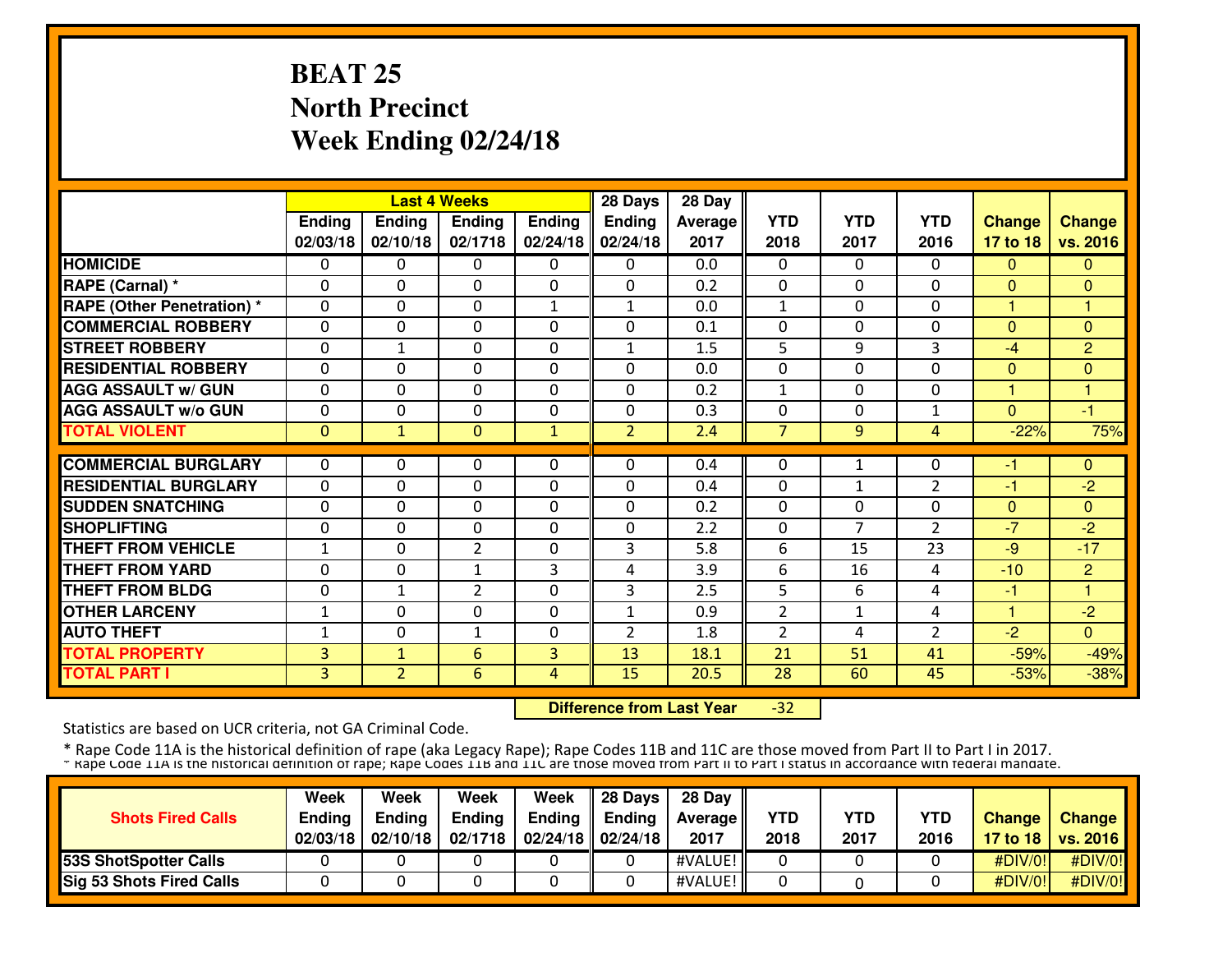# **BEAT 25 North PrecinctWeek Ending 02/24/18**

|                                   |                    | <b>Last 4 Weeks</b>       |                          |                           | 28 Days                   | 28 Day          |                    |                    |                    |                           |                           |
|-----------------------------------|--------------------|---------------------------|--------------------------|---------------------------|---------------------------|-----------------|--------------------|--------------------|--------------------|---------------------------|---------------------------|
|                                   | Ending<br>02/03/18 | <b>Ending</b><br>02/10/18 | <b>Ending</b><br>02/1718 | <b>Ending</b><br>02/24/18 | <b>Ending</b><br>02/24/18 | Average<br>2017 | <b>YTD</b><br>2018 | <b>YTD</b><br>2017 | <b>YTD</b><br>2016 | <b>Change</b><br>17 to 18 | <b>Change</b><br>vs. 2016 |
| <b>HOMICIDE</b>                   | 0                  | 0                         | 0                        | 0                         | $\Omega$                  | 0.0             | 0                  | $\Omega$           | 0                  | $\mathbf{0}$              | 0                         |
| RAPE (Carnal) *                   | 0                  | 0                         | 0                        | 0                         | $\Omega$                  | 0.2             | $\mathbf{0}$       | 0                  | 0                  | $\Omega$                  | $\mathbf{0}$              |
| <b>RAPE (Other Penetration)</b> * | 0                  | $\Omega$                  | 0                        | $\mathbf{1}$              | $\mathbf{1}$              | 0.0             | 1                  | $\Omega$           | $\Omega$           |                           |                           |
| <b>COMMERCIAL ROBBERY</b>         | $\mathbf{0}$       | $\Omega$                  | 0                        | 0                         | $\Omega$                  | 0.1             | $\mathbf{0}$       | 0                  | 0                  | $\Omega$                  | $\Omega$                  |
| <b>STREET ROBBERY</b>             | 0                  | $\mathbf{1}$              | 0                        | 0                         | $\mathbf{1}$              | 1.5             | 5                  | 9                  | 3                  | $-4$                      | 2                         |
| <b>RESIDENTIAL ROBBERY</b>        | 0                  | $\Omega$                  | 0                        | $\Omega$                  | $\Omega$                  | 0.0             | $\Omega$           | 0                  | 0                  | $\mathbf{0}$              | $\overline{0}$            |
| <b>AGG ASSAULT w/ GUN</b>         | $\Omega$           | 0                         | 0                        | 0                         | $\Omega$                  | 0.2             | 1                  | 0                  | 0                  | 1                         |                           |
| <b>AGG ASSAULT W/o GUN</b>        | $\mathbf{0}$       | 0                         | 0                        | 0                         | $\Omega$                  | 0.3             | 0                  | 0                  | 1                  | $\Omega$                  | -1                        |
| <b>TOTAL VIOLENT</b>              | $\Omega$           | $\mathbf{1}$              | $\mathbf{0}$             | $\mathbf{1}$              | $\overline{2}$            | 2.4             | 7                  | 9                  | 4                  | $-22%$                    | 75%                       |
| <b>COMMERCIAL BURGLARY</b>        | $\Omega$           | 0                         | 0                        | 0                         | $\Omega$                  | 0.4             | 0                  | 1                  | 0                  | -1                        | $\mathbf{0}$              |
| <b>RESIDENTIAL BURGLARY</b>       | $\Omega$           | 0                         | $\Omega$                 | $\Omega$                  | $\Omega$                  | 0.4             | $\Omega$           | 1                  | $\overline{2}$     | -1                        | $-2$                      |
| <b>SUDDEN SNATCHING</b>           | 0                  | 0                         | $\Omega$                 | $\Omega$                  | $\Omega$                  | 0.2             | $\Omega$           | 0                  | 0                  | $\Omega$                  | $\Omega$                  |
| <b>SHOPLIFTING</b>                | 0                  | 0                         | $\Omega$                 | $\Omega$                  | $\Omega$                  | 2.2             | $\mathbf{0}$       | $\overline{7}$     | $\mathcal{L}$      | $-7$                      | $-2$                      |
| <b>THEFT FROM VEHICLE</b>         | 1                  | $\Omega$                  | $\overline{2}$           | 0                         | 3                         | 5.8             | 6                  | 15                 | 23                 | $-9$                      | $-17$                     |
| <b>THEFT FROM YARD</b>            | 0                  | $\Omega$                  | $\mathbf{1}$             | 3                         | 4                         | 3.9             | 6                  | 16                 | 4                  | $-10$                     | 2                         |
| <b>THEFT FROM BLDG</b>            | $\mathbf{0}$       | $\mathbf{1}$              | $\overline{2}$           | 0                         | 3                         | 2.5             | 5                  | 6                  | 4                  | $-1$                      | 1                         |
| <b>OTHER LARCENY</b>              | 1                  | 0                         | 0                        | 0                         | $\mathbf{1}$              | 0.9             | $\overline{2}$     | $\mathbf{1}$       | 4                  | 1                         | $-2$                      |
| <b>AUTO THEFT</b>                 | $\mathbf{1}$       | $\Omega$                  | $\mathbf{1}$             | 0                         | $\overline{2}$            | 1.8             | $\overline{2}$     | 4                  | $\overline{2}$     | $-2$                      | $\Omega$                  |
| <b>TOTAL PROPERTY</b>             | 3                  | $\mathbf{1}$              | 6                        | 3                         | 13                        | 18.1            | 21                 | 51                 | 41                 | $-59%$                    | $-49%$                    |
| <b>TOTAL PART I</b>               | 3                  | $\overline{2}$            | 6                        | 4                         | 15                        | 20.5            | 28                 | 60                 | 45                 | $-53%$                    | $-38%$                    |

 **Difference from Last Year**-32

Statistics are based on UCR criteria, not GA Criminal Code.

|                                 | Week          | Week          | Week          | Week                                      | $\parallel$ 28 Days | 28 Dav            |            |      |            |               |                     |
|---------------------------------|---------------|---------------|---------------|-------------------------------------------|---------------------|-------------------|------------|------|------------|---------------|---------------------|
| <b>Shots Fired Calls</b>        | <b>Ending</b> | <b>Ending</b> | <b>Ending</b> | Ending                                    | <b>Ending</b>       | <b>Average II</b> | <b>YTD</b> | YTD  | <b>YTD</b> | <b>Change</b> | <b>Change</b>       |
|                                 | 02/03/18      | 02/10/18      | 02/1718       | $\parallel$ 02/24/18 $\parallel$ 02/24/18 |                     | 2017              | 2018       | 2017 | 2016       |               | 17 to 18   vs. 2016 |
| <b>53S ShotSpotter Calls</b>    |               |               |               |                                           |                     | #VALUE!           |            |      |            | #DIV/0!       | $\#$ DIV/0!         |
| <b>Sig 53 Shots Fired Calls</b> |               |               |               |                                           |                     | #VALUE!           |            |      |            | #DIV/0!       | #DIV/0!             |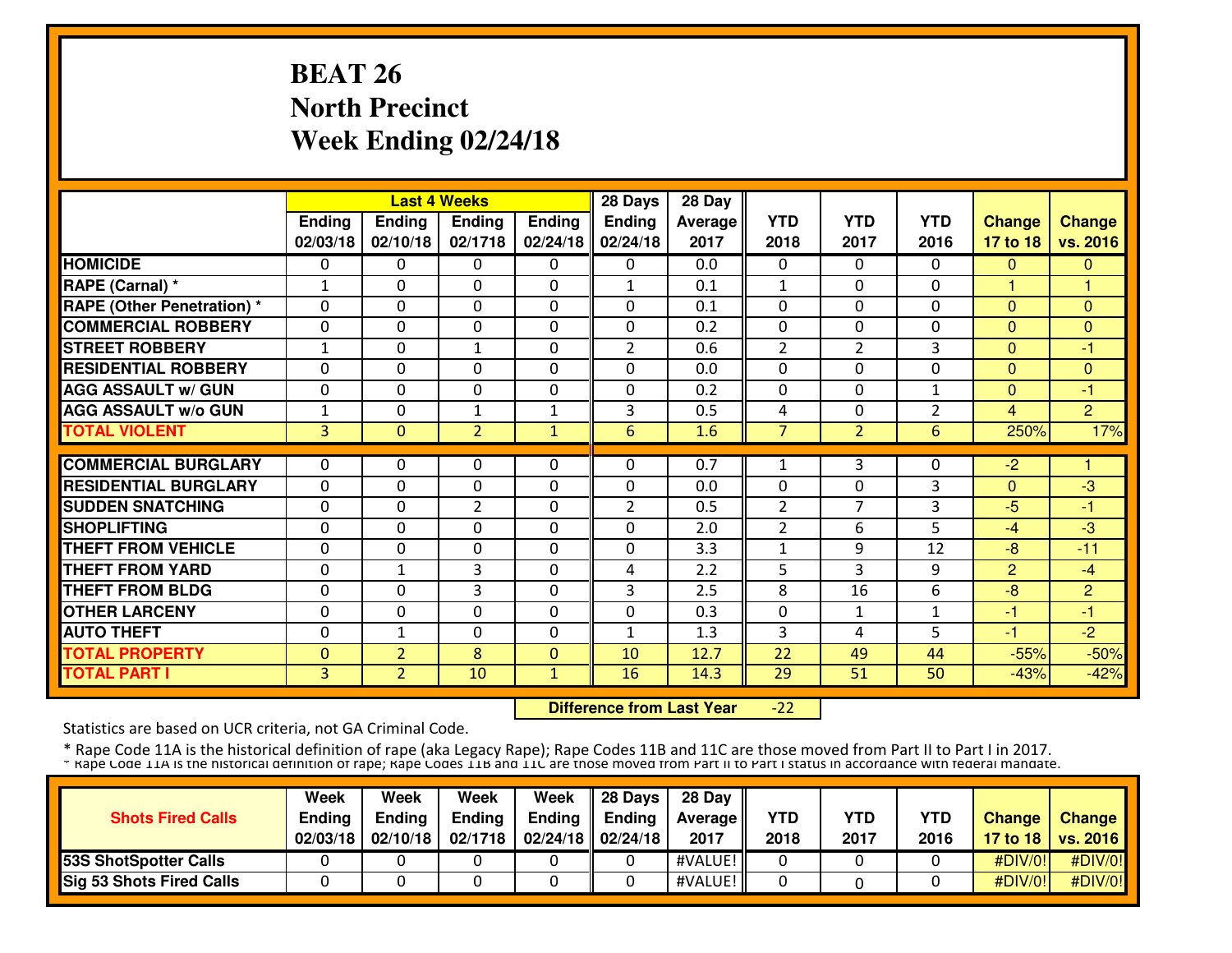# **BEAT 26 North PrecinctWeek Ending 02/24/18**

|                                  |              |                | <b>Last 4 Weeks</b> |               | 28 Days        | 28 Day  |                |                |                |                |                |
|----------------------------------|--------------|----------------|---------------------|---------------|----------------|---------|----------------|----------------|----------------|----------------|----------------|
|                                  | Ending       | Ending         | Ending              | <b>Ending</b> | <b>Ending</b>  | Average | <b>YTD</b>     | <b>YTD</b>     | <b>YTD</b>     | <b>Change</b>  | <b>Change</b>  |
|                                  | 02/03/18     | 02/10/18       | 02/1718             | 02/24/18      | 02/24/18       | 2017    | 2018           | 2017           | 2016           | 17 to 18       | vs. 2016       |
| <b>HOMICIDE</b>                  | 0            | 0              | 0                   | $\Omega$      | $\Omega$       | 0.0     | 0              | 0              | 0              | $\mathbf{0}$   | 0              |
| RAPE (Carnal) *                  | $\mathbf{1}$ | $\Omega$       | 0                   | 0             | $\mathbf{1}$   | 0.1     | 1              | 0              | $\Omega$       |                |                |
| <b>RAPE (Other Penetration)*</b> | $\mathbf{0}$ | $\Omega$       | 0                   | 0             | $\Omega$       | 0.1     | 0              | 0              | 0              | $\Omega$       | $\Omega$       |
| <b>COMMERCIAL ROBBERY</b>        | 0            | 0              | 0                   | 0             | $\Omega$       | 0.2     | $\mathbf{0}$   | 0              | 0              | $\Omega$       | 0              |
| <b>STREET ROBBERY</b>            | $\mathbf{1}$ | 0              | $\mathbf{1}$        | 0             | $\overline{2}$ | 0.6     | $\overline{2}$ | $\overline{2}$ | 3              | $\Omega$       | -1             |
| <b>RESIDENTIAL ROBBERY</b>       | $\Omega$     | $\Omega$       | $\Omega$            | $\Omega$      | $\Omega$       | 0.0     | $\Omega$       | 0              | $\Omega$       | $\Omega$       | $\Omega$       |
| <b>AGG ASSAULT w/ GUN</b>        | $\Omega$     | 0              | 0                   | 0             | $\Omega$       | 0.2     | $\Omega$       | 0              | 1              | $\Omega$       | -1             |
| <b>AGG ASSAULT w/o GUN</b>       | 1            | 0              | 1                   | 1             | 3              | 0.5     | 4              | 0              | $\overline{2}$ | 4              | 2              |
| <b>TOTAL VIOLENT</b>             | 3            | $\Omega$       | $\overline{2}$      | $\mathbf{1}$  | 6              | 1.6     | 7              | $\overline{2}$ | 6              | 250%           | 17%            |
|                                  |              |                |                     |               |                |         |                |                |                |                |                |
| <b>COMMERCIAL BURGLARY</b>       | 0            | 0              | 0                   | 0             | $\Omega$       | 0.7     | 1              | 3              | 0              | -2             |                |
| <b>RESIDENTIAL BURGLARY</b>      | $\Omega$     | 0              | 0                   | 0             | $\Omega$       | 0.0     | $\mathbf{0}$   | 0              | 3              | $\Omega$       | $-3$           |
| <b>SUDDEN SNATCHING</b>          | 0            | 0              | 2                   | $\Omega$      | $\overline{2}$ | 0.5     | $\overline{2}$ | $\overline{7}$ | 3              | $-5$           | -1             |
| <b>SHOPLIFTING</b>               | 0            | 0              | 0                   | 0             | $\Omega$       | 2.0     | $\overline{2}$ | 6              | 5              | $-4$           | $-3$           |
| <b>THEFT FROM VEHICLE</b>        | 0            | 0              | 0                   | 0             | $\Omega$       | 3.3     | $\mathbf{1}$   | 9              | 12             | $-8$           | $-11$          |
| <b>THEFT FROM YARD</b>           | $\Omega$     | $\mathbf{1}$   | 3                   | $\Omega$      | 4              | 2.2     | 5              | 3              | 9              | $\overline{2}$ | $-4$           |
| <b>THEFT FROM BLDG</b>           | $\mathbf{0}$ | $\Omega$       | 3                   | 0             | 3              | 2.5     | 8              | 16             | 6              | $-8$           | $\overline{2}$ |
| <b>OTHER LARCENY</b>             | $\mathbf{0}$ | 0              | 0                   | 0             | $\Omega$       | 0.3     | $\Omega$       | 1              | 1              | $-1$           | -1             |
| <b>AUTO THEFT</b>                | $\mathbf{0}$ | $\mathbf{1}$   | 0                   | 0             | $\mathbf{1}$   | 1.3     | 3              | 4              | 5              | $-1$           | $-2$           |
| <b>TOTAL PROPERTY</b>            | $\mathbf{0}$ | $\overline{2}$ | 8                   | $\mathbf 0$   | 10             | 12.7    | 22             | 49             | 44             | $-55%$         | $-50%$         |
| <b>TOTAL PART I</b>              | 3            | $\overline{2}$ | 10                  | $\mathbf{1}$  | 16             | 14.3    | 29             | 51             | 50             | $-43%$         | $-42%$         |

 **Difference from Last Year** $-22$ 

Statistics are based on UCR criteria, not GA Criminal Code.

|                                 | Week          | Week          | Week          | Week                                      | $\parallel$ 28 Days | 28 Dav            |            |      |            |               |                     |
|---------------------------------|---------------|---------------|---------------|-------------------------------------------|---------------------|-------------------|------------|------|------------|---------------|---------------------|
| <b>Shots Fired Calls</b>        | <b>Ending</b> | <b>Ending</b> | <b>Ending</b> | Ending                                    | <b>Ending</b>       | <b>Average II</b> | <b>YTD</b> | YTD  | <b>YTD</b> | <b>Change</b> | <b>Change</b>       |
|                                 | 02/03/18      | 02/10/18      | 02/1718       | $\parallel$ 02/24/18 $\parallel$ 02/24/18 |                     | 2017              | 2018       | 2017 | 2016       |               | 17 to 18   vs. 2016 |
| <b>53S ShotSpotter Calls</b>    |               |               |               |                                           |                     | #VALUE!           |            |      |            | #DIV/0!       | $\#$ DIV/0!         |
| <b>Sig 53 Shots Fired Calls</b> |               |               |               |                                           |                     | #VALUE!           |            |      |            | #DIV/0!       | #DIV/0!             |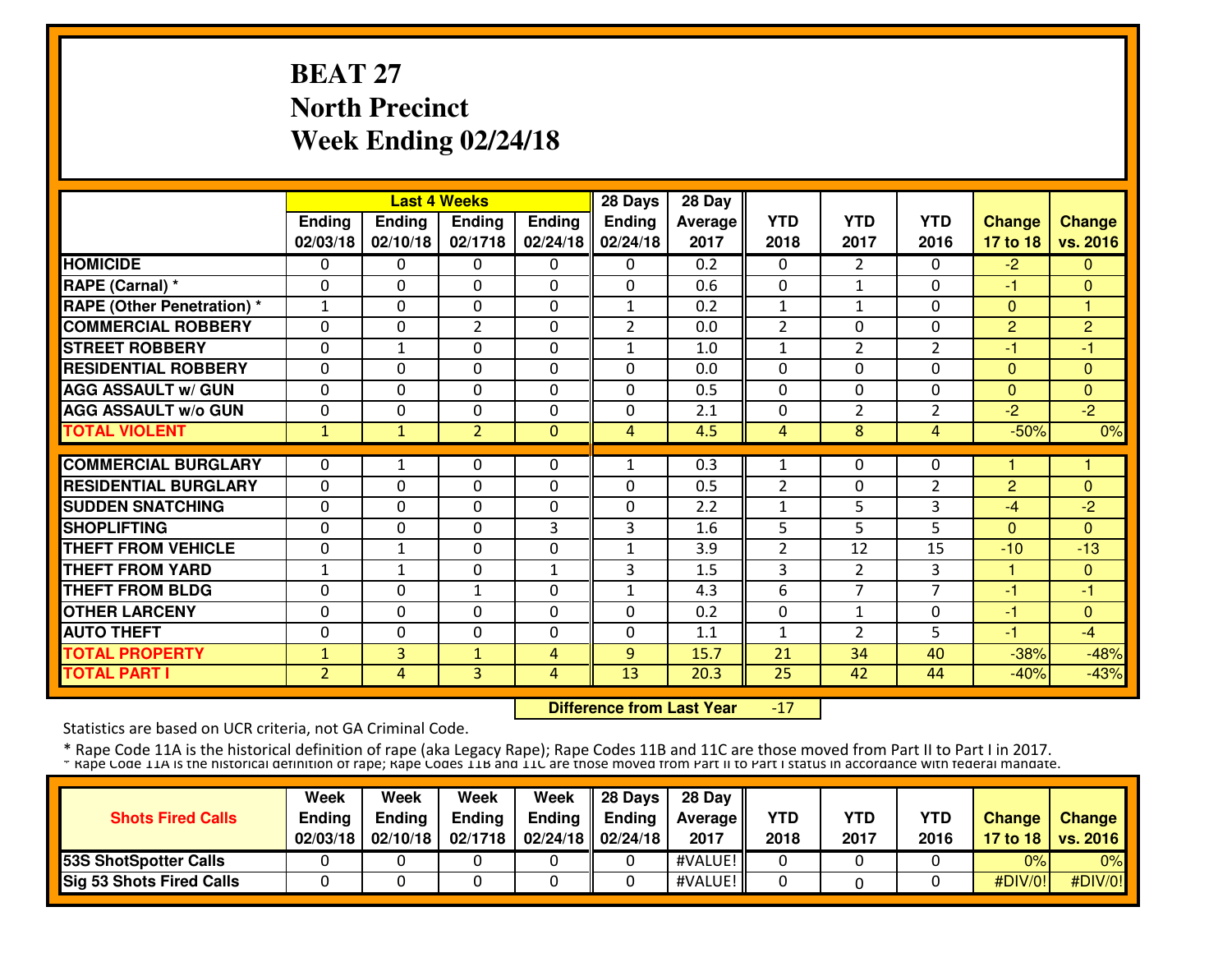# **BEAT 27 North PrecinctWeek Ending 02/24/18**

|                                   |                |                | <b>Last 4 Weeks</b> |               | 28 Days        | 28 Day  |                |                |                |                      |                |
|-----------------------------------|----------------|----------------|---------------------|---------------|----------------|---------|----------------|----------------|----------------|----------------------|----------------|
|                                   | <b>Ending</b>  | <b>Ending</b>  | <b>Ending</b>       | <b>Ending</b> | <b>Ending</b>  | Average | <b>YTD</b>     | <b>YTD</b>     | <b>YTD</b>     | <b>Change</b>        | <b>Change</b>  |
|                                   | 02/03/18       | 02/10/18       | 02/1718             | 02/24/18      | 02/24/18       | 2017    | 2018           | 2017           | 2016           | 17 to 18             | vs. 2016       |
| <b>HOMICIDE</b>                   | 0              | 0              | 0                   | 0             | $\Omega$       | 0.2     | 0              | $\overline{2}$ | 0              | $-2$                 | $\mathbf{0}$   |
| RAPE (Carnal) *                   | 0              | 0              | 0                   | 0             | $\Omega$       | 0.6     | $\mathbf{0}$   | 1              | 0              | $-1$                 | $\mathbf{0}$   |
| <b>RAPE (Other Penetration) *</b> | $\mathbf{1}$   | $\Omega$       | 0                   | 0             | $\mathbf{1}$   | 0.2     | $\mathbf{1}$   | $\mathbf{1}$   | $\Omega$       | $\mathbf{0}$         |                |
| <b>COMMERCIAL ROBBERY</b>         | 0              | $\Omega$       | $\overline{2}$      | 0             | $\overline{2}$ | 0.0     | $\overline{2}$ | 0              | $\Omega$       | 2                    | 2              |
| <b>STREET ROBBERY</b>             | 0              | $\mathbf{1}$   | 0                   | 0             | $\mathbf{1}$   | 1.0     | $\mathbf{1}$   | $\overline{2}$ | $\overline{2}$ | $-1$                 | -1             |
| <b>IRESIDENTIAL ROBBERY</b>       | 0              | $\Omega$       | 0                   | 0             | $\Omega$       | 0.0     | $\Omega$       | 0              | 0              | $\Omega$             | $\overline{0}$ |
| <b>AGG ASSAULT w/ GUN</b>         | $\mathbf{0}$   | $\Omega$       | 0                   | 0             | $\Omega$       | 0.5     | $\Omega$       | 0              | 0              | $\Omega$             | 0              |
| <b>AGG ASSAULT W/o GUN</b>        | $\mathbf{0}$   | $\Omega$       | 0                   | 0             | $\Omega$       | 2.1     | 0              | $\overline{2}$ | $\overline{2}$ | $-2$                 | $-2$           |
| <b>TOTAL VIOLENT</b>              | $\mathbf{1}$   | $\mathbf{1}$   | $\overline{2}$      | $\Omega$      | 4              | 4.5     | 4              | 8              | 4              | $-50%$               | 0%             |
|                                   |                |                |                     |               |                |         |                |                |                |                      |                |
| <b>COMMERCIAL BURGLARY</b>        | 0              | 1              | 0                   | 0             | $\mathbf 1$    | 0.3     | 1              | 0              | 0              |                      |                |
| <b>RESIDENTIAL BURGLARY</b>       | $\Omega$       | $\Omega$       | 0                   | 0             | $\Omega$       | 0.5     | $\overline{2}$ | 0              | $\overline{2}$ | 2                    | $\mathbf{0}$   |
| <b>SUDDEN SNATCHING</b>           | $\mathbf{0}$   | $\Omega$       | 0                   | 0             | $\Omega$       | 2.2     | $\mathbf{1}$   | 5              | 3              | -4                   | $-2$           |
| <b>ISHOPLIFTING</b>               | 0              | 0              | 0                   | 3             | 3              | 1.6     | 5              | 5              | 5.             | $\Omega$             | $\Omega$       |
| <b>THEFT FROM VEHICLE</b>         | 0              | 1              | 0                   | 0             | $\mathbf{1}$   | 3.9     | $\overline{2}$ | 12             | 15             | $-10$                | $-13$          |
| <b>THEFT FROM YARD</b>            | 1              | $\mathbf{1}$   | 0                   | $\mathbf{1}$  | 3              | 1.5     | 3              | $\overline{2}$ | 3              | $\blacktriangleleft$ | $\Omega$       |
| <b>THEFT FROM BLDG</b>            | 0              | $\Omega$       | $\mathbf{1}$        | 0             | $\mathbf{1}$   | 4.3     | 6              | 7              | $\overline{7}$ | $-1$                 | $-1$           |
| <b>OTHER LARCENY</b>              | $\mathbf{0}$   | $\Omega$       | 0                   | 0             | $\Omega$       | 0.2     | $\mathbf{0}$   | $\mathbf{1}$   | 0              | $-1$                 | $\mathbf{0}$   |
| <b>AUTO THEFT</b>                 | $\mathbf 0$    | $\Omega$       | 0                   | 0             | $\Omega$       | 1.1     | 1              | $\overline{2}$ | 5              | $-1$                 | $-4$           |
| <b>TOTAL PROPERTY</b>             | $\mathbf{1}$   | 3              | $\mathbf{1}$        | 4             | 9              | 15.7    | 21             | 34             | 40             | $-38%$               | $-48%$         |
| <b>TOTAL PART I</b>               | $\overline{2}$ | $\overline{4}$ | 3                   | 4             | 13             | 20.3    | 25             | 42             | 44             | $-40%$               | $-43%$         |

 **Difference from Last Year**-17

Statistics are based on UCR criteria, not GA Criminal Code.

|                                 | Week     | Week          | Week          | Week          | 28 Days              | 28 Day           |            |      |            |               |                     |
|---------------------------------|----------|---------------|---------------|---------------|----------------------|------------------|------------|------|------------|---------------|---------------------|
| <b>Shots Fired Calls</b>        | Endina   | <b>Endina</b> | <b>Ending</b> | <b>Ending</b> | <b>Ending</b>        | <b>Average</b> I | <b>YTD</b> | YTD  | <b>YTD</b> | <b>Change</b> | <b>Change</b>       |
|                                 | 02/03/18 | 02/10/18      | 02/1718       |               | 02/24/18    02/24/18 | 2017             | 2018       | 2017 | 2016       |               | 17 to 18   vs. 2016 |
| <b>153S ShotSpotter Calls</b>   |          |               |               |               |                      | #VALUE!          |            |      |            | 0%            | 0%                  |
| <b>Sig 53 Shots Fired Calls</b> |          |               |               |               |                      | #VALUE!          |            |      |            | #DIV/0!       | #DIV/0!             |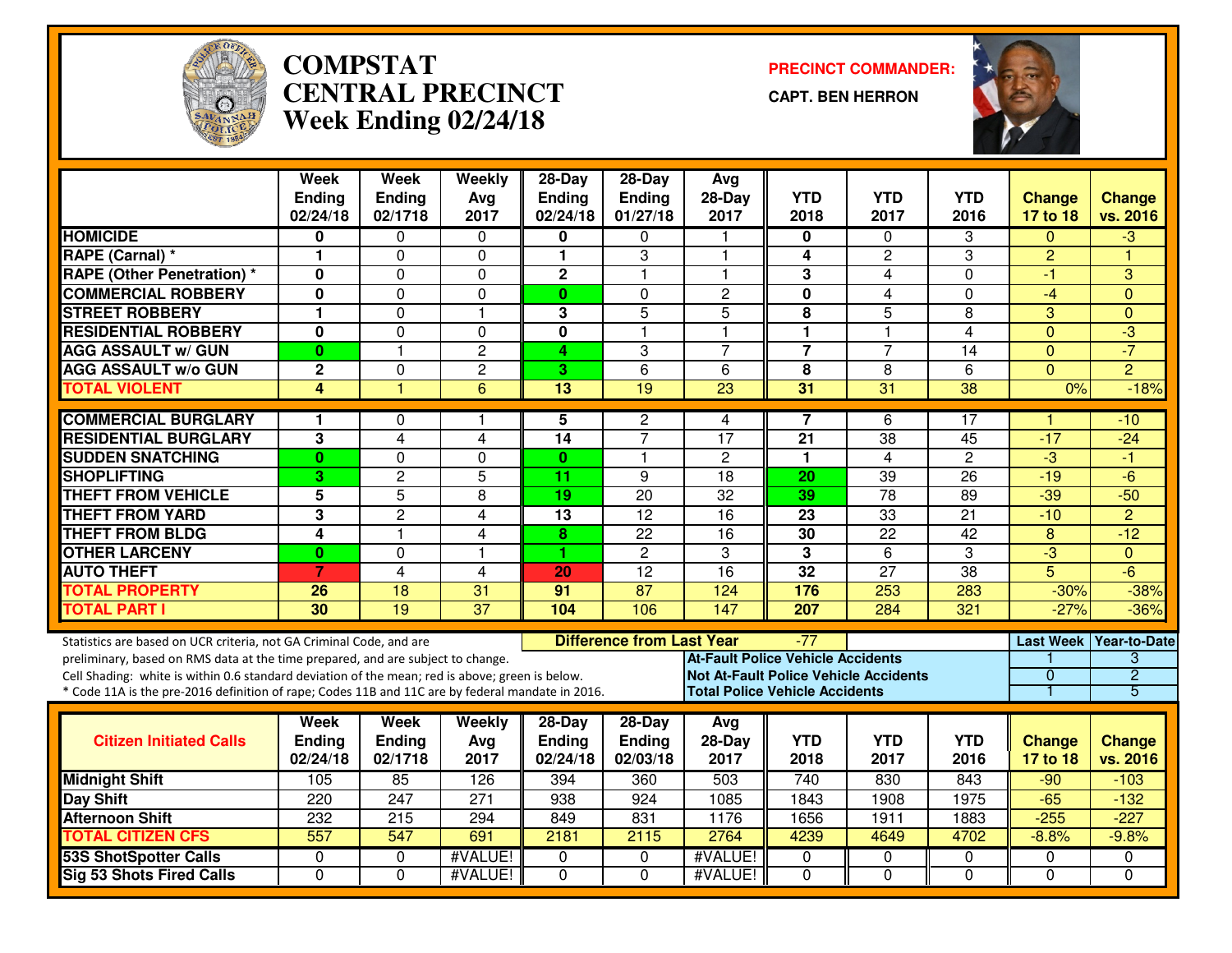

#### **COMPSTAT PRECINCT COMMANDER: CENTRAL PRECINCTWeek Ending 02/24/18**

**CAPT. BEN HERRON**



|                                                                                                  | Week<br><b>Ending</b>   | Week<br><b>Ending</b> | Weekly<br>Avg   | $28-Day$<br><b>Ending</b> | $28-Day$<br><b>Ending</b>        | Avg<br>28-Day                            | <b>YTD</b>              | YTD                                          | <b>YTD</b>      | <b>Change</b>  | Change                 |
|--------------------------------------------------------------------------------------------------|-------------------------|-----------------------|-----------------|---------------------------|----------------------------------|------------------------------------------|-------------------------|----------------------------------------------|-----------------|----------------|------------------------|
|                                                                                                  | 02/24/18                | 02/1718               | 2017            | 02/24/18                  | 01/27/18                         | 2017                                     | 2018                    | 2017                                         | 2016            | 17 to 18       | vs. 2016               |
| <b>HOMICIDE</b>                                                                                  | 0                       | $\Omega$              | $\mathbf{0}$    | 0                         | 0                                |                                          | 0                       | $\Omega$                                     | 3               | $\Omega$       | $-3$                   |
| <b>RAPE (Carnal) *</b>                                                                           | 1                       | $\mathbf 0$           | $\Omega$        | 1                         | 3                                | $\overline{1}$                           | 4                       | $\overline{2}$                               | 3               | $\overline{2}$ | $\overline{1}$         |
| <b>RAPE (Other Penetration) *</b>                                                                | $\overline{\mathbf{0}}$ | $\Omega$              | $\overline{0}$  | $\overline{2}$            | $\mathbf{1}$                     | $\overline{1}$                           | $\overline{3}$          | $\overline{\mathbf{4}}$                      | $\overline{0}$  | $-1$           | $\overline{3}$         |
| <b>COMMERCIAL ROBBERY</b>                                                                        | $\mathbf 0$             | $\Omega$              | $\Omega$        | $\mathbf{0}$              | $\Omega$                         | 2                                        | 0                       | 4                                            | 0               | $-4$           | $\Omega$               |
| <b>STREET ROBBERY</b>                                                                            | 1                       | $\Omega$              | $\mathbf{1}$    | 3                         | $\overline{5}$                   | $\overline{5}$                           | 8                       | 5                                            | 8               | 3              | $\Omega$               |
| <b>RESIDENTIAL ROBBERY</b>                                                                       | $\mathbf 0$             | $\mathbf 0$           | 0               | $\mathbf 0$               | $\mathbf{1}$                     | $\overline{1}$                           | $\mathbf{1}$            | 1                                            | 4               | $\mathbf{0}$   | $\overline{\omega}$    |
| <b>AGG ASSAULT w/ GUN</b>                                                                        | $\bf{0}$                | $\overline{1}$        | $\overline{c}$  | 4                         | 3                                | $\overline{7}$                           | $\overline{7}$          | $\overline{7}$                               | 14              | $\mathbf{0}$   | $-7$                   |
| <b>AGG ASSAULT w/o GUN</b>                                                                       | $\overline{2}$          | $\mathbf 0$           | $\overline{2}$  | 3                         | $\overline{6}$                   | 6                                        | $\overline{\mathbf{8}}$ | $\overline{8}$                               | 6               | $\Omega$       | $\overline{2}$         |
| <b>TOTAL VIOLENT</b>                                                                             | 4                       |                       | 6               | $\overline{13}$           | 19                               | 23                                       | 31                      | $\overline{31}$                              | 38              | 0%             | $-18%$                 |
| <b>COMMERCIAL BURGLARY</b>                                                                       | 1                       | $\Omega$              |                 | 5                         | $\overline{2}$                   | 4                                        | 7                       | 6                                            | 17              |                | $-10$                  |
| <b>RESIDENTIAL BURGLARY</b>                                                                      | $\overline{\mathbf{3}}$ | $\overline{4}$        | $\overline{4}$  | 14                        | 7                                | $\overline{17}$                          | $\overline{21}$         | 38                                           | 45              | $-17$          | $-24$                  |
| <b>SUDDEN SNATCHING</b>                                                                          | $\bf{0}$                | $\mathbf 0$           | $\mathbf 0$     | $\mathbf{0}$              | $\mathbf{1}$                     | $\overline{c}$                           | $\mathbf{1}$            | $\overline{\mathbf{4}}$                      | $\overline{c}$  | $\overline{3}$ | $-1$                   |
| <b>SHOPLIFTING</b>                                                                               | 3                       | $\overline{2}$        | $\overline{5}$  | 11                        | 9                                | $\overline{18}$                          | $\overline{20}$         | $\overline{39}$                              | $\overline{26}$ | $-19$          | $-\sqrt{6}$            |
| <b>THEFT FROM VEHICLE</b>                                                                        | 5                       | 5                     | 8               | 19                        | $\overline{20}$                  | 32                                       | 39                      | 78                                           | $\overline{89}$ | $-39$          | $-50$                  |
| <b>THEFT FROM YARD</b>                                                                           | 3                       | $\overline{2}$        | $\overline{4}$  | 13                        | $\overline{12}$                  | $\overline{16}$                          | 23                      | 33                                           | 21              | $-10$          | $\overline{2}$         |
| <b>THEFT FROM BLDG</b>                                                                           | 4                       | $\overline{1}$        | $\overline{4}$  | 8                         | $\overline{22}$                  | 16                                       | 30                      | $\overline{22}$                              | 42              | $\overline{8}$ | $-12$                  |
| <b>OTHER LARCENY</b>                                                                             | $\bf{0}$                | $\Omega$              | $\overline{1}$  | 1                         | $\overline{2}$                   | 3                                        | $\overline{3}$          | 6                                            | 3               | $-3$           | $\Omega$               |
| <b>AUTO THEFT</b>                                                                                | $\overline{7}$          | 4                     | $\overline{4}$  | 20                        | 12                               | 16                                       | 32                      | $\overline{27}$                              | $\overline{38}$ | 5              | $-6$                   |
| <b>TOTAL PROPERTY</b>                                                                            | 26                      | $\overline{18}$       | 31              | $\overline{91}$           | $\overline{87}$                  | 124                                      | 176                     | 253                                          | 283             | $-30%$         | $-38%$                 |
| <b>TOTAL PART I</b>                                                                              | 30                      | 19                    | $\overline{37}$ | 104                       | 106                              | 147                                      | 207                     | 284                                          | 321             | $-27%$         | $-36%$                 |
| Statistics are based on UCR criteria, not GA Criminal Code, and are                              |                         |                       |                 |                           | <b>Difference from Last Year</b> |                                          | $-77$                   |                                              |                 |                | Last Week Year-to-Date |
| preliminary, based on RMS data at the time prepared, and are subject to change.                  |                         |                       |                 |                           |                                  | <b>At-Fault Police Vehicle Accidents</b> |                         |                                              |                 |                | 3                      |
| Cell Shading: white is within 0.6 standard deviation of the mean; red is above; green is below.  |                         |                       |                 |                           |                                  |                                          |                         | <b>Not At-Fault Police Vehicle Accidents</b> |                 | $\overline{0}$ | $\overline{2}$         |
| * Code 11A is the pre-2016 definition of rape; Codes 11B and 11C are by federal mandate in 2016. |                         |                       |                 |                           |                                  | <b>Total Police Vehicle Accidents</b>    |                         |                                              |                 |                | 5                      |
|                                                                                                  | Week                    | <b>Week</b>           | Weekly          | $28-Day$                  | $28-Day$                         | Avg                                      |                         |                                              |                 |                |                        |
| <b>Citizen Initiated Calls</b>                                                                   | <b>Ending</b>           | <b>Ending</b>         | Avg             | Ending                    | <b>Ending</b>                    | $28-Day$                                 | <b>YTD</b>              | <b>YTD</b>                                   | <b>YTD</b>      | <b>Change</b>  | <b>Change</b>          |
|                                                                                                  | 02/24/18                | 02/1718               | 2017            | 02/24/18                  | 02/03/18                         | 2017                                     | 2018                    | 2017                                         | 2016            | 17 to 18       | vs. 2016               |
| <b>Midnight Shift</b>                                                                            | 105                     | 85                    | 126             | 394                       | 360                              | 503                                      | 740                     | 830                                          | 843             | $-90$          | $-103$                 |
| <b>Day Shift</b>                                                                                 | 220                     | 247                   | 271             | 938                       | 924                              | 1085                                     | 1843                    | 1908                                         | 1975            | $-65$          | $-132$                 |
| <b>Afternoon Shift</b>                                                                           | 232                     | $\overline{215}$      | 294             | 849                       | 831                              | 1176                                     | 1656                    | 1911                                         | 1883            | $-255$         | $-227$                 |
| <b>TOTAL CITIZEN CFS</b>                                                                         | 557                     | 547                   | 691             | 2181                      | 2115                             | 2764                                     | 4239                    | 4649                                         | 4702            | $-8.8%$        | $-9.8%$                |
| <b>53S ShotSpotter Calls</b>                                                                     | 0                       | 0                     | #VALUE!         | 0                         | 0                                | #VALUE!                                  | 0                       | 0                                            | 0               | $\mathbf 0$    | $\mathbf 0$            |
| <b>Sig 53 Shots Fired Calls</b>                                                                  | $\Omega$                | $\Omega$              | #VALUE!         | $\Omega$                  | $\Omega$                         | #VALUE!                                  | $\Omega$                | $\Omega$                                     | 0               | $\Omega$       | $\Omega$               |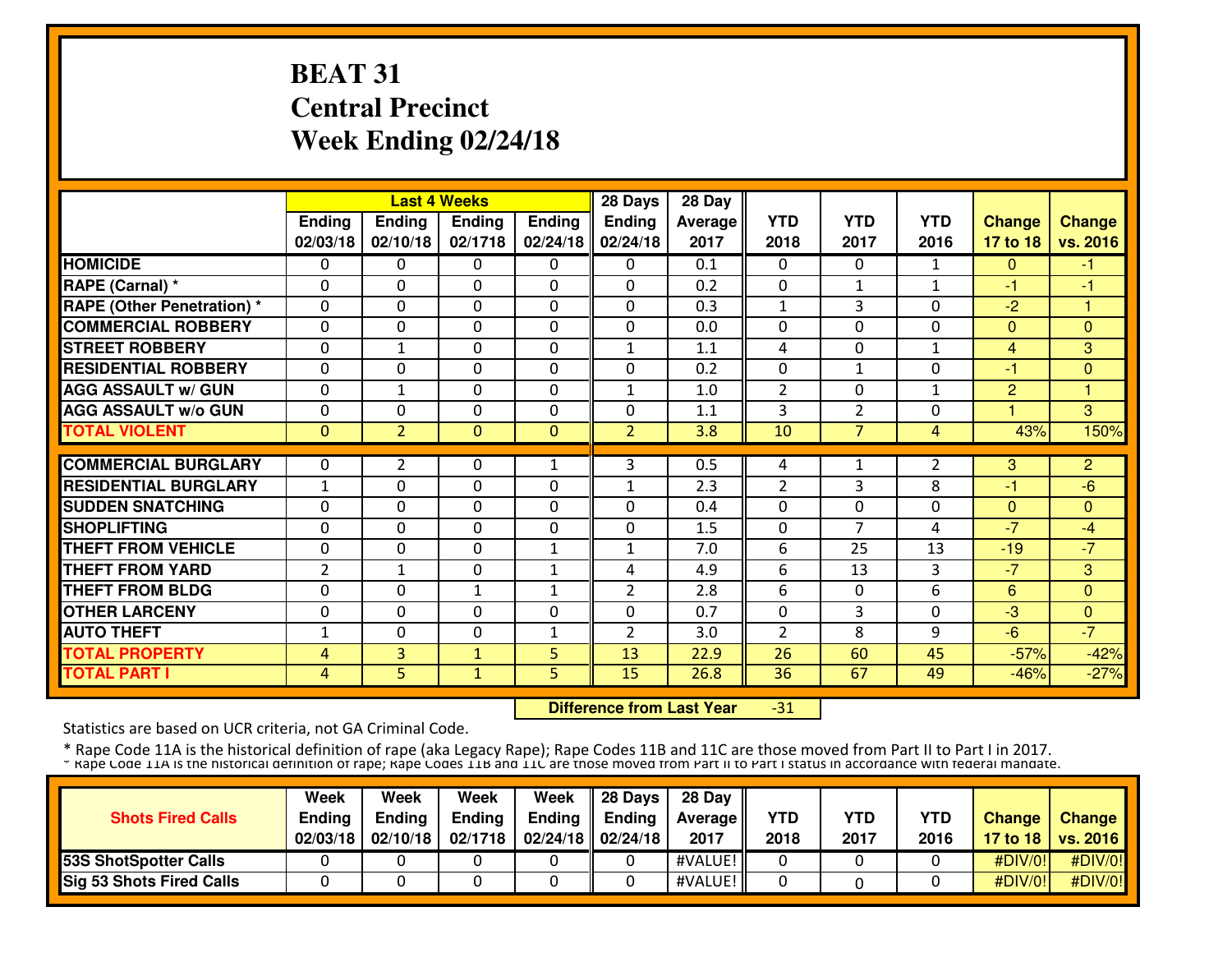# **BEAT 31 Central PrecinctWeek Ending 02/24/18**

|                                   |                | <b>Last 4 Weeks</b> |              |               | 28 Days        | 28 Day  |                |                |              |                |                |
|-----------------------------------|----------------|---------------------|--------------|---------------|----------------|---------|----------------|----------------|--------------|----------------|----------------|
|                                   | <b>Ending</b>  | Ending              | Ending       | <b>Ending</b> | <b>Ending</b>  | Average | <b>YTD</b>     | <b>YTD</b>     | <b>YTD</b>   | <b>Change</b>  | <b>Change</b>  |
|                                   | 02/03/18       | 02/10/18            | 02/1718      | 02/24/18      | 02/24/18       | 2017    | 2018           | 2017           | 2016         | 17 to 18       | vs. 2016       |
| <b>HOMICIDE</b>                   | 0              | $\Omega$            | 0            | 0             | $\Omega$       | 0.1     | 0              | 0              | 1            | $\mathbf{0}$   | $-1$           |
| RAPE (Carnal) *                   | 0              | 0                   | 0            | 0             | $\Omega$       | 0.2     | $\mathbf{0}$   | 1              | 1            | -1             | -1             |
| <b>RAPE (Other Penetration) *</b> | $\Omega$       | 0                   | 0            | 0             | $\Omega$       | 0.3     | $\mathbf{1}$   | 3              | $\Omega$     | $-2$           | 1              |
| <b>COMMERCIAL ROBBERY</b>         | $\Omega$       | 0                   | 0            | 0             | 0              | 0.0     | $\mathbf{0}$   | 0              | 0            | $\Omega$       | $\Omega$       |
| <b>STREET ROBBERY</b>             | 0              | $\mathbf{1}$        | 0            | 0             | 1              | 1.1     | 4              | 0              | $\mathbf{1}$ | $\overline{4}$ | 3              |
| <b>RESIDENTIAL ROBBERY</b>        | $\Omega$       | $\Omega$            | $\Omega$     | $\Omega$      | $\Omega$       | 0.2     | $\Omega$       | $\mathbf{1}$   | $\Omega$     | -1             | $\Omega$       |
| <b>AGG ASSAULT w/ GUN</b>         | $\Omega$       | $\mathbf{1}$        | 0            | 0             | $\mathbf{1}$   | 1.0     | $\overline{2}$ | 0              | 1            | $\overline{2}$ | и              |
| <b>AGG ASSAULT w/o GUN</b>        | $\Omega$       | 0                   | $\Omega$     | $\Omega$      | $\Omega$       | 1.1     | 3              | $\overline{2}$ | $\Omega$     |                | 3              |
| <b>TOTAL VIOLENT</b>              | $\Omega$       | $\overline{2}$      | $\Omega$     | $\mathbf{0}$  | $\overline{2}$ | 3.8     | 10             | $\overline{7}$ | 4            | 43%            | 150%           |
|                                   |                |                     |              |               |                |         |                |                |              |                |                |
| <b>COMMERCIAL BURGLARY</b>        | 0              | 2                   | 0            | 1             | 3              | 0.5     | 4              | 1              | 2            | 3              | 2              |
| <b>RESIDENTIAL BURGLARY</b>       | $\mathbf{1}$   | 0                   | 0            | 0             | $\mathbf{1}$   | 2.3     | $\overline{2}$ | 3              | 8            | -1             | $-6$           |
| <b>SUDDEN SNATCHING</b>           | 0              | 0                   | $\Omega$     | $\Omega$      | $\Omega$       | 0.4     | $\Omega$       | 0              | $\Omega$     | $\mathbf{0}$   | $\Omega$       |
| <b>SHOPLIFTING</b>                | 0              | 0                   | 0            | 0             | $\Omega$       | 1.5     | $\mathbf{0}$   | $\overline{7}$ | 4            | $-7$           | $-4$           |
| <b>THEFT FROM VEHICLE</b>         | $\Omega$       | 0                   | 0            | $\mathbf{1}$  | $\mathbf{1}$   | 7.0     | 6              | 25             | 13           | $-19$          | $-7$           |
| <b>THEFT FROM YARD</b>            | $\overline{2}$ | $\mathbf{1}$        | 0            | $\mathbf{1}$  | 4              | 4.9     | 6              | 13             | 3            | $-7$           | 3              |
| <b>THEFT FROM BLDG</b>            | 0              | $\Omega$            | $\mathbf{1}$ | $\mathbf{1}$  | $\overline{2}$ | 2.8     | 6              | $\Omega$       | 6            | 6              | $\overline{0}$ |
| <b>OTHER LARCENY</b>              | $\mathbf{0}$   | 0                   | 0            | 0             | $\Omega$       | 0.7     | $\mathbf{0}$   | 3              | 0            | -3             | $\Omega$       |
| <b>AUTO THEFT</b>                 | $\mathbf{1}$   | 0                   | 0            | $\mathbf{1}$  | $\overline{2}$ | 3.0     | $\overline{2}$ | $\mathsf{R}$   | 9            | $-6$           | $-7$           |
| <b>TOTAL PROPERTY</b>             | $\overline{4}$ | 3                   | $\mathbf{1}$ | 5             | 13             | 22.9    | 26             | 60             | 45           | $-57%$         | $-42%$         |
| <b>TOTAL PART I</b>               | 4              | 5                   | $\mathbf{1}$ | 5             | 15             | 26.8    | 36             | 67             | 49           | $-46%$         | $-27%$         |

 **Difference from Last Year**-31

Statistics are based on UCR criteria, not GA Criminal Code.

|                                 | Week          | Week          | Week          | Week                                      | $\parallel$ 28 Days | 28 Dav            |      |      |      |               |                     |
|---------------------------------|---------------|---------------|---------------|-------------------------------------------|---------------------|-------------------|------|------|------|---------------|---------------------|
| <b>Shots Fired Calls</b>        | <b>Ending</b> | <b>Ending</b> | <b>Ending</b> | Ending                                    | <b>Ending</b>       | <b>Average</b> II | YTD  | YTD  | YTD  | <b>Change</b> | <b>Change</b>       |
|                                 | 02/03/18      | 02/10/18      | 02/1718       | $\parallel$ 02/24/18 $\parallel$ 02/24/18 |                     | 2017              | 2018 | 2017 | 2016 |               | 17 to 18   vs. 2016 |
| <b>153S ShotSpotter Calls</b>   |               |               |               |                                           |                     | #VALUE!           |      |      |      | #DIV/0!       | #DIV/0!             |
| <b>Sig 53 Shots Fired Calls</b> |               |               |               |                                           |                     | #VALUE!           |      |      |      | #DIV/0!]      | #DIV/0!             |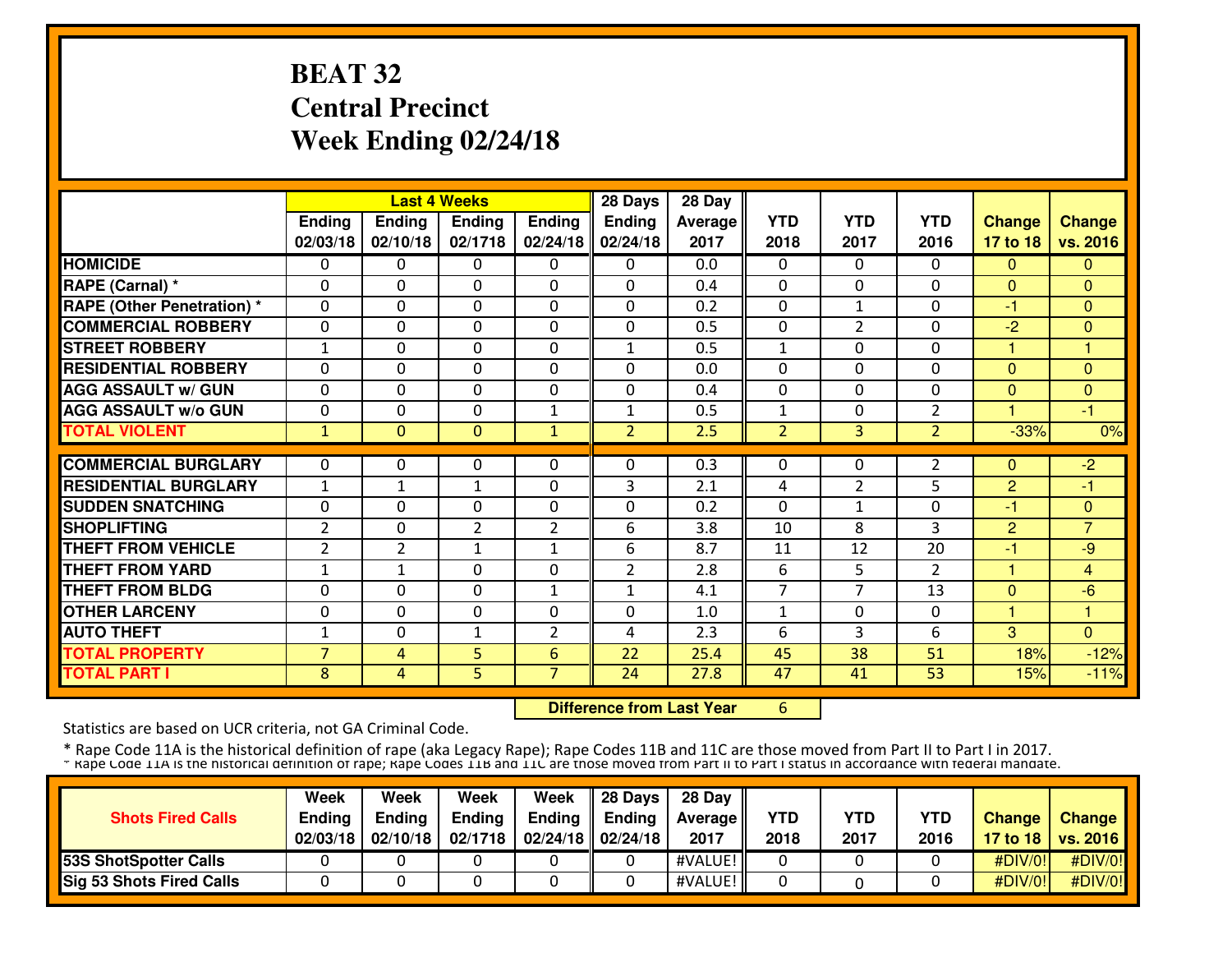# **BEAT 32 Central PrecinctWeek Ending 02/24/18**

|                                  |                    |                           | <b>Last 4 Weeks</b> |                           | 28 Days                   | 28 Day          |                    |                    |                    |                           |                           |
|----------------------------------|--------------------|---------------------------|---------------------|---------------------------|---------------------------|-----------------|--------------------|--------------------|--------------------|---------------------------|---------------------------|
|                                  | Ending<br>02/03/18 | <b>Ending</b><br>02/10/18 | Ending<br>02/1718   | <b>Ending</b><br>02/24/18 | <b>Ending</b><br>02/24/18 | Average<br>2017 | <b>YTD</b><br>2018 | <b>YTD</b><br>2017 | <b>YTD</b><br>2016 | <b>Change</b><br>17 to 18 | <b>Change</b><br>vs. 2016 |
| <b>HOMICIDE</b>                  |                    |                           |                     |                           |                           |                 |                    |                    |                    |                           |                           |
|                                  | 0                  | 0                         | 0                   | $\Omega$                  | $\Omega$                  | 0.0             | 0                  | 0                  | 0                  | $\mathbf{0}$              | $\mathbf{0}$              |
| RAPE (Carnal) *                  | 0                  | $\Omega$                  | 0                   | 0                         | $\Omega$                  | 0.4             | 0                  | 0                  | $\Omega$           | $\Omega$                  | $\Omega$                  |
| <b>RAPE (Other Penetration)*</b> | $\mathbf{0}$       | $\Omega$                  | 0                   | 0                         | $\Omega$                  | 0.2             | 0                  | $\mathbf{1}$       | 0                  | $-1$                      | $\Omega$                  |
| <b>COMMERCIAL ROBBERY</b>        | 0                  | 0                         | 0                   | 0                         | $\Omega$                  | 0.5             | 0                  | $\overline{2}$     | 0                  | $-2$                      | 0                         |
| <b>STREET ROBBERY</b>            | $\mathbf{1}$       | 0                         | 0                   | 0                         | $\mathbf{1}$              | 0.5             | 1                  | 0                  | 0                  |                           |                           |
| <b>RESIDENTIAL ROBBERY</b>       | $\Omega$           | $\Omega$                  | $\Omega$            | $\Omega$                  | $\Omega$                  | 0.0             | $\Omega$           | 0                  | 0                  | $\Omega$                  | $\overline{0}$            |
| <b>AGG ASSAULT w/ GUN</b>        | $\Omega$           | 0                         | $\Omega$            | 0                         | $\Omega$                  | 0.4             | 0                  | 0                  | 0                  | $\Omega$                  | $\mathbf{0}$              |
| <b>AGG ASSAULT w/o GUN</b>       | 0                  | 0                         | $\Omega$            | 1                         | $\mathbf{1}$              | 0.5             | 1                  | 0                  | $\overline{2}$     |                           | -1                        |
| <b>TOTAL VIOLENT</b>             | $\mathbf{1}$       | $\Omega$                  | $\mathbf{0}$        | $\mathbf{1}$              | $\overline{2}$            | 2.5             | $\overline{2}$     | 3                  | $\overline{2}$     | $-33%$                    | 0%                        |
|                                  |                    |                           |                     |                           |                           |                 |                    |                    |                    |                           |                           |
| <b>COMMERCIAL BURGLARY</b>       | 0                  | 0                         | 0                   | 0                         | $\Omega$                  | 0.3             | 0                  | 0                  | 2                  | $\mathbf{0}$              | $-2$                      |
| <b>RESIDENTIAL BURGLARY</b>      | $\mathbf{1}$       | $\mathbf{1}$              | $\mathbf{1}$        | 0                         | 3                         | 2.1             | 4                  | $\overline{2}$     | 5                  | 2                         | -1                        |
| <b>SUDDEN SNATCHING</b>          | 0                  | 0                         | $\Omega$            | 0                         | $\Omega$                  | 0.2             | $\Omega$           | 1                  | 0                  | -1                        | $\mathbf{0}$              |
| <b>SHOPLIFTING</b>               | $\overline{2}$     | $\Omega$                  | 2                   | 2                         | 6                         | 3.8             | 10                 | 8                  | 3                  | 2                         | $\overline{7}$            |
| <b>THEFT FROM VEHICLE</b>        | $\overline{2}$     | $\overline{2}$            | $\mathbf{1}$        | $\mathbf{1}$              | 6                         | 8.7             | 11                 | 12                 | 20                 | $-1$                      | -9                        |
| <b>THEFT FROM YARD</b>           | $\mathbf{1}$       | $\mathbf{1}$              | 0                   | $\Omega$                  | $\overline{2}$            | 2.8             | 6                  | 5                  | $\overline{2}$     | 4                         | $\overline{4}$            |
| <b>THEFT FROM BLDG</b>           | $\mathbf{0}$       | $\Omega$                  | 0                   | $\mathbf{1}$              | $\mathbf{1}$              | 4.1             | $\overline{7}$     | $\overline{7}$     | 13                 | $\mathbf{0}$              | $-6$                      |
| <b>OTHER LARCENY</b>             | $\mathbf{0}$       | 0                         | 0                   | 0                         | $\Omega$                  | 1.0             | 1                  | $\mathbf{0}$       | 0                  | 1                         | $\overline{1}$            |
| <b>AUTO THEFT</b>                | $\mathbf{1}$       | $\Omega$                  | $\mathbf{1}$        | $\overline{2}$            | 4                         | 2.3             | 6                  | 3                  | 6                  | 3                         | $\overline{0}$            |
| <b>TOTAL PROPERTY</b>            | $\overline{7}$     | 4                         | 5                   | 6                         | 22                        | 25.4            | 45                 | 38                 | 51                 | 18%                       | $-12%$                    |
| <b>TOTAL PART I</b>              | 8                  | 4                         | 5                   | $\overline{7}$            | 24                        | 27.8            | 47                 | 41                 | 53                 | 15%                       | $-11%$                    |

 **Difference from Last Year**<sup>6</sup>

Statistics are based on UCR criteria, not GA Criminal Code.

|                                 | Week          | Week          | Week          | Week                                      | $\parallel$ 28 Days | 28 Dav            |            |      |            |               |                     |
|---------------------------------|---------------|---------------|---------------|-------------------------------------------|---------------------|-------------------|------------|------|------------|---------------|---------------------|
| <b>Shots Fired Calls</b>        | <b>Ending</b> | <b>Ending</b> | <b>Ending</b> | Ending                                    | <b>Ending</b>       | <b>Average II</b> | <b>YTD</b> | YTD  | <b>YTD</b> | <b>Change</b> | <b>Change</b>       |
|                                 | 02/03/18      | 02/10/18      | 02/1718       | $\parallel$ 02/24/18 $\parallel$ 02/24/18 |                     | 2017              | 2018       | 2017 | 2016       |               | 17 to 18   vs. 2016 |
| <b>53S ShotSpotter Calls</b>    |               |               |               |                                           |                     | #VALUE!           |            |      |            | #DIV/0!       | $\#$ DIV/0!         |
| <b>Sig 53 Shots Fired Calls</b> |               |               |               |                                           |                     | #VALUE!           |            |      |            | #DIV/0!       | #DIV/0!             |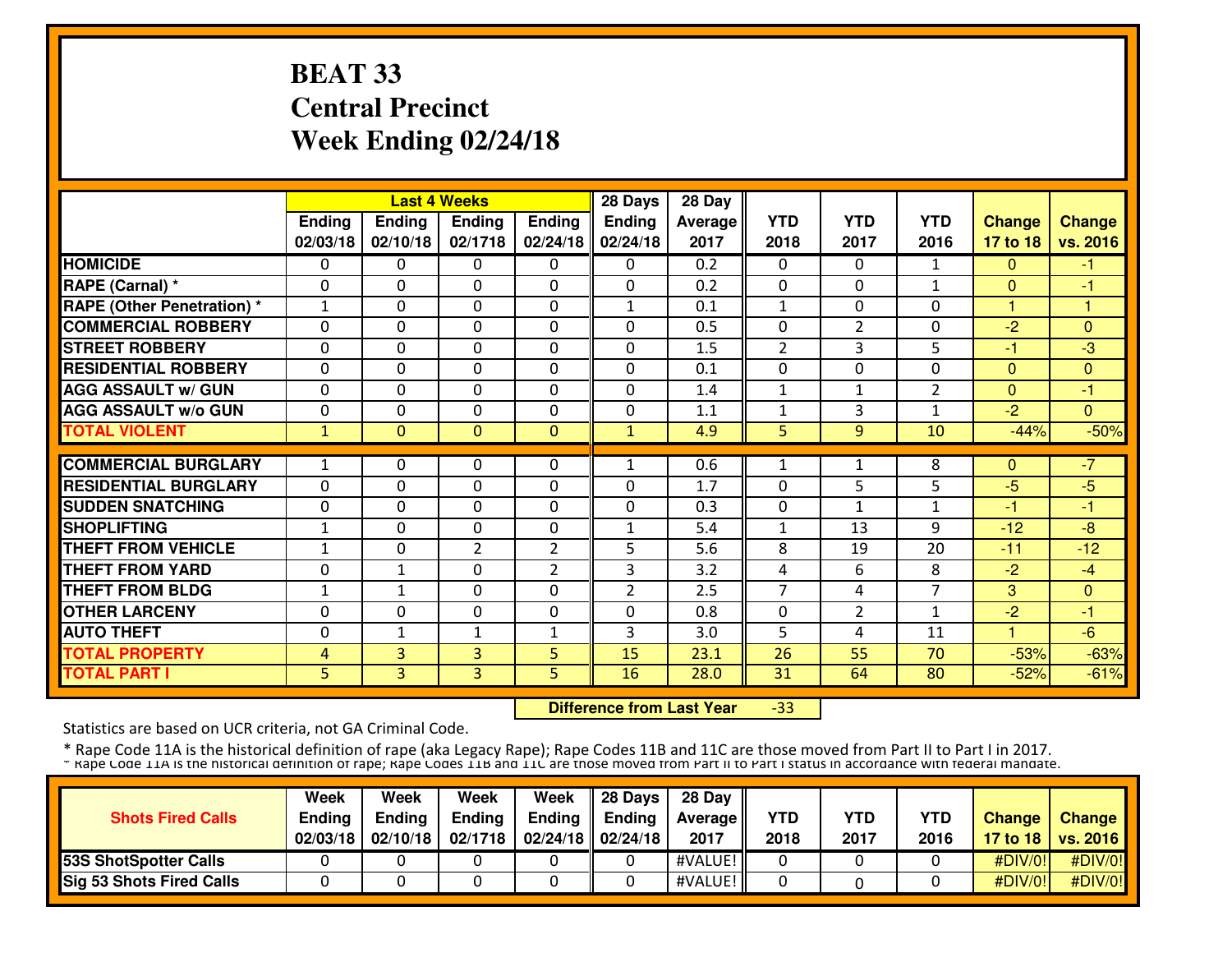# **BEAT 33 Central PrecinctWeek Ending 02/24/18**

|                                  |                | <b>Last 4 Weeks</b> |                |                | 28 Days        | 28 Day  |                |                |                |               |                |
|----------------------------------|----------------|---------------------|----------------|----------------|----------------|---------|----------------|----------------|----------------|---------------|----------------|
|                                  | Ending         | <b>Ending</b>       | Ending         | <b>Ending</b>  | <b>Ending</b>  | Average | <b>YTD</b>     | <b>YTD</b>     | <b>YTD</b>     | <b>Change</b> | <b>Change</b>  |
|                                  | 02/03/18       | 02/10/18            | 02/1718        | 02/24/18       | 02/24/18       | 2017    | 2018           | 2017           | 2016           | 17 to 18      | vs. 2016       |
| <b>HOMICIDE</b>                  | 0              | 0                   | 0              | 0              | 0              | 0.2     | 0              | 0              | 1              | $\Omega$      | -1             |
| RAPE (Carnal) *                  | $\Omega$       | 0                   | 0              | $\Omega$       | $\Omega$       | 0.2     | $\mathbf{0}$   | 0              | $\mathbf{1}$   | $\Omega$      | -1             |
| <b>RAPE (Other Penetration)*</b> | $\mathbf{1}$   | 0                   | 0              | 0              | 1              | 0.1     | $\mathbf{1}$   | $\Omega$       | 0              |               |                |
| <b>COMMERCIAL ROBBERY</b>        | 0              | 0                   | 0              | 0              | $\Omega$       | 0.5     | $\mathbf{0}$   | $\overline{2}$ | 0              | -2            | $\Omega$       |
| <b>STREET ROBBERY</b>            | 0              | 0                   | 0              | 0              | $\Omega$       | 1.5     | $\overline{2}$ | 3              | 5              | -1            | $-3$           |
| <b>RESIDENTIAL ROBBERY</b>       | $\Omega$       | 0                   | 0              | 0              | $\Omega$       | 0.1     | 0              | 0              | $\Omega$       | $\Omega$      | $\Omega$       |
| <b>AGG ASSAULT w/ GUN</b>        | $\Omega$       | $\Omega$            | $\Omega$       | $\Omega$       | $\Omega$       | 1.4     | $\mathbf{1}$   | $\mathbf{1}$   | $\overline{2}$ | $\Omega$      | -1             |
| <b>AGG ASSAULT w/o GUN</b>       | 0              | 0                   | $\Omega$       | $\Omega$       | $\Omega$       | 1.1     | 1              | 3              | 1              | $-2$          | $\Omega$       |
| <b>TOTAL VIOLENT</b>             | $\mathbf{1}$   | $\Omega$            | $\mathbf{0}$   | $\mathbf{0}$   | $\mathbf{1}$   | 4.9     | 5              | 9              | 10             | $-44%$        | $-50%$         |
| <b>COMMERCIAL BURGLARY</b>       | 1              | 0                   | 0              | $\Omega$       | $\mathbf{1}$   | 0.6     | 1              | 1              | 8              | $\mathbf{0}$  | $-7$           |
| <b>RESIDENTIAL BURGLARY</b>      | 0              | 0                   | $\Omega$       | $\Omega$       | $\Omega$       | 1.7     | $\Omega$       | 5              | 5              | -5            | $-5$           |
| <b>SUDDEN SNATCHING</b>          | $\Omega$       | $\Omega$            | $\Omega$       | $\Omega$       | $\Omega$       | 0.3     | $\Omega$       | $\mathbf{1}$   | 1              | -1            | $-1$           |
| <b>SHOPLIFTING</b>               | 1              | 0                   | 0              | 0              | 1              | 5.4     | $\mathbf{1}$   | 13             | 9              | $-12$         | -8             |
| <b>THEFT FROM VEHICLE</b>        | $\mathbf{1}$   | 0                   | $\overline{2}$ | $\overline{2}$ | 5              | 5.6     | 8              | 19             | 20             | $-11$         | $-12$          |
| <b>THEFT FROM YARD</b>           | 0              | $\mathbf{1}$        | 0              | $\overline{2}$ | 3              | 3.2     | 4              | 6              | 8              | $-2$          | $-4$           |
| <b>THEFT FROM BLDG</b>           | $\mathbf{1}$   | $\mathbf{1}$        | 0              | 0              | $\overline{2}$ | 2.5     | $\overline{7}$ | 4              | $\overline{7}$ | 3             | $\overline{0}$ |
| <b>OTHER LARCENY</b>             | 0              | 0                   | 0              | 0              | $\Omega$       | 0.8     | $\mathbf{0}$   | $\overline{2}$ | $\mathbf{1}$   | $-2$          | -1             |
| <b>AUTO THEFT</b>                | $\mathbf{0}$   | $\mathbf{1}$        | $\mathbf{1}$   | $\mathbf{1}$   | 3              | 3.0     | 5              | 4              | 11             | 1             | $-6$           |
|                                  |                |                     |                |                |                |         | 26             |                | 70             | $-53%$        |                |
| <b>TOTAL PROPERTY</b>            | $\overline{4}$ | 3                   | 3              | 5              | 15             | 23.1    |                | 55             |                |               | $-63%$         |
| <b>TOTAL PART I</b>              | 5              | 3                   | 3              | 5              | 16             | 28.0    | 31             | 64             | 80             | $-52%$        | $-61%$         |

 **Difference from Last Year**-33

Statistics are based on UCR criteria, not GA Criminal Code.

|                                 | Week          | Week          | Week          | Week                                      | $\parallel$ 28 Days | 28 Dav            |            |      |      |               |                     |
|---------------------------------|---------------|---------------|---------------|-------------------------------------------|---------------------|-------------------|------------|------|------|---------------|---------------------|
| <b>Shots Fired Calls</b>        | <b>Ending</b> | <b>Ending</b> | <b>Ending</b> | Ending                                    | <b>Ending</b>       | <b>Average</b> II | <b>YTD</b> | YTD  | YTD  | <b>Change</b> | <b>Change</b>       |
|                                 | 02/03/18      | 02/10/18      | 02/1718       | $\parallel$ 02/24/18 $\parallel$ 02/24/18 |                     | 2017              | 2018       | 2017 | 2016 |               | 17 to 18   vs. 2016 |
| <b>53S ShotSpotter Calls</b>    |               |               |               |                                           |                     | #VALUE!           |            |      |      | #DIV/0!       | $\#$ DIV/0!         |
| <b>Sig 53 Shots Fired Calls</b> |               |               |               |                                           |                     | #VALUE!           |            |      |      | #DIV/0!]      | #DIV/0!             |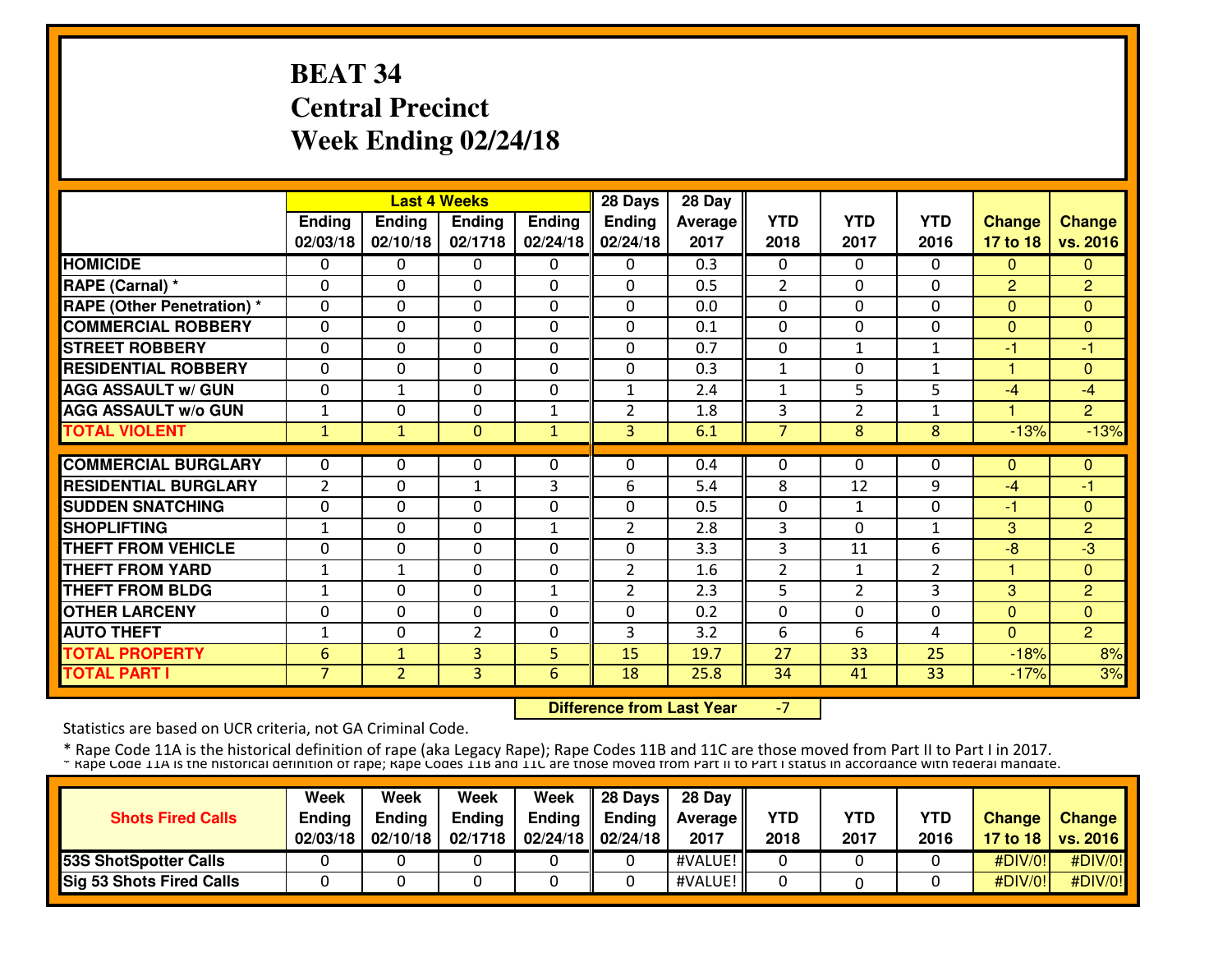# **BEAT 34 Central PrecinctWeek Ending 02/24/18**

|                                   |                | <b>Last 4 Weeks</b> |                |               | 28 Days        | 28 Day  |                |                |                |                |                |
|-----------------------------------|----------------|---------------------|----------------|---------------|----------------|---------|----------------|----------------|----------------|----------------|----------------|
|                                   | Ending         | Ending              | Ending         | <b>Ending</b> | <b>Ending</b>  | Average | <b>YTD</b>     | <b>YTD</b>     | <b>YTD</b>     | <b>Change</b>  | <b>Change</b>  |
|                                   | 02/03/18       | 02/10/18            | 02/1718        | 02/24/18      | 02/24/18       | 2017    | 2018           | 2017           | 2016           | 17 to 18       | vs. 2016       |
| <b>HOMICIDE</b>                   | 0              | 0                   | 0              | 0             | $\Omega$       | 0.3     | 0              | 0              | $\Omega$       | $\mathbf{0}$   | $\mathbf{0}$   |
| RAPE (Carnal) *                   | $\Omega$       | 0                   | 0              | 0             | 0              | 0.5     | $\overline{2}$ | 0              | 0              | $\overline{2}$ | $\overline{2}$ |
| <b>RAPE (Other Penetration)</b> * | $\Omega$       | 0                   | 0              | 0             | 0              | 0.0     | $\mathbf{0}$   | $\Omega$       | 0              | $\Omega$       | $\Omega$       |
| <b>COMMERCIAL ROBBERY</b>         | $\Omega$       | $\Omega$            | 0              | $\Omega$      | $\Omega$       | 0.1     | $\mathbf 0$    | $\Omega$       | $\Omega$       | $\overline{0}$ | $\overline{0}$ |
| <b>STREET ROBBERY</b>             | $\Omega$       | $\Omega$            | 0              | $\Omega$      | $\Omega$       | 0.7     | $\mathbf{0}$   | 1              | 1              | $-1$           | $-1$           |
| <b>RESIDENTIAL ROBBERY</b>        | $\Omega$       | 0                   | 0              | 0             | $\Omega$       | 0.3     | 1              | $\Omega$       | 1              |                | $\Omega$       |
| <b>AGG ASSAULT w/ GUN</b>         | $\Omega$       | $\mathbf{1}$        | 0              | 0             | $\mathbf{1}$   | 2.4     | $\mathbf{1}$   | 5              | 5              | $-4$           | $-4$           |
| <b>AGG ASSAULT w/o GUN</b>        | 1              | 0                   | $\Omega$       | $\mathbf{1}$  | $\overline{2}$ | 1.8     | 3              | $\mathfrak{p}$ | 1              |                | $\overline{2}$ |
| <b>TOTAL VIOLENT</b>              | 1              | $\mathbf{1}$        | $\mathbf{0}$   | $\mathbf{1}$  | 3              | 6.1     | $\overline{7}$ | 8              | 8              | $-13%$         | $-13%$         |
| <b>COMMERCIAL BURGLARY</b>        | 0              | 0                   | 0              | 0             | $\Omega$       | 0.4     | $\Omega$       | 0              | 0              | $\mathbf{0}$   | $\mathbf{0}$   |
| <b>RESIDENTIAL BURGLARY</b>       | $\overline{2}$ | 0                   | 1              | 3             | 6              | 5.4     | 8              | 12             | 9              | -4             | $-1$           |
| <b>SUDDEN SNATCHING</b>           | 0              | 0                   | $\Omega$       | 0             | $\Omega$       | 0.5     | $\mathbf{0}$   | 1              | $\Omega$       | -1             | $\Omega$       |
| <b>SHOPLIFTING</b>                | $\mathbf{1}$   | 0                   | 0              | $\mathbf{1}$  | 2              | 2.8     | 3              | $\Omega$       | $\mathbf{1}$   | 3              | 2              |
| <b>THEFT FROM VEHICLE</b>         | $\Omega$       | 0                   | 0              | 0             | $\mathbf{0}$   | 3.3     | 3              | 11             | 6              | $-8$           | -3             |
| <b>THEFT FROM YARD</b>            | 1              | $\mathbf{1}$        | 0              | 0             | $\overline{2}$ | 1.6     | $\overline{2}$ | 1              | $\overline{2}$ | 1              | $\Omega$       |
| <b>THEFT FROM BLDG</b>            | $\mathbf{1}$   | 0                   | 0              | $\mathbf{1}$  | $\overline{2}$ | 2.3     | 5              | $\overline{2}$ | 3              | 3              | $\overline{2}$ |
| <b>OTHER LARCENY</b>              | $\mathbf 0$    | 0                   | 0              | 0             | $\Omega$       | 0.2     | $\mathbf{0}$   | $\Omega$       | 0              | $\mathbf{0}$   | $\Omega$       |
| <b>AUTO THEFT</b>                 | $\mathbf{1}$   | 0                   | $\overline{2}$ | 0             | 3              | 3.2     | 6              | 6              | 4              | $\overline{0}$ | $\overline{2}$ |
| <b>TOTAL PROPERTY</b>             | 6              |                     | 3              | 5             | 15             |         | 27             | 33             | 25             | $-18%$         | 8%             |
|                                   |                | $\mathbf{1}$        |                |               |                | 19.7    |                |                |                |                |                |
| <b>TOTAL PART I</b>               | $\overline{7}$ | $\overline{2}$      | 3              | 6             | 18             | 25.8    | 34             | 41             | 33             | $-17%$         | 3%             |

 **Difference from Last Year**-7

Statistics are based on UCR criteria, not GA Criminal Code.

|                                 | Week          | Week          | Week          | Week                                      | $\parallel$ 28 Days | 28 Dav            |            |      |            |               |                     |
|---------------------------------|---------------|---------------|---------------|-------------------------------------------|---------------------|-------------------|------------|------|------------|---------------|---------------------|
| <b>Shots Fired Calls</b>        | <b>Ending</b> | <b>Ending</b> | <b>Ending</b> | Ending                                    | <b>Ending</b>       | <b>Average II</b> | <b>YTD</b> | YTD  | <b>YTD</b> | <b>Change</b> | <b>Change</b>       |
|                                 | 02/03/18      | 02/10/18      | 02/1718       | $\parallel$ 02/24/18 $\parallel$ 02/24/18 |                     | 2017              | 2018       | 2017 | 2016       |               | 17 to 18   vs. 2016 |
| <b>53S ShotSpotter Calls</b>    |               |               |               |                                           |                     | #VALUE!           |            |      |            | #DIV/0!       | $\#$ DIV/0!         |
| <b>Sig 53 Shots Fired Calls</b> |               |               |               |                                           |                     | #VALUE!           |            |      |            | #DIV/0!       | #DIV/0!             |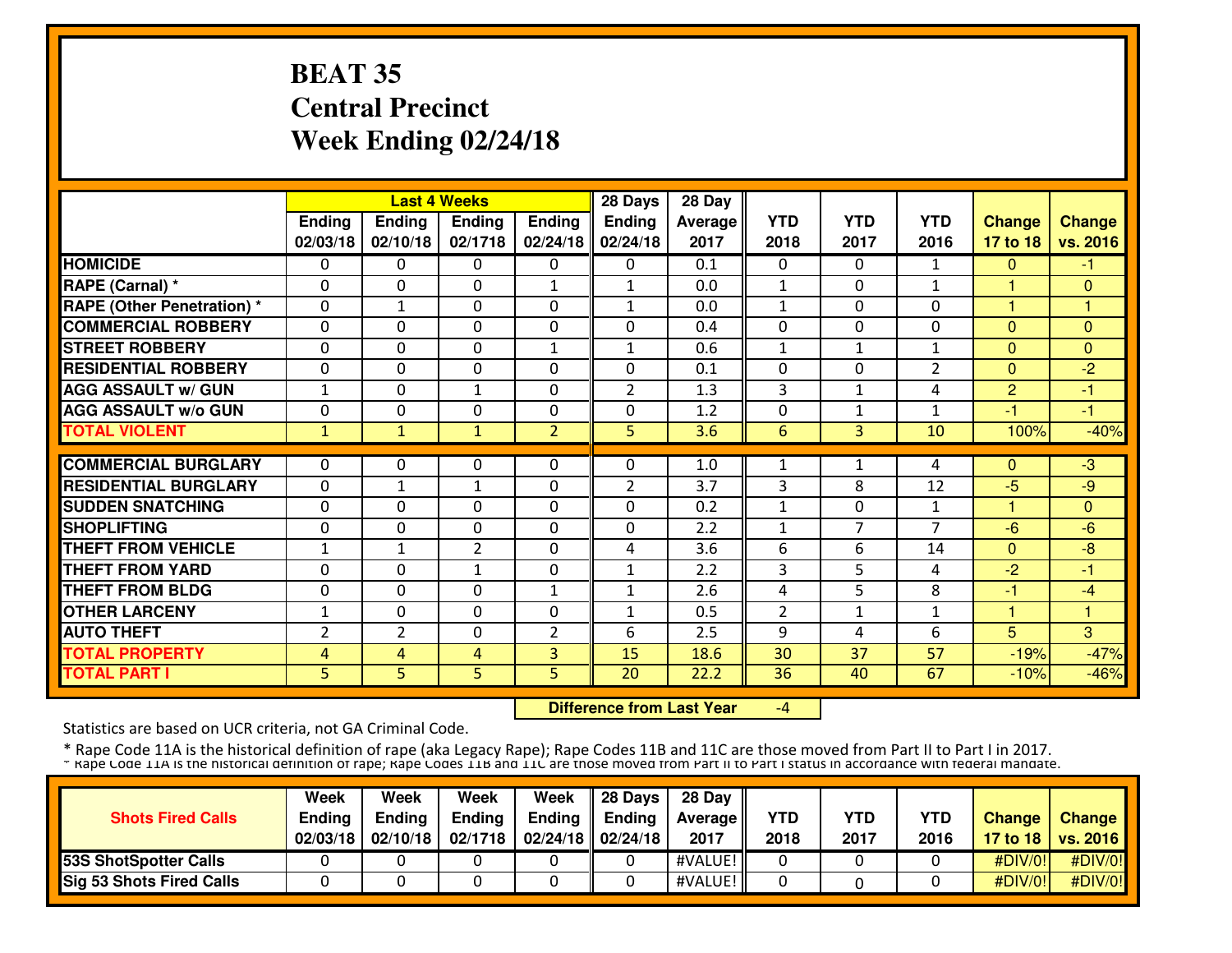# **BEAT 35 Central PrecinctWeek Ending 02/24/18**

|                                   |                | <b>Last 4 Weeks</b> |                |                | 28 Days        | 28 Day  |                |              |                |                |                 |
|-----------------------------------|----------------|---------------------|----------------|----------------|----------------|---------|----------------|--------------|----------------|----------------|-----------------|
|                                   | Ending         | Ending              | Ending         | <b>Ending</b>  | Ending         | Average | <b>YTD</b>     | <b>YTD</b>   | <b>YTD</b>     | <b>Change</b>  | <b>Change</b>   |
|                                   | 02/03/18       | 02/10/18            | 02/1718        | 02/24/18       | 02/24/18       | 2017    | 2018           | 2017         | 2016           | 17 to 18       | <b>vs. 2016</b> |
| <b>HOMICIDE</b>                   | 0              | 0                   | 0              | 0              | $\Omega$       | 0.1     | 0              | $\Omega$     | 1              | $\mathbf{0}$   | $-1$            |
| RAPE (Carnal) *                   | 0              | 0                   | 0              | $\mathbf{1}$   | 1              | 0.0     | $\mathbf{1}$   | $\Omega$     | 1              |                | $\Omega$        |
| <b>RAPE (Other Penetration)</b> * | 0              | $\mathbf{1}$        | 0              | 0              | $\mathbf{1}$   | 0.0     | $\mathbf{1}$   | $\Omega$     | $\Omega$       | н              | н               |
| <b>ICOMMERCIAL ROBBERY</b>        | 0              | 0                   | 0              | 0              | $\Omega$       | 0.4     | $\mathbf{0}$   | 0            | 0              | $\Omega$       | $\overline{0}$  |
| <b>STREET ROBBERY</b>             | $\Omega$       | $\Omega$            | 0              | $\mathbf{1}$   | 1              | 0.6     | 1              | 1            | 1              | $\Omega$       | $\mathbf 0$     |
| <b>RESIDENTIAL ROBBERY</b>        | 0              | 0                   | 0              | $\Omega$       | $\Omega$       | 0.1     | $\Omega$       | 0            | $\overline{2}$ | $\Omega$       | $-2$            |
| <b>AGG ASSAULT w/ GUN</b>         | $\mathbf{1}$   | 0                   | $\mathbf{1}$   | 0              | $\overline{2}$ | 1.3     | 3              | $\mathbf{1}$ | 4              | $\overline{2}$ | -1              |
| <b>AGG ASSAULT w/o GUN</b>        | 0              | 0                   | 0              | 0              | $\Omega$       | 1.2     | 0              | 1            | $\mathbf{1}$   | -1             | -1              |
| <b>TOTAL VIOLENT</b>              | 1              | $\mathbf{1}$        | $\mathbf{1}$   | $\overline{2}$ | 5              | 3.6     | 6              | 3            | 10             | 100%           | $-40%$          |
|                                   |                |                     |                |                |                |         |                |              |                |                |                 |
| <b>COMMERCIAL BURGLARY</b>        | 0              | 0                   | 0              | 0              | 0              | 1.0     | 1              | 1            | 4              | $\mathbf{0}$   | -3              |
| <b>RESIDENTIAL BURGLARY</b>       | $\Omega$       | $\mathbf{1}$        | 1              | 0              | $\overline{2}$ | 3.7     | 3              | 8            | 12             | -5             | -9              |
| <b>SUDDEN SNATCHING</b>           | 0              | 0                   | 0              | 0              | $\Omega$       | 0.2     | $\mathbf{1}$   | 0            | 1              |                | $\Omega$        |
| <b>SHOPLIFTING</b>                | 0              | 0                   | 0              | $\Omega$       | $\Omega$       | 2.2     | 1              | 7            | 7              | -6             | $-6$            |
| <b>THEFT FROM VEHICLE</b>         | 1              | $\mathbf{1}$        | $\overline{2}$ | 0              | 4              | 3.6     | 6              | 6            | 14             | $\mathbf{0}$   | $-8$            |
| <b>THEFT FROM YARD</b>            | $\Omega$       | $\Omega$            | $\mathbf{1}$   | 0              | $\mathbf{1}$   | 2.2     | 3              | 5            | 4              | $-2$           | $-1$            |
| <b>THEFT FROM BLDG</b>            | $\Omega$       | $\Omega$            | 0              | $\mathbf{1}$   | $\mathbf{1}$   | 2.6     | 4              | 5            | 8              | -1             | $-4$            |
| <b>OTHER LARCENY</b>              | 1              | 0                   | 0              | 0              | 1              | 0.5     | $\overline{2}$ | 1            | 1              | 1              | н               |
| <b>AUTO THEFT</b>                 | $\overline{2}$ | $\overline{2}$      | $\Omega$       | $\overline{2}$ | 6              | 2.5     | 9              | 4            | 6              | 5              | 3               |
| <b>TOTAL PROPERTY</b>             | 4              | 4                   | 4              | 3              | 15             | 18.6    | 30             | 37           | 57             | $-19%$         | $-47%$          |
| <b>TOTAL PART I</b>               | 5              | 5                   | 5              | 5              | 20             | 22.2    | 36             | 40           | 67             | $-10%$         | $-46%$          |

 **Difference from Last Year**-4

Statistics are based on UCR criteria, not GA Criminal Code.

|                                 | Week          | Week          | Week    | Week                                      | <b>28 Days</b> | 28 Day         |            |      |            |               |                     |
|---------------------------------|---------------|---------------|---------|-------------------------------------------|----------------|----------------|------------|------|------------|---------------|---------------------|
| <b>Shots Fired Calls</b>        | <b>Ending</b> | <b>Ending</b> | Ending  | Ending                                    | <b>Ending</b>  | <b>Average</b> | <b>YTD</b> | YTD  | <b>YTD</b> | <b>Change</b> | <b>Change</b>       |
|                                 | 02/03/18      | 02/10/18      | 02/1718 | $\parallel$ 02/24/18 $\parallel$ 02/24/18 |                | 2017           | 2018       | 2017 | 2016       |               | 17 to 18   vs. 2016 |
| <b>153S ShotSpotter Calls</b>   |               |               |         |                                           |                | #VALUE!        |            |      |            | #DIV/0!       | #DIV/0!             |
| <b>Sig 53 Shots Fired Calls</b> |               |               |         |                                           |                | #VALUE!        |            |      |            | #DIV/0!       | #DIV/0!             |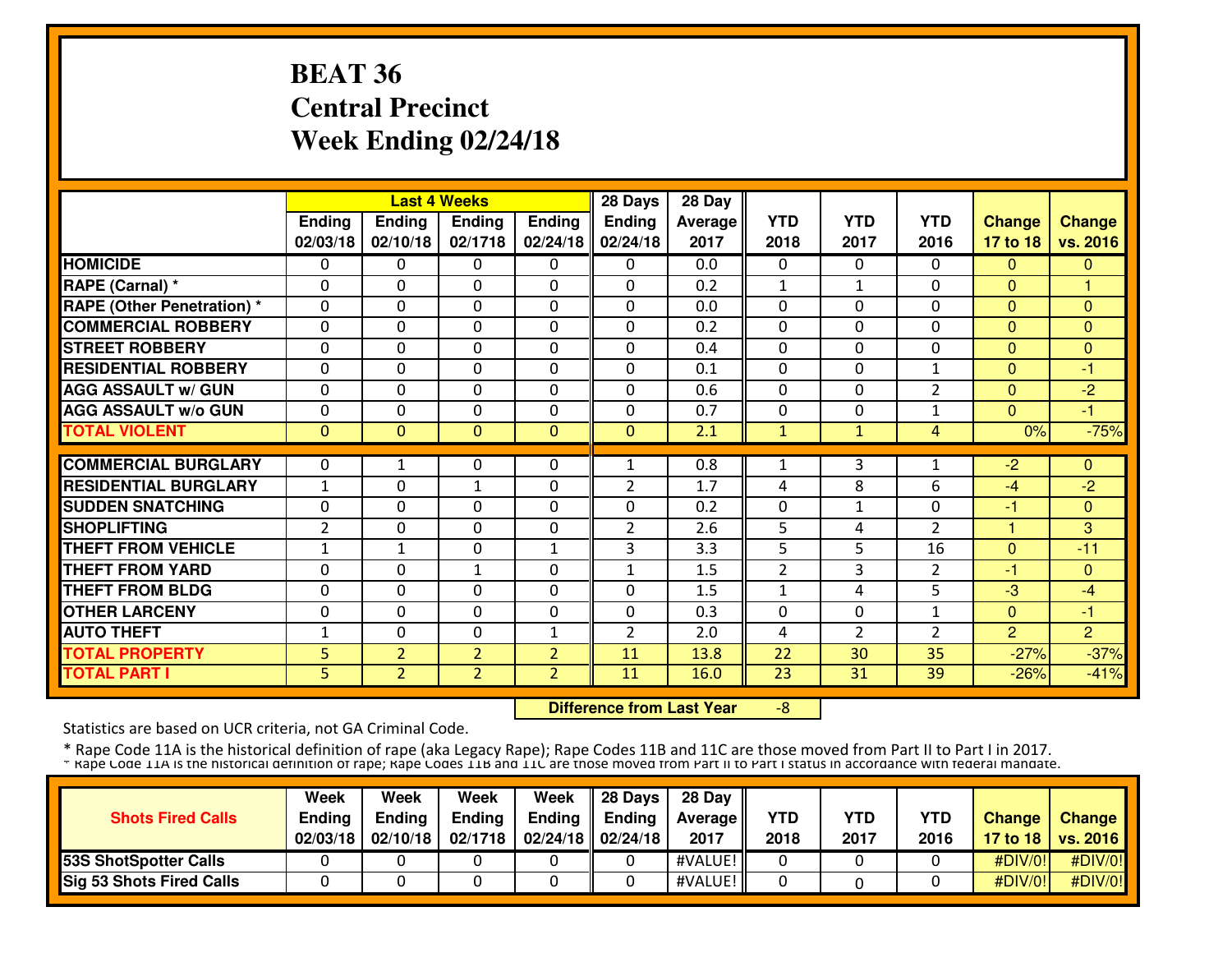# **BEAT 36 Central PrecinctWeek Ending 02/24/18**

|                                   |                | <b>Last 4 Weeks</b> |                |                | 28 Days        | 28 Day  |                |                |                |                      |                |
|-----------------------------------|----------------|---------------------|----------------|----------------|----------------|---------|----------------|----------------|----------------|----------------------|----------------|
|                                   | Ending         | Ending              | Ending         | <b>Ending</b>  | <b>Ending</b>  | Average | <b>YTD</b>     | <b>YTD</b>     | <b>YTD</b>     | <b>Change</b>        | <b>Change</b>  |
|                                   | 02/03/18       | 02/10/18            | 02/1718        | 02/24/18       | 02/24/18       | 2017    | 2018           | 2017           | 2016           | 17 to 18             | vs. 2016       |
| <b>HOMICIDE</b>                   | 0              | 0                   | 0              | 0              | $\Omega$       | 0.0     | 0              | 0              | $\Omega$       | $\mathbf{0}$         | $\mathbf{0}$   |
| RAPE (Carnal) *                   | $\Omega$       | 0                   | 0              | 0              | 0              | 0.2     | $\mathbf{1}$   | $\mathbf{1}$   | 0              | $\Omega$             |                |
| <b>RAPE (Other Penetration)</b> * | $\Omega$       | 0                   | 0              | 0              | 0              | 0.0     | $\mathbf{0}$   | $\Omega$       | 0              | $\Omega$             | $\Omega$       |
| <b>COMMERCIAL ROBBERY</b>         | $\Omega$       | $\Omega$            | 0              | $\Omega$       | $\Omega$       | 0.2     | $\mathbf 0$    | $\Omega$       | $\Omega$       | $\overline{0}$       | $\overline{0}$ |
| <b>STREET ROBBERY</b>             | $\Omega$       | $\Omega$            | 0              | $\Omega$       | $\Omega$       | 0.4     | $\mathbf{0}$   | 0              | $\Omega$       | $\Omega$             | $\Omega$       |
| <b>RESIDENTIAL ROBBERY</b>        | $\Omega$       | 0                   | 0              | 0              | $\Omega$       | 0.1     | $\Omega$       | $\Omega$       | 1              | $\Omega$             | -1             |
| <b>AGG ASSAULT w/ GUN</b>         | $\Omega$       | 0                   | 0              | 0              | $\Omega$       | 0.6     | $\mathbf{0}$   | $\Omega$       | 2              | $\mathbf{0}$         | $-2$           |
| <b>AGG ASSAULT w/o GUN</b>        | 0              | 0                   | $\Omega$       | $\Omega$       | $\Omega$       | 0.7     | $\Omega$       | 0              | 1              | $\Omega$             | -1             |
| <b>TOTAL VIOLENT</b>              | $\mathbf{0}$   | 0                   | $\mathbf{0}$   | $\mathbf 0$    | $\mathbf{0}$   | 2.1     | 1              | 1              | 4              | 0%                   | $-75%$         |
| <b>COMMERCIAL BURGLARY</b>        | 0              | $\mathbf{1}$        | 0              | 0              | $\mathbf{1}$   | 0.8     | 1              | 3              | 1              | $-2$                 | $\Omega$       |
| <b>RESIDENTIAL BURGLARY</b>       | 1              | 0                   | 1              | 0              |                | 1.7     | 4              | 8              | 6              | $-4$                 | $-2$           |
| <b>SUDDEN SNATCHING</b>           | 0              | 0                   | $\Omega$       | 0              | 2<br>$\Omega$  | 0.2     | $\mathbf{0}$   |                | $\Omega$       | -1                   | $\Omega$       |
|                                   |                |                     |                |                |                |         |                | 1              |                | $\blacktriangleleft$ |                |
| <b>SHOPLIFTING</b>                | $\overline{2}$ | 0                   | 0              | 0              | $\overline{2}$ | 2.6     | 5              | 4              | 2              |                      | 3              |
| <b>THEFT FROM VEHICLE</b>         | $\mathbf{1}$   | $\mathbf{1}$        | 0              | $\mathbf{1}$   | 3              | 3.3     | 5              | 5              | 16             | $\mathbf{0}$         | $-11$          |
| <b>THEFT FROM YARD</b>            | 0              | $\Omega$            | 1              | 0              | $\mathbf{1}$   | 1.5     | $\overline{2}$ | 3              | $\overline{2}$ | -1                   | $\Omega$       |
| <b>THEFT FROM BLDG</b>            | 0              | 0                   | 0              | 0              | $\Omega$       | 1.5     | 1              | 4              | 5              | $-3$                 | $-4$           |
| <b>OTHER LARCENY</b>              | $\mathbf{0}$   | 0                   | 0              | 0              | $\Omega$       | 0.3     | $\mathbf{0}$   | $\Omega$       | $\mathbf{1}$   | $\mathbf{0}$         | -1             |
| <b>AUTO THEFT</b>                 | $\mathbf{1}$   | 0                   | 0              | $\mathbf{1}$   | $\overline{2}$ | 2.0     | 4              | $\overline{2}$ | $\overline{2}$ | $\overline{2}$       | $\overline{2}$ |
| <b>TOTAL PROPERTY</b>             | $\overline{5}$ | $\overline{2}$      | $\overline{2}$ | $\overline{2}$ | 11             | 13.8    | 22             | 30             | 35             | $-27%$               | $-37%$         |
| <b>TOTAL PART I</b>               | 5              | $\overline{2}$      | $\overline{2}$ | $\overline{2}$ | 11             | 16.0    | 23             | 31             | 39             | $-26%$               | $-41%$         |

 **Difference from Last Year**-8

Statistics are based on UCR criteria, not GA Criminal Code.

|                                 | Week     | Week          | Week          | Week                                      | $\parallel$ 28 Days | 28 Dav            |            |      |            |               |                     |
|---------------------------------|----------|---------------|---------------|-------------------------------------------|---------------------|-------------------|------------|------|------------|---------------|---------------------|
| <b>Shots Fired Calls</b>        | Ending   | <b>Ending</b> | <b>Ending</b> | Ending                                    | <b>Ending</b>       | <b>Average II</b> | <b>YTD</b> | YTD  | <b>YTD</b> | <b>Change</b> | <b>Change</b>       |
|                                 | 02/03/18 | 02/10/18      | 02/1718       | $\parallel$ 02/24/18 $\parallel$ 02/24/18 |                     | 2017              | 2018       | 2017 | 2016       |               | 17 to 18   vs. 2016 |
| <b>53S ShotSpotter Calls</b>    |          |               |               |                                           |                     | #VALUE!           |            |      |            | #DIV/0!       | $\#$ DIV/0!         |
| <b>Sig 53 Shots Fired Calls</b> |          |               |               |                                           |                     | #VALUE!           |            |      |            | #DIV/0!       | #DIV/0!             |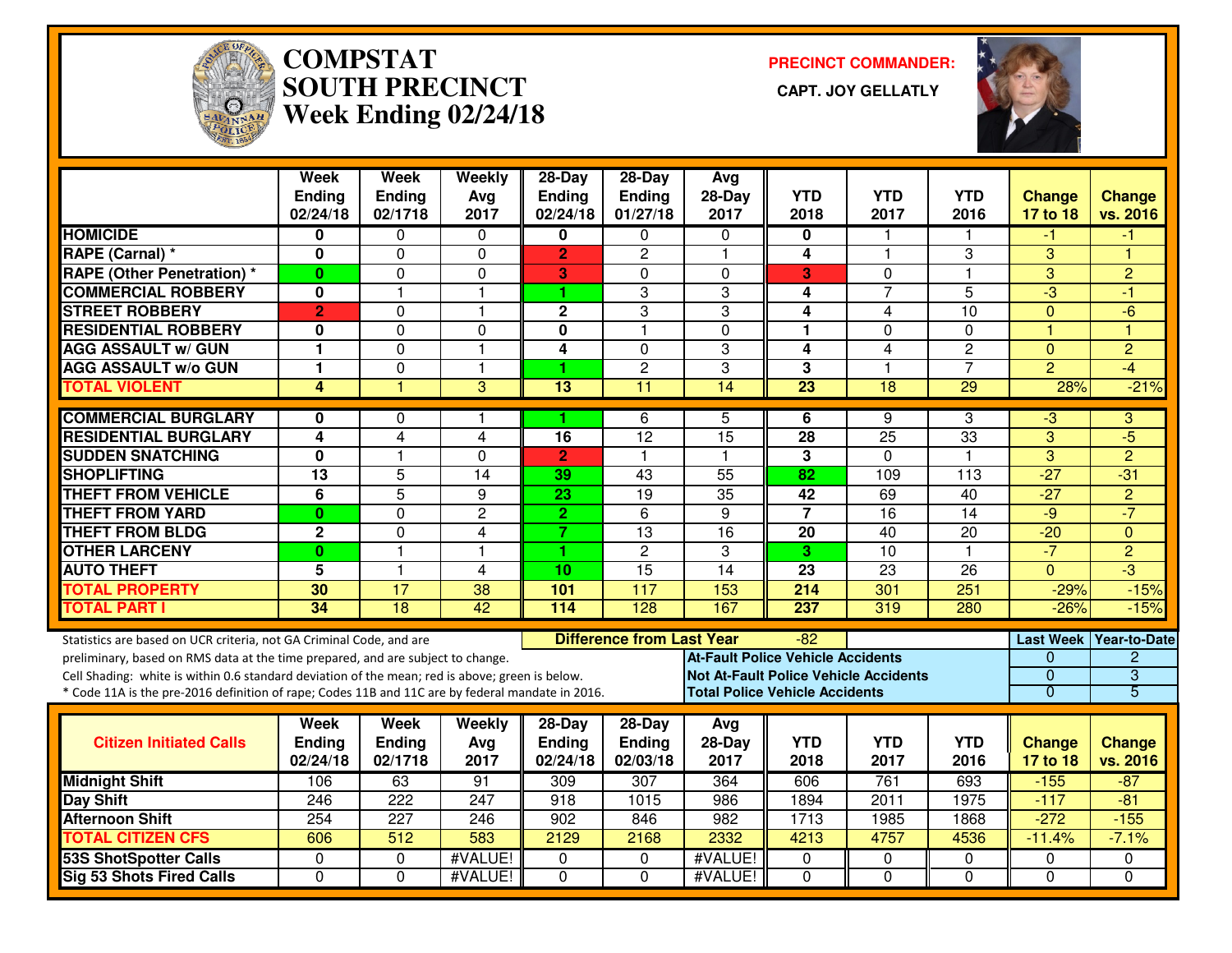

# **COMPSTAT PRECINCT COMMANDER: SOUTH PRECINCT CAPT. JOY GELLATLYWeek Ending 02/24/18**



|                                                                                                  | Week<br><b>Ending</b><br>02/24/18 | Week<br><b>Ending</b><br>02/1718 | Weekly<br>Avg<br>2017 | 28-Day<br><b>Ending</b><br>02/24/18 | $28-Day$<br>Ending<br>01/27/18   | Avg<br>$28-Day$<br>2017                       | <b>YTD</b><br>2018 | <b>YTD</b><br>2017 | <b>YTD</b><br>2016 | <b>Change</b><br>17 to 18 | <b>Change</b><br>vs. 2016 |
|--------------------------------------------------------------------------------------------------|-----------------------------------|----------------------------------|-----------------------|-------------------------------------|----------------------------------|-----------------------------------------------|--------------------|--------------------|--------------------|---------------------------|---------------------------|
| <b>HOMICIDE</b>                                                                                  | $\bf{0}$                          | 0                                | $\Omega$              | $\bf{0}$                            | $\Omega$                         | $\Omega$                                      | $\mathbf{0}$       | 1                  |                    | -1                        | -1                        |
| <b>RAPE (Carnal) *</b>                                                                           | 0                                 | 0                                | $\Omega$              | $\overline{2}$                      | $\overline{2}$                   | $\overline{\mathbf{1}}$                       | 4                  | 1                  | 3                  | 3                         | $\overline{1}$            |
| <b>RAPE (Other Penetration)</b> *                                                                | $\mathbf{0}$                      | $\Omega$                         | $\mathbf 0$           | 3                                   | $\Omega$                         | $\mathbf{0}$                                  | 3                  | $\Omega$           | $\overline{1}$     | $\overline{3}$            | $\overline{2}$            |
| <b>COMMERCIAL ROBBERY</b>                                                                        | 0                                 | $\overline{\mathbf{1}}$          | $\mathbf{1}$          | 1                                   | 3                                | 3                                             | 4                  | $\overline{7}$     | 5                  | -3                        | -1                        |
| <b>STREET ROBBERY</b>                                                                            | $\overline{2}$                    | 0                                | $\mathbf{1}$          | $\mathbf 2$                         | 3                                | 3                                             | 4                  | 4                  | 10                 | $\Omega$                  | $-6$                      |
| <b>RESIDENTIAL ROBBERY</b>                                                                       | $\bf{0}$                          | 0                                | $\Omega$              | 0                                   | $\overline{1}$                   | $\Omega$                                      | $\mathbf{1}$       | $\Omega$           | 0                  | $\overline{1}$            | 1                         |
| <b>AGG ASSAULT w/ GUN</b>                                                                        | 1                                 | 0                                | $\mathbf{1}$          | 4                                   | $\mathbf{0}$                     | 3                                             | 4                  | 4                  | $\overline{c}$     | $\mathbf{0}$              | $\overline{c}$            |
| <b>AGG ASSAULT w/o GUN</b>                                                                       | $\mathbf{1}$                      | $\Omega$                         | $\mathbf{1}$          | 1                                   | $\overline{2}$                   | 3                                             | 3                  | $\overline{1}$     | $\overline{7}$     | $\overline{2}$            | $-4$                      |
| <b>TOTAL VIOLENT</b>                                                                             | 4                                 | 1                                | 3                     | $\overline{13}$                     | 11                               | 14                                            | $\overline{23}$    | $\overline{18}$    | 29                 | 28%                       | $-21%$                    |
| <b>COMMERCIAL BURGLARY</b>                                                                       | 0                                 | 0                                | 1                     |                                     | 6                                | 5                                             | 6                  | 9                  | 3                  | -3                        | 3                         |
| <b>RESIDENTIAL BURGLARY</b>                                                                      | 4                                 | 4                                | 4                     | 16                                  | $\overline{12}$                  | $\overline{15}$                               | 28                 | $\overline{25}$    | 33                 | 3                         | $-5$                      |
| <b>SUDDEN SNATCHING</b>                                                                          | 0                                 | $\mathbf{1}$                     | $\Omega$              | $\overline{2}$                      | $\mathbf{1}$                     | $\overline{1}$                                | 3                  | $\Omega$           | 1                  | 3                         | $\overline{2}$            |
| <b>SHOPLIFTING</b>                                                                               | $\overline{13}$                   | 5                                | $\overline{14}$       | 39                                  | $\overline{43}$                  | $\overline{55}$                               | 82                 | 109                | 113                | $-27$                     | $-31$                     |
| <b>THEFT FROM VEHICLE</b>                                                                        | 6                                 | 5                                | 9                     | $\overline{23}$                     | 19                               | $\overline{35}$                               | 42                 | 69                 | 40                 | $-27$                     | $\overline{2}$            |
| <b>THEFT FROM YARD</b>                                                                           | $\mathbf{0}$                      | 0                                | $\overline{2}$        | $\overline{2}$                      | 6                                | 9                                             | $\overline{7}$     | 16                 | 14                 | $-9$                      | $-7$                      |
| <b>THEFT FROM BLDG</b>                                                                           | $\mathbf{2}$                      | 0                                | $\overline{4}$        | $\overline{7}$                      | 13                               | 16                                            | 20                 | 40                 | 20                 | $-20$                     | $\Omega$                  |
| <b>OTHER LARCENY</b>                                                                             | $\bf{0}$                          | $\overline{1}$                   | $\mathbf{1}$          | 1                                   | $\overline{2}$                   | $\overline{3}$                                | 3                  | 10                 | 1                  | $-7$                      | $\overline{2}$            |
| <b>AUTO THEFT</b>                                                                                | 5                                 | $\blacksquare$                   | $\overline{4}$        | 10                                  | 15                               | $\overline{14}$                               | 23                 | $\overline{23}$    | $\overline{26}$    | $\Omega$                  | $\overline{\cdot 3}$      |
| <b>TOTAL PROPERTY</b>                                                                            | 30                                | 17                               | 38                    | 101                                 | 117                              | 153                                           | 214                | 301                | 251                | $-29%$                    | $-15%$                    |
| <b>TOTAL PART I</b>                                                                              | 34                                | $\overline{18}$                  | 42                    | 114                                 | 128                              | 167                                           | 237                | 319                | 280                | $-26%$                    | $-15%$                    |
| Statistics are based on UCR criteria, not GA Criminal Code, and are                              |                                   |                                  |                       |                                     | <b>Difference from Last Year</b> |                                               | -82                |                    |                    |                           | Last Week   Year-to-Date  |
| preliminary, based on RMS data at the time prepared, and are subject to change.                  |                                   |                                  |                       |                                     |                                  | At-Fault Police Vehicle Accidents             |                    |                    |                    | $\Omega$                  | $\overline{2}$            |
| Cell Shading: white is within 0.6 standard deviation of the mean; red is above; green is below.  |                                   |                                  |                       |                                     |                                  | <b>INot At-Fault Police Vehicle Accidents</b> |                    |                    |                    | $\overline{0}$            | 3                         |
| * Code 11A is the pre-2016 definition of rape; Codes 11B and 11C are by federal mandate in 2016. |                                   |                                  |                       |                                     |                                  | <b>Total Police Vehicle Accidents</b>         |                    |                    |                    | $\overline{0}$            | 5                         |
|                                                                                                  | Week                              | Week                             | Weekly                | $28-Day$                            | 28-Day                           | Avg                                           |                    |                    |                    |                           |                           |
| <b>Citizen Initiated Calls</b>                                                                   | <b>Ending</b>                     | <b>Ending</b>                    | Avg                   | <b>Ending</b>                       | <b>Ending</b>                    | 28-Day                                        | <b>YTD</b>         | <b>YTD</b>         | <b>YTD</b>         | <b>Change</b>             | <b>Change</b>             |
|                                                                                                  | 02/24/18                          | 02/1718                          | 2017                  | 02/24/18                            | 02/03/18                         | 2017                                          | 2018               | 2017               | 2016               | 17 to 18                  | vs. 2016                  |
| <b>Midnight Shift</b>                                                                            | 106                               | 63                               | 91                    | 309                                 | 307                              | 364                                           | 606                | 761                | 693                | $-155$                    | $-87$                     |
| <b>Day Shift</b>                                                                                 | 246                               | 222                              | 247                   | 918                                 | 1015                             | 986                                           | 1894               | 2011               | 1975               | $-117$                    | $-81$                     |
| <b>Afternoon Shift</b>                                                                           | 254                               | 227                              | 246                   | 902                                 | 846                              | 982                                           | 1713               | 1985               | 1868               | $-272$                    | $-155$                    |
| <b>TOTAL CITIZEN CFS</b>                                                                         | 606                               | 512                              | 583                   | 2129                                | 2168                             | 2332                                          | 4213               | 4757               | 4536               | $-11.4%$                  | $-7.1%$                   |
| <b>53S ShotSpotter Calls</b>                                                                     | $\Omega$                          | 0                                | #VALUE!               | $\Omega$                            | $\Omega$                         | #VALUE!                                       | $\mathbf 0$        | $\Omega$           | 0                  | $\Omega$                  | $\Omega$                  |
| <b>Sig 53 Shots Fired Calls</b>                                                                  | $\Omega$                          | $\Omega$                         | #VALUE!               | $\Omega$                            | $\Omega$                         | #VALUE!                                       | $\Omega$           | $\Omega$           | $\Omega$           | $\Omega$                  | $\Omega$                  |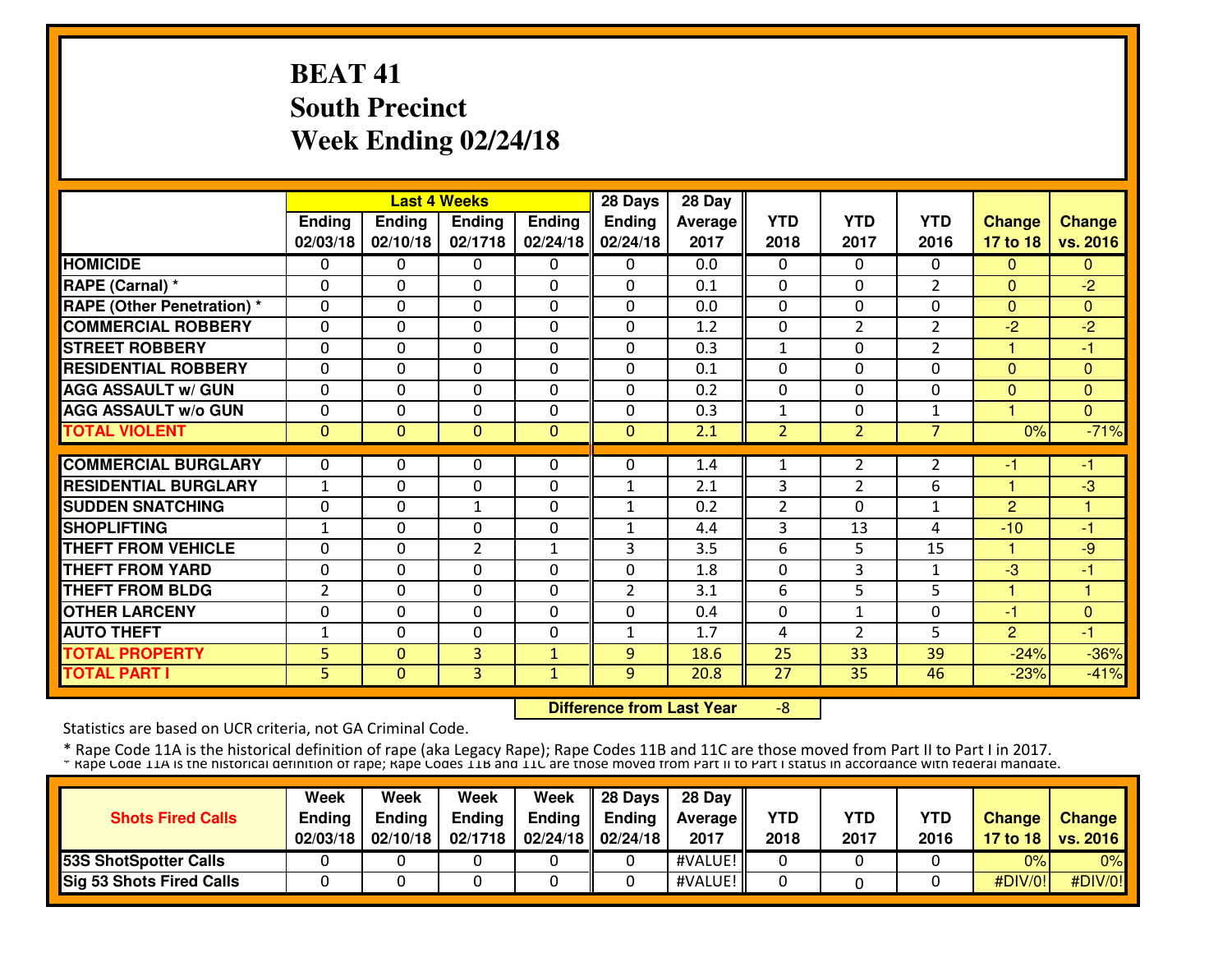# **BEAT 41 South PrecinctWeek Ending 02/24/18**

|                                   |                |               | <b>Last 4 Weeks</b> |               | 28 Days        | 28 Day  |                |                |                |                |                |
|-----------------------------------|----------------|---------------|---------------------|---------------|----------------|---------|----------------|----------------|----------------|----------------|----------------|
|                                   | <b>Ending</b>  | <b>Ending</b> | <b>Ending</b>       | <b>Ending</b> | <b>Ending</b>  | Average | <b>YTD</b>     | <b>YTD</b>     | <b>YTD</b>     | <b>Change</b>  | <b>Change</b>  |
|                                   | 02/03/18       | 02/10/18      | 02/1718             | 02/24/18      | 02/24/18       | 2017    | 2018           | 2017           | 2016           | 17 to 18       | vs. 2016       |
| <b>HOMICIDE</b>                   | 0              | 0             | 0                   | 0             | $\Omega$       | 0.0     | 0              | 0              | $\Omega$       | $\mathbf{0}$   | $\mathbf{0}$   |
| RAPE (Carnal) *                   | 0              | 0             | 0                   | 0             | $\Omega$       | 0.1     | $\mathbf{0}$   | $\Omega$       | $\overline{2}$ | $\Omega$       | $-2$           |
| <b>RAPE (Other Penetration) *</b> | 0              | $\Omega$      | 0                   | 0             | $\Omega$       | 0.0     | 0              | $\Omega$       | 0              | $\Omega$       | $\Omega$       |
| <b>COMMERCIAL ROBBERY</b>         | 0              | $\Omega$      | 0                   | 0             | $\Omega$       | 1.2     | 0              | $\overline{2}$ | 2              | $-2$           | $-2$           |
| <b>STREET ROBBERY</b>             | $\mathbf{0}$   | 0             | 0                   | 0             | $\Omega$       | 0.3     | $\mathbf{1}$   | $\Omega$       | $\overline{2}$ | 1              | $-1$           |
| <b>RESIDENTIAL ROBBERY</b>        | $\mathbf{0}$   | $\Omega$      | 0                   | 0             | $\Omega$       | 0.1     | 0              | $\Omega$       | 0              | $\Omega$       | $\Omega$       |
| <b>AGG ASSAULT w/ GUN</b>         | $\Omega$       | $\Omega$      | $\Omega$            | $\Omega$      | $\Omega$       | 0.2     | $\Omega$       | $\Omega$       | 0              | $\overline{0}$ | $\overline{0}$ |
| <b>AGG ASSAULT w/o GUN</b>        | 0              | $\Omega$      | $\Omega$            | $\Omega$      | $\Omega$       | 0.3     | $\mathbf{1}$   | $\Omega$       | 1              |                | $\Omega$       |
| <b>TOTAL VIOLENT</b>              | 0              | $\Omega$      | $\mathbf{0}$        | $\mathbf 0$   | $\mathbf{0}$   | 2.1     | $\overline{2}$ | $\overline{2}$ | $\overline{7}$ | 0%             | $-71%$         |
| <b>COMMERCIAL BURGLARY</b>        |                | $\Omega$      |                     |               | $\Omega$       |         |                |                |                |                |                |
|                                   | $\Omega$       |               | 0                   | $\Omega$      |                | 1.4     | 1              | $\overline{2}$ | 2              | -1             | -1             |
| <b>RESIDENTIAL BURGLARY</b>       | 1              | 0             | $\Omega$            | $\Omega$      | $\mathbf{1}$   | 2.1     | 3              | $\mathfrak{p}$ | 6              |                | $-3$           |
| <b>SUDDEN SNATCHING</b>           | $\Omega$       | $\Omega$      | $\mathbf{1}$        | $\Omega$      | $\mathbf{1}$   | 0.2     | $\overline{2}$ | $\Omega$       | 1              | 2              |                |
| <b>SHOPLIFTING</b>                | 1              | $\Omega$      | 0                   | 0             | $\mathbf{1}$   | 4.4     | 3              | 13             | 4              | $-10$          | $-1$           |
| <b>THEFT FROM VEHICLE</b>         | 0              | $\Omega$      | $\overline{2}$      | $\mathbf{1}$  | 3              | 3.5     | 6              | 5              | 15             | 1              | $-9$           |
| <b>THEFT FROM YARD</b>            | 0              | 0             | 0                   | $\Omega$      | $\Omega$       | 1.8     | 0              | 3              | 1              | $-3$           | $-1$           |
| <b>THEFT FROM BLDG</b>            | $\overline{2}$ | $\Omega$      | 0                   | 0             | $\overline{2}$ | 3.1     | 6              | 5              | 5              | 1              | $\overline{1}$ |
| <b>OTHER LARCENY</b>              | $\mathbf{0}$   | $\Omega$      | 0                   | 0             | $\Omega$       | 0.4     | $\Omega$       | $\mathbf{1}$   | $\mathbf{0}$   | -1             | $\Omega$       |
| <b>AUTO THEFT</b>                 | 1              | $\Omega$      | 0                   | 0             | $\mathbf{1}$   | 1.7     | 4              | $\overline{2}$ | 5              | $\overline{2}$ | -1             |
| <b>TOTAL PROPERTY</b>             | 5              | $\Omega$      | 3                   | $\mathbf{1}$  | 9              | 18.6    | 25             | 33             | 39             | $-24%$         | $-36%$         |
| <b>TOTAL PART I</b>               | 5              | $\Omega$      | 3                   | $\mathbf{1}$  | 9              | 20.8    | 27             | 35             | 46             | $-23%$         | $-41%$         |

 **Difference from Last Year**-8

Statistics are based on UCR criteria, not GA Criminal Code.

|                                 | Week     | Week          | Week          | Week                                      | $\parallel$ 28 Days | 28 Dav            |            |      |            |               |                     |
|---------------------------------|----------|---------------|---------------|-------------------------------------------|---------------------|-------------------|------------|------|------------|---------------|---------------------|
| <b>Shots Fired Calls</b>        | Ending   | <b>Ending</b> | <b>Ending</b> | Ending                                    | <b>Ending</b>       | <b>Average II</b> | <b>YTD</b> | YTD  | <b>YTD</b> | <b>Change</b> | <b>Change</b>       |
|                                 | 02/03/18 | 02/10/18      | 02/1718       | $\parallel$ 02/24/18 $\parallel$ 02/24/18 |                     | 2017              | 2018       | 2017 | 2016       |               | 17 to 18   vs. 2016 |
| <b>53S ShotSpotter Calls</b>    |          |               |               |                                           |                     | #VALUE!           |            |      |            | 0%            | 0%                  |
| <b>Sig 53 Shots Fired Calls</b> |          |               |               |                                           |                     | #VALUE!           |            |      |            | #DIV/0!       | #DIV/0!             |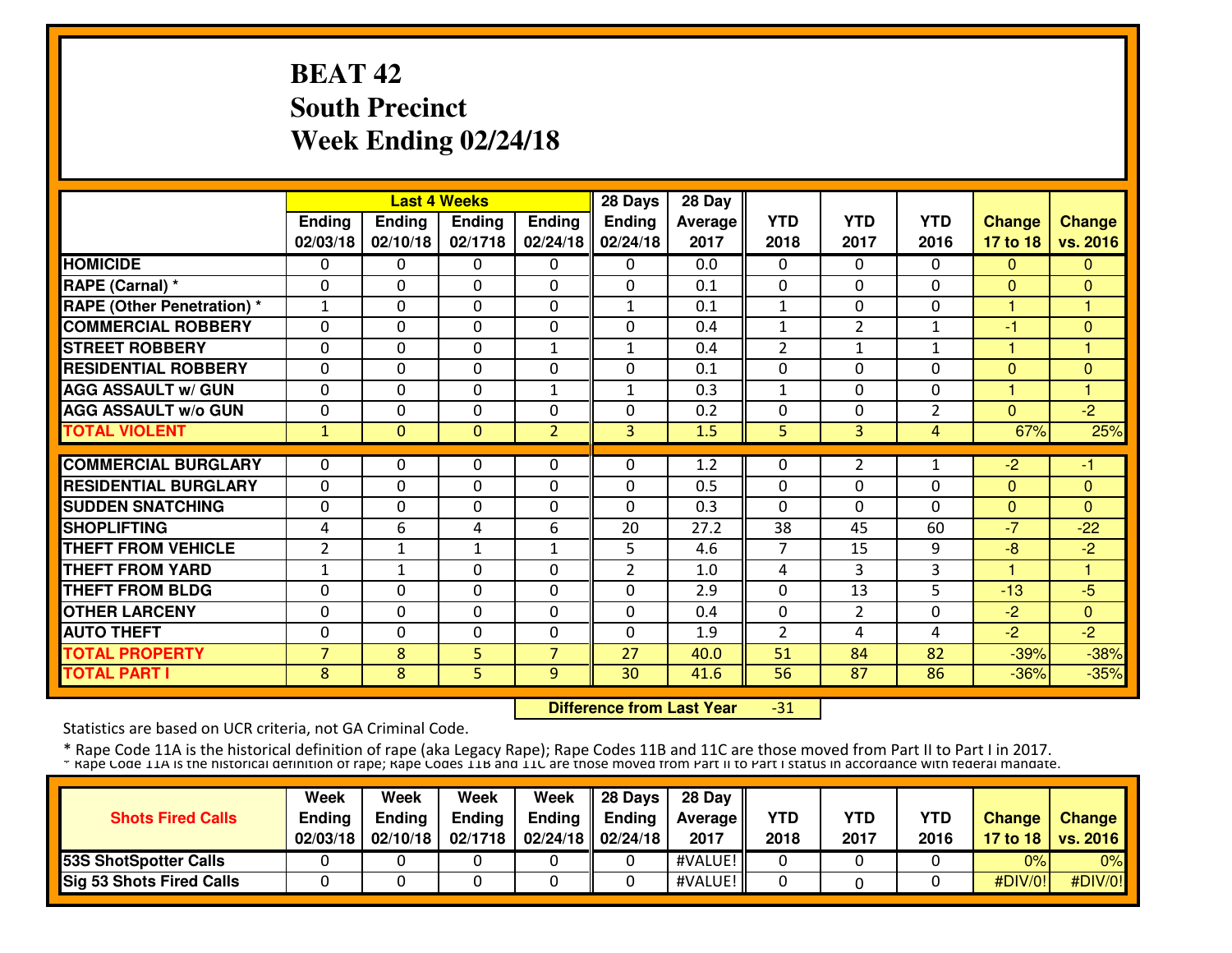# **BEAT 42 South PrecinctWeek Ending 02/24/18**

|                                   |                | <b>Last 4 Weeks</b> |              |                | 28 Days        | 28 Day  |                |                |                |               |               |
|-----------------------------------|----------------|---------------------|--------------|----------------|----------------|---------|----------------|----------------|----------------|---------------|---------------|
|                                   | <b>Ending</b>  | Ending              | Ending       | <b>Ending</b>  | <b>Ending</b>  | Average | <b>YTD</b>     | <b>YTD</b>     | <b>YTD</b>     | <b>Change</b> | <b>Change</b> |
|                                   | 02/03/18       | 02/10/18            | 02/1718      | 02/24/18       | 02/24/18       | 2017    | 2018           | 2017           | 2016           | 17 to 18      | vs. 2016      |
| <b>HOMICIDE</b>                   | 0              | $\Omega$            | 0            | 0              | $\Omega$       | 0.0     | 0              | 0              | $\Omega$       | $\mathbf{0}$  | $\mathbf{0}$  |
| RAPE (Carnal) *                   | 0              | 0                   | 0            | 0              | $\Omega$       | 0.1     | $\mathbf{0}$   | $\Omega$       | $\Omega$       | $\Omega$      | $\Omega$      |
| <b>RAPE (Other Penetration) *</b> | $\mathbf{1}$   | 0                   | 0            | 0              | $\mathbf{1}$   | 0.1     | $\mathbf{1}$   | $\Omega$       | 0              |               | 4             |
| <b>COMMERCIAL ROBBERY</b>         | 0              | 0                   | 0            | 0              | $\Omega$       | 0.4     | $\mathbf{1}$   | $\overline{2}$ | 1              | -1            | 0             |
| <b>STREET ROBBERY</b>             | 0              | 0                   | 0            | $\mathbf{1}$   | 1              | 0.4     | $\overline{2}$ | $\mathbf{1}$   | $\mathbf{1}$   |               |               |
| <b>RESIDENTIAL ROBBERY</b>        | $\Omega$       | $\Omega$            | $\Omega$     | $\Omega$       | $\Omega$       | 0.1     | $\Omega$       | $\Omega$       | $\Omega$       | $\Omega$      | $\Omega$      |
| <b>AGG ASSAULT w/ GUN</b>         | $\Omega$       | 0                   | 0            | $\mathbf{1}$   | $\mathbf{1}$   | 0.3     | $\mathbf{1}$   | 0              | $\Omega$       | 1             | ۰             |
| <b>AGG ASSAULT w/o GUN</b>        | 0              | 0                   | $\Omega$     | $\Omega$       | $\Omega$       | 0.2     | $\Omega$       | 0              | $\overline{2}$ | $\Omega$      | $-2$          |
| <b>TOTAL VIOLENT</b>              | $\mathbf{1}$   | $\Omega$            | $\Omega$     | $\overline{2}$ | 3              | 1.5     | 5              | 3              | 4              | 67%           | 25%           |
|                                   |                |                     |              |                |                |         |                |                |                |               |               |
| <b>COMMERCIAL BURGLARY</b>        | 0              | 0                   | 0            | 0              | 0              | 1.2     | 0              | 2              | 1              | $-2$          | -1            |
| <b>RESIDENTIAL BURGLARY</b>       | $\Omega$       | 0                   | 0            | 0              | $\Omega$       | 0.5     | $\mathbf{0}$   | 0              | $\Omega$       | $\Omega$      | $\Omega$      |
| <b>SUDDEN SNATCHING</b>           | 0              | 0                   | $\Omega$     | $\Omega$       | $\Omega$       | 0.3     | $\Omega$       | 0              | <sup>0</sup>   | $\Omega$      | $\Omega$      |
| <b>SHOPLIFTING</b>                | 4              | 6                   | 4            | 6              | 20             | 27.2    | 38             | 45             | 60             | $-7$          | $-22$         |
| <b>THEFT FROM VEHICLE</b>         | $\overline{2}$ | $\mathbf{1}$        | $\mathbf{1}$ | $\mathbf{1}$   | 5              | 4.6     | $\overline{7}$ | 15             | 9              | $-8$          | $-2$          |
| <b>THEFT FROM YARD</b>            | $\mathbf{1}$   | $\mathbf{1}$        | 0            | $\Omega$       | $\overline{2}$ | 1.0     | 4              | 3              | 3              | 4             | н             |
| <b>THEFT FROM BLDG</b>            | 0              | $\Omega$            | 0            | 0              | $\Omega$       | 2.9     | $\mathbf{0}$   | 13             | 5              | $-13$         | $-5$          |
| <b>OTHER LARCENY</b>              | $\mathbf{0}$   | 0                   | 0            | 0              | $\Omega$       | 0.4     | $\mathbf{0}$   | $\overline{2}$ | 0              | $-2$          | $\Omega$      |
| <b>AUTO THEFT</b>                 | $\mathbf{0}$   | $\Omega$            | 0            | 0              | $\Omega$       | 1.9     | $\overline{2}$ | 4              | 4              | $-2$          | $-2$          |
| <b>TOTAL PROPERTY</b>             | $\overline{7}$ | 8                   | 5            | $\overline{7}$ | 27             | 40.0    | 51             | 84             | 82             | $-39%$        | $-38%$        |
| <b>TOTAL PART I</b>               | 8              | 8                   | 5            | 9              | 30             | 41.6    | 56             | 87             | 86             | $-36%$        | $-35%$        |

 **Difference from Last Year**-31

Statistics are based on UCR criteria, not GA Criminal Code.

|                                 | Week     | Week          | Week          | Week          | 28 Days              | 28 Day           |            |      |            |               |                     |
|---------------------------------|----------|---------------|---------------|---------------|----------------------|------------------|------------|------|------------|---------------|---------------------|
| <b>Shots Fired Calls</b>        | Endina   | <b>Endina</b> | <b>Ending</b> | <b>Ending</b> | <b>Ending</b>        | <b>Average</b> I | <b>YTD</b> | YTD  | <b>YTD</b> | <b>Change</b> | <b>Change</b>       |
|                                 | 02/03/18 | 02/10/18      | 02/1718       |               | 02/24/18    02/24/18 | 2017             | 2018       | 2017 | 2016       |               | 17 to 18   vs. 2016 |
| <b>153S ShotSpotter Calls</b>   |          |               |               |               |                      | #VALUE!          |            |      |            | 0%            | 0%                  |
| <b>Sig 53 Shots Fired Calls</b> |          |               |               |               |                      | #VALUE!          |            |      |            | #DIV/0!       | #DIV/0!             |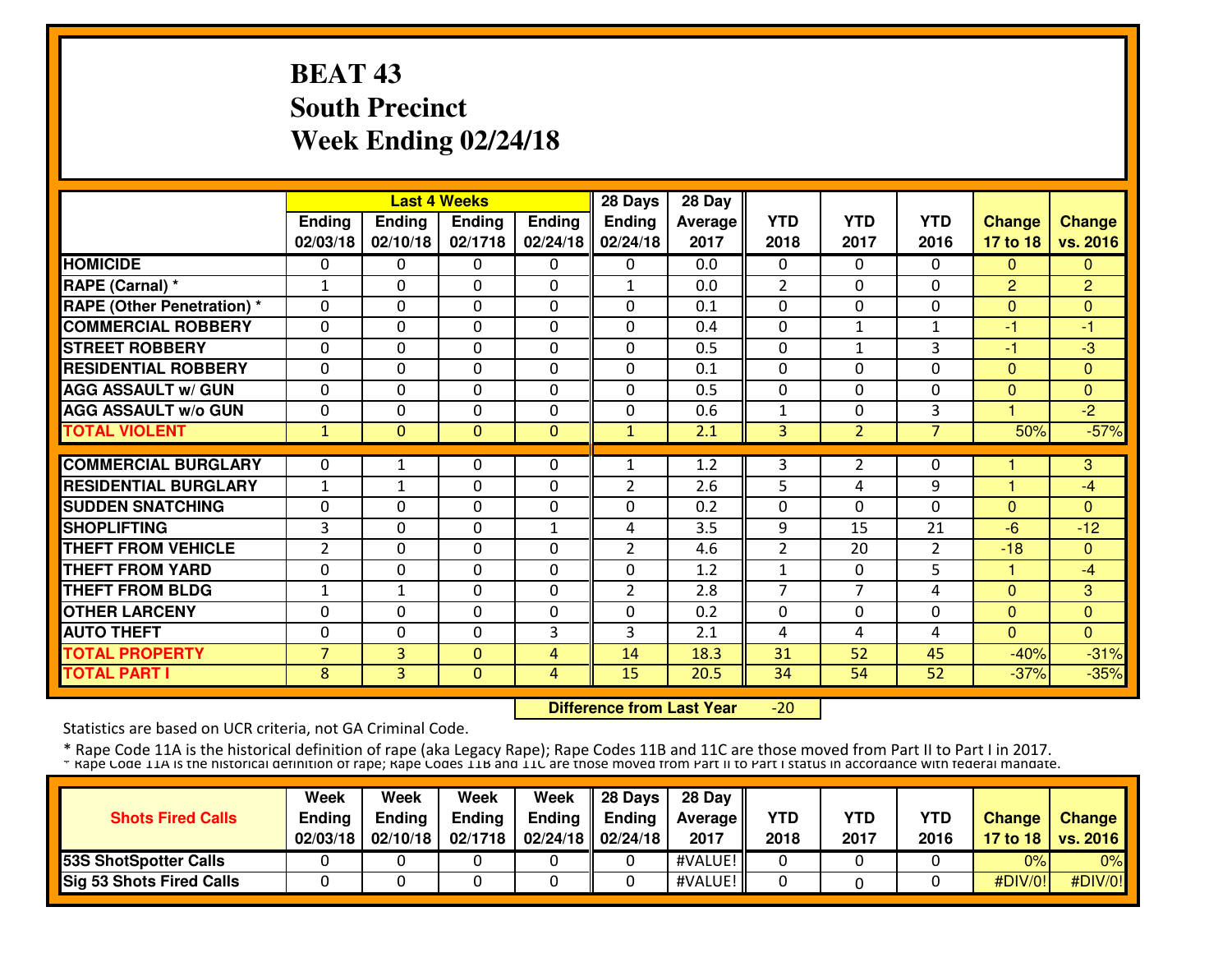# **BEAT 43 South PrecinctWeek Ending 02/24/18**

|                                  |                | <b>Last 4 Weeks</b> |              |               | 28 Days        | 28 Day  |                |                |                |                |                |
|----------------------------------|----------------|---------------------|--------------|---------------|----------------|---------|----------------|----------------|----------------|----------------|----------------|
|                                  | Ending         | <b>Ending</b>       | Ending       | <b>Ending</b> | <b>Ending</b>  | Average | <b>YTD</b>     | <b>YTD</b>     | <b>YTD</b>     | <b>Change</b>  | <b>Change</b>  |
|                                  | 02/03/18       | 02/10/18            | 02/1718      | 02/24/18      | 02/24/18       | 2017    | 2018           | 2017           | 2016           | 17 to 18       | vs. 2016       |
| <b>HOMICIDE</b>                  | 0              | $\Omega$            | 0            | $\Omega$      | $\Omega$       | 0.0     | $\Omega$       | $\Omega$       | 0              | $\Omega$       | $\Omega$       |
| RAPE (Carnal) *                  | $\mathbf{1}$   | $\Omega$            | $\Omega$     | $\Omega$      | $\mathbf{1}$   | 0.0     | $\overline{2}$ | 0              | $\Omega$       | $\overline{2}$ | $\overline{2}$ |
| <b>RAPE (Other Penetration)*</b> | $\Omega$       | 0                   | 0            | $\mathbf{0}$  | $\mathbf{0}$   | 0.1     | $\mathbf{0}$   | $\mathbf{0}$   | 0              | $\mathbf{0}$   | $\Omega$       |
| <b>COMMERCIAL ROBBERY</b>        | $\Omega$       | $\Omega$            | 0            | $\mathbf{0}$  | $\Omega$       | 0.4     | $\mathbf{0}$   | $\mathbf{1}$   | 1              | -1             | $-1$           |
| <b>STREET ROBBERY</b>            | $\Omega$       | 0                   | 0            | $\Omega$      | $\Omega$       | 0.5     | $\mathbf{0}$   | 1              | 3              | -1             | $-3$           |
| <b>RESIDENTIAL ROBBERY</b>       | $\Omega$       | $\Omega$            | $\Omega$     | $\Omega$      | 0              | 0.1     | $\Omega$       | 0              | 0              | $\mathbf{0}$   | $\Omega$       |
| <b>AGG ASSAULT w/ GUN</b>        | $\Omega$       | 0                   | 0            | 0             | $\Omega$       | 0.5     | 0              | 0              | 0              | $\overline{0}$ | $\Omega$       |
| <b>AGG ASSAULT W/o GUN</b>       | 0              | 0                   | 0            | 0             | $\Omega$       | 0.6     | 1              | $\Omega$       | 3              |                | $-2$           |
| <b>TOTAL VIOLENT</b>             | 1              | $\Omega$            | $\mathbf 0$  | $\mathbf 0$   | $\mathbf{1}$   | 2.1     | 3              | $\overline{2}$ | $\overline{7}$ | 50%            | $-57%$         |
|                                  |                |                     |              |               |                |         |                |                |                |                |                |
| <b>COMMERCIAL BURGLARY</b>       | 0              |                     | 0            | 0             | 1              | 1.2     | 3              | 2              | 0              |                | 3              |
| <b>RESIDENTIAL BURGLARY</b>      | $\mathbf{1}$   | $\mathbf{1}$        | 0            | $\Omega$      | $\overline{2}$ | 2.6     | 5              | 4              | 9              | н              | $-4$           |
| <b>ISUDDEN SNATCHING</b>         | 0              | $\Omega$            | $\Omega$     | $\Omega$      | $\Omega$       | 0.2     | 0              | 0              | 0              | $\Omega$       | $\Omega$       |
| <b>SHOPLIFTING</b>               | 3              | $\Omega$            | $\Omega$     | $\mathbf{1}$  | 4              | 3.5     | 9              | 15             | 21             | $-6$           | $-12$          |
| <b>THEFT FROM VEHICLE</b>        | $\overline{2}$ | $\Omega$            | $\Omega$     | $\Omega$      | $\mathcal{P}$  | 4.6     | $\overline{2}$ | 20             | $\mathcal{P}$  | $-18$          | $\Omega$       |
| <b>THEFT FROM YARD</b>           | 0              | 0                   | 0            | $\Omega$      | $\Omega$       | 1.2     | 1              | $\mathbf{0}$   | 5              | 1              | $-4$           |
| <b>THEFT FROM BLDG</b>           | 1              | $\mathbf{1}$        | 0            | $\mathbf{0}$  | $\overline{2}$ | 2.8     | $\overline{7}$ | $\overline{7}$ | 4              | $\mathbf{0}$   | 3              |
| <b>OTHER LARCENY</b>             | 0              | $\Omega$            | $\Omega$     | $\Omega$      | $\Omega$       | 0.2     | $\mathbf{0}$   | $\Omega$       | $\Omega$       | $\mathbf{0}$   | $\Omega$       |
| <b>AUTO THEFT</b>                | $\Omega$       | $\Omega$            | $\Omega$     | 3             | 3              | 2.1     | 4              | 4              | 4              | $\Omega$       | $\Omega$       |
| <b>TOTAL PROPERTY</b>            | $\overline{7}$ | 3                   | $\mathbf{0}$ | 4             | 14             | 18.3    | 31             | 52             | 45             | $-40%$         | $-31%$         |
| <b>TOTAL PART I</b>              | 8              | 3 <sup>1</sup>      | $\mathbf{0}$ | 4             | 15             | 20.5    | 34             | 54             | 52             | $-37%$         | $-35%$         |

 **Difference from Last Year** $-20$ 

Statistics are based on UCR criteria, not GA Criminal Code.

|                                 | Week          | Week          | Week          | Week          | 28 Days             | 28 Day           |            |      |            |               |                     |
|---------------------------------|---------------|---------------|---------------|---------------|---------------------|------------------|------------|------|------------|---------------|---------------------|
| <b>Shots Fired Calls</b>        | <b>Ending</b> | <b>Ending</b> | <b>Ending</b> | <b>Ending</b> | <b>Ending</b>       | <b>Average</b> I | <b>YTD</b> | YTD  | <b>YTD</b> | <b>Change</b> | <b>Change</b>       |
|                                 | 02/03/18      | 02/10/18      | 02/1718       |               | $02/24/18$ 02/24/18 | 2017             | 2018       | 2017 | 2016       |               | 17 to 18   vs. 2016 |
| 53S ShotSpotter Calls           |               |               |               |               |                     | #VALUE!          |            |      |            | 0%            | $0\%$               |
| <b>Sig 53 Shots Fired Calls</b> |               |               |               |               |                     | #VALUE!          |            |      |            | #DIV/0!       | #DIV/0!             |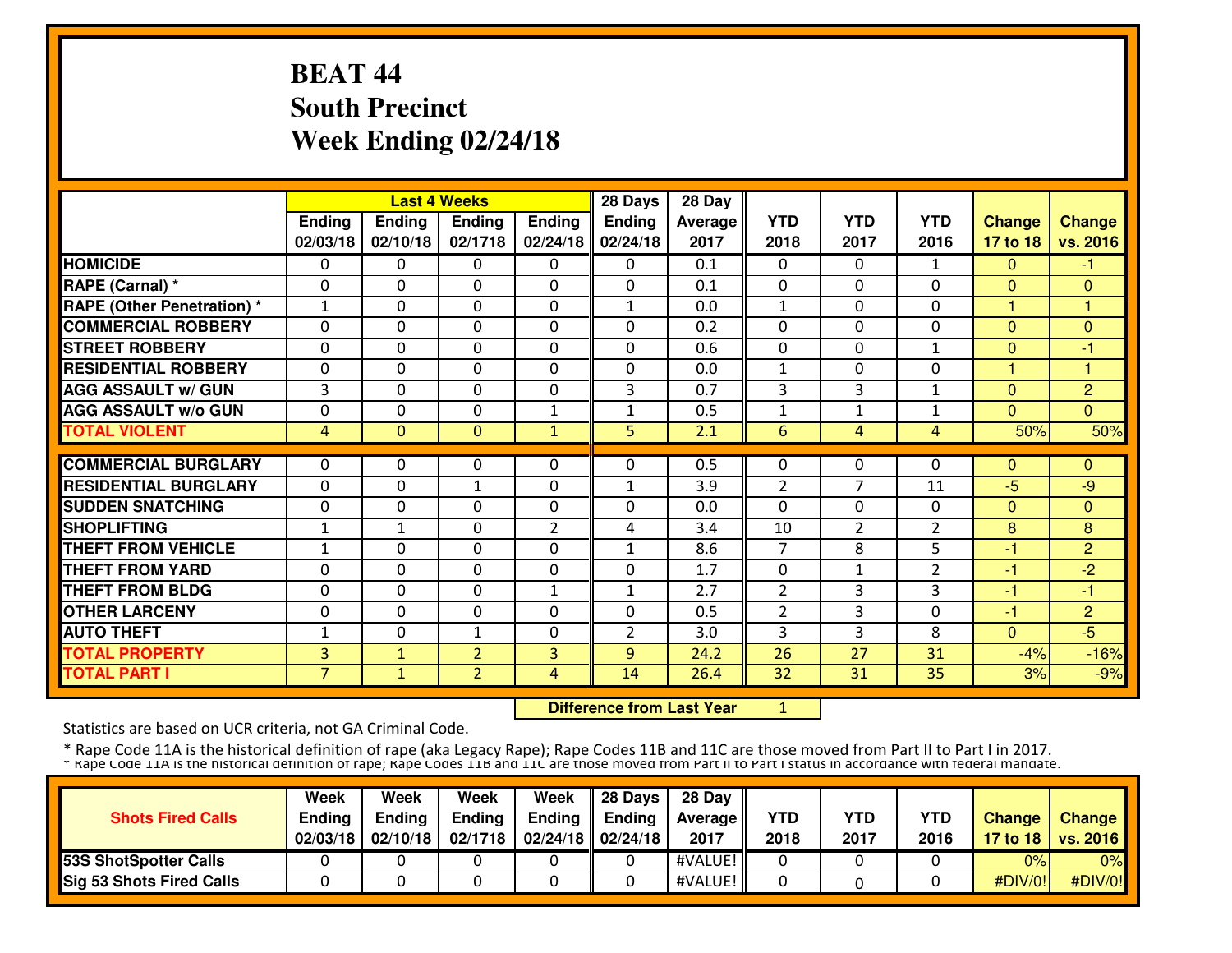# **BEAT 44 South PrecinctWeek Ending 02/24/18**

|                                   |                | <b>Last 4 Weeks</b> |                |               | 28 Days        | 28 Day  |                |                |                |               |                |
|-----------------------------------|----------------|---------------------|----------------|---------------|----------------|---------|----------------|----------------|----------------|---------------|----------------|
|                                   | Ending         | <b>Ending</b>       | Ending         | <b>Ending</b> | <b>Ending</b>  | Average | <b>YTD</b>     | <b>YTD</b>     | <b>YTD</b>     | <b>Change</b> | <b>Change</b>  |
|                                   | 02/03/18       | 02/10/18            | 02/1718        | 02/24/18      | 02/24/18       | 2017    | 2018           | 2017           | 2016           | 17 to 18      | vs. 2016       |
| <b>HOMICIDE</b>                   | 0              | 0                   | 0              | 0             | 0              | 0.1     | 0              | $\Omega$       | 1              | $\mathbf{0}$  | $-1$           |
| RAPE (Carnal) *                   | $\Omega$       | 0                   | 0              | $\Omega$      | $\Omega$       | 0.1     | $\mathbf{0}$   | $\Omega$       | $\Omega$       | $\Omega$      | $\Omega$       |
| <b>RAPE (Other Penetration)</b> * | $\mathbf{1}$   | 0                   | 0              | $\Omega$      | $\mathbf{1}$   | 0.0     | $\mathbf{1}$   | $\Omega$       | 0              | 4             | и              |
| <b>COMMERCIAL ROBBERY</b>         | $\Omega$       | 0                   | 0              | 0             | $\Omega$       | 0.2     | $\mathbf{0}$   | $\Omega$       | 0              | 0             | $\mathbf{0}$   |
| <b>STREET ROBBERY</b>             | 0              | 0                   | 0              | 0             | $\Omega$       | 0.6     | $\mathbf{0}$   | 0              | 1              | $\Omega$      | $-1$           |
| <b>RESIDENTIAL ROBBERY</b>        | $\Omega$       | 0                   | $\Omega$       | $\Omega$      | $\Omega$       | 0.0     | $\mathbf{1}$   | 0              | $\Omega$       |               | 1              |
| <b>AGG ASSAULT w/ GUN</b>         | 3              | 0                   | 0              | 0             | 3              | 0.7     | 3              | 3              | $\mathbf{1}$   | $\Omega$      | $\overline{2}$ |
| <b>AGG ASSAULT W/o GUN</b>        | $\mathbf{0}$   | 0                   | $\Omega$       | $\mathbf{1}$  | $\mathbf{1}$   | 0.5     | $\mathbf{1}$   | 1              | 1              | $\Omega$      | $\Omega$       |
| <b>TOTAL VIOLENT</b>              | 4              | $\Omega$            | $\mathbf{0}$   | $\mathbf{1}$  | 5              | 2.1     | 6              | 4              | 4              | 50%           | 50%            |
|                                   |                |                     |                |               |                |         |                |                |                |               |                |
| <b>COMMERCIAL BURGLARY</b>        | 0              | 0                   | 0              | 0             | $\Omega$       | 0.5     | 0              | 0              | 0              | $\mathbf{0}$  | $\Omega$       |
| <b>RESIDENTIAL BURGLARY</b>       | 0              | 0                   | $\mathbf{1}$   | 0             | 1              | 3.9     | $\overline{2}$ | $\overline{7}$ | 11             | -5            | $-9$           |
| <b>SUDDEN SNATCHING</b>           | 0              | 0                   | 0              | 0             | $\Omega$       | 0.0     | 0              | $\Omega$       | $\Omega$       | $\mathbf{0}$  | $\Omega$       |
| <b>SHOPLIFTING</b>                | 1              | $\mathbf{1}$        | 0              | 2             | 4              | 3.4     | 10             | $\overline{2}$ | 2              | 8             | 8              |
| <b>THEFT FROM VEHICLE</b>         | $\mathbf{1}$   | 0                   | 0              | 0             | $\mathbf{1}$   | 8.6     | $\overline{7}$ | 8              | 5              | -1            | $\overline{2}$ |
| <b>THEFT FROM YARD</b>            | 0              | $\Omega$            | 0              | 0             | $\Omega$       | 1.7     | $\mathbf{0}$   | $\mathbf{1}$   | $\overline{2}$ | -1            | $-2$           |
| <b>THEFT FROM BLDG</b>            | 0              | 0                   | 0              | $\mathbf{1}$  | $\mathbf{1}$   | 2.7     | $\overline{2}$ | 3              | 3              | -1            | $-1$           |
| <b>IOTHER LARCENY</b>             | $\mathbf{0}$   | 0                   | 0              | 0             | $\Omega$       | 0.5     | $\overline{2}$ | 3              | $\Omega$       | -1            | $\overline{2}$ |
| <b>AUTO THEFT</b>                 | $\mathbf{1}$   | 0                   | $\mathbf{1}$   | 0             | $\overline{2}$ | 3.0     | 3              | 3              | 8              | $\mathbf{0}$  | $-5$           |
| <b>TOTAL PROPERTY</b>             | $\overline{3}$ | $\mathbf{1}$        | $\overline{2}$ | 3             | 9              | 24.2    | 26             | 27             | 31             | $-4%$         | $-16%$         |
| <b>TOTAL PART I</b>               | $\overline{7}$ | $\mathbf{1}$        | $\overline{2}$ | 4             | 14             | 26.4    | 32             | 31             | 35             | 3%            | $-9%$          |

 **Difference from Last Year**

<sup>1</sup>

Statistics are based on UCR criteria, not GA Criminal Code.

|                                 | Week     | Week          | Week          | Week                                      | $\parallel$ 28 Days | 28 Dav            |      |      |            |               |                     |
|---------------------------------|----------|---------------|---------------|-------------------------------------------|---------------------|-------------------|------|------|------------|---------------|---------------------|
| <b>Shots Fired Calls</b>        | Ending   | <b>Ending</b> | <b>Ending</b> | Ending                                    | <b>Ending</b>       | <b>Average II</b> | YTD  | YTD  | <b>YTD</b> | <b>Change</b> | <b>Change</b>       |
|                                 | 02/03/18 | 02/10/18      | 02/1718       | $\parallel$ 02/24/18 $\parallel$ 02/24/18 |                     | 2017              | 2018 | 2017 | 2016       |               | 17 to 18   vs. 2016 |
| <b>53S ShotSpotter Calls</b>    |          |               |               |                                           |                     | #VALUE!           |      |      |            | 0%            | 0%                  |
| <b>Sig 53 Shots Fired Calls</b> |          |               |               |                                           |                     | #VALUE!           |      |      |            | #DIV/0!       | #DIV/0!             |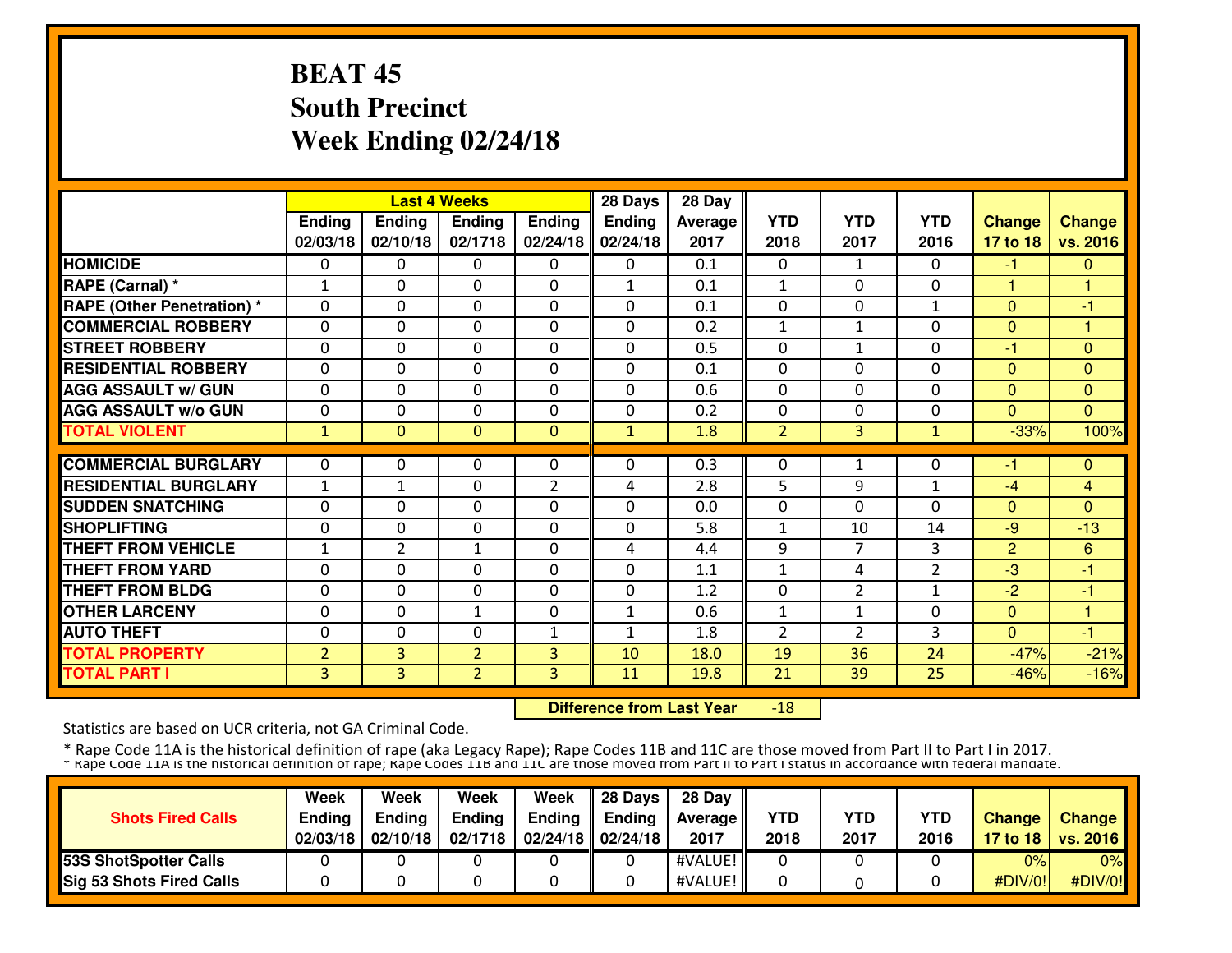# **BEAT 45 South PrecinctWeek Ending 02/24/18**

|                                   |                |               | <b>Last 4 Weeks</b> |                | 28 Days       | 28 Day         |                |                          |              |                |                |
|-----------------------------------|----------------|---------------|---------------------|----------------|---------------|----------------|----------------|--------------------------|--------------|----------------|----------------|
|                                   | Ending         | <b>Ending</b> | Ending              | <b>Ending</b>  | <b>Ending</b> | <b>Average</b> | <b>YTD</b>     | <b>YTD</b>               | <b>YTD</b>   | <b>Change</b>  | <b>Change</b>  |
|                                   | 02/03/18       | 02/10/18      | 02/1718             | 02/24/18       | 02/24/18      | 2017           | 2018           | 2017                     | 2016         | 17 to 18       | vs. 2016       |
| <b>HOMICIDE</b>                   | 0              | 0             | $\Omega$            | $\Omega$       | $\Omega$      | 0.1            | $\Omega$       | $\mathbf{1}$             | $\Omega$     | -1             | $\Omega$       |
| RAPE (Carnal) *                   | 1              | 0             | $\Omega$            | $\Omega$       | $\mathbf{1}$  | 0.1            | $\mathbf{1}$   | 0                        | $\Omega$     |                |                |
| <b>RAPE (Other Penetration) *</b> | $\Omega$       | $\Omega$      | 0                   | 0              | $\Omega$      | 0.1            | $\mathbf 0$    | $\Omega$                 | 1            | $\overline{0}$ | $-1$           |
| <b>ICOMMERCIAL ROBBERY</b>        | 0              | $\Omega$      | 0                   | 0              | $\Omega$      | 0.2            | $\mathbf{1}$   | 1                        | $\Omega$     | $\Omega$       | 1              |
| <b>STREET ROBBERY</b>             | 0              | 0             | 0                   | 0              | $\mathbf{0}$  | 0.5            | $\mathbf{0}$   | $\mathbf{1}$             | 0            | -1             | $\mathbf{0}$   |
| <b>RESIDENTIAL ROBBERY</b>        | 0              | 0             | 0                   | 0              | $\Omega$      | 0.1            | $\mathbf{0}$   | 0                        | $\Omega$     | $\Omega$       | $\Omega$       |
| <b>AGG ASSAULT w/ GUN</b>         | $\Omega$       | 0             | 0                   | 0              | $\Omega$      | 0.6            | 0              | $\Omega$                 | $\Omega$     | $\Omega$       | $\Omega$       |
| <b>AGG ASSAULT w/o GUN</b>        | $\Omega$       | 0             | $\Omega$            | $\Omega$       | $\Omega$      | 0.2            | $\Omega$       | 0                        | $\Omega$     | $\Omega$       | $\Omega$       |
| <b>TOTAL VIOLENT</b>              | 1              | 0             | $\mathbf{0}$        | $\mathbf{0}$   | $\mathbf{1}$  | 1.8            | $\overline{2}$ | 3                        | $\mathbf{1}$ | $-33%$         | 100%           |
| <b>COMMERCIAL BURGLARY</b>        | 0              | 0             | 0                   | 0              | 0             | 0.3            | 0              | 1                        | 0            | -1             | $\mathbf 0$    |
| <b>RESIDENTIAL BURGLARY</b>       | $\mathbf{1}$   | $\mathbf{1}$  | 0                   | $\overline{2}$ | 4             | 2.8            | 5              | 9                        | $\mathbf{1}$ | $-4$           | 4              |
| <b>ISUDDEN SNATCHING</b>          | $\Omega$       | 0             | $\Omega$            | 0              | $\Omega$      | 0.0            | 0              | 0                        | $\Omega$     | $\Omega$       | $\Omega$       |
| <b>SHOPLIFTING</b>                | $\Omega$       | 0             | 0                   | $\Omega$       | $\Omega$      | 5.8            | $\mathbf{1}$   | 10                       | 14           | -9             | $-13$          |
| <b>THEFT FROM VEHICLE</b>         | 1              | 2             | $\mathbf{1}$        | 0              | 4             | 4.4            | 9              | 7                        | 3            | $\overline{c}$ | 6              |
| <b>THEFT FROM YARD</b>            | 0              | 0             | 0                   | 0              | 0             | 1.1            | $\mathbf{1}$   | 4                        | 2            | -3             | -1             |
| <b>THEFT FROM BLDG</b>            | 0              | $\Omega$      | 0                   | 0              | $\Omega$      | 1.2            | $\mathbf{0}$   | $\overline{2}$           | $\mathbf{1}$ | $-2$           | $-1$           |
| <b>OTHER LARCENY</b>              | 0              | $\Omega$      | 1                   | 0              | 1             | 0.6            | 1              | 1                        | $\Omega$     | $\mathbf{0}$   | $\overline{1}$ |
| <b>AUTO THEFT</b>                 | 0              | $\Omega$      | $\Omega$            | $\mathbf{1}$   | $\mathbf{1}$  | 1.8            | $\overline{2}$ | $\overline{\phantom{a}}$ | 3            | $\Omega$       | $-1$           |
| <b>TOTAL PROPERTY</b>             | $\overline{2}$ | 3             | $\overline{2}$      | 3              | 10            | 18.0           | 19             | 36                       | 24           | $-47%$         | $-21%$         |
| <b>TOTAL PART I</b>               |                |               |                     |                |               |                |                |                          |              |                |                |
|                                   | 3              | 3             | $\overline{2}$      | 3              | 11            | 19.8           | 21             | 39                       | 25           | $-46%$         | $-16%$         |

 **Difference from Last Year** $-18$ 

Statistics are based on UCR criteria, not GA Criminal Code.

|                                 | Week     | Week          | Week          | Week                                      | $\parallel$ 28 Days | 28 Dav            |      |      |            |               |                     |
|---------------------------------|----------|---------------|---------------|-------------------------------------------|---------------------|-------------------|------|------|------------|---------------|---------------------|
| <b>Shots Fired Calls</b>        | Ending   | <b>Ending</b> | <b>Ending</b> | Ending                                    | <b>Ending</b>       | <b>Average II</b> | YTD  | YTD  | <b>YTD</b> | <b>Change</b> | <b>Change</b>       |
|                                 | 02/03/18 | 02/10/18      | 02/1718       | $\parallel$ 02/24/18 $\parallel$ 02/24/18 |                     | 2017              | 2018 | 2017 | 2016       |               | 17 to 18   vs. 2016 |
| <b>53S ShotSpotter Calls</b>    |          |               |               |                                           |                     | #VALUE!           |      |      |            | 0%            | 0%                  |
| <b>Sig 53 Shots Fired Calls</b> |          |               |               |                                           |                     | #VALUE!           |      |      |            | #DIV/0!       | #DIV/0!             |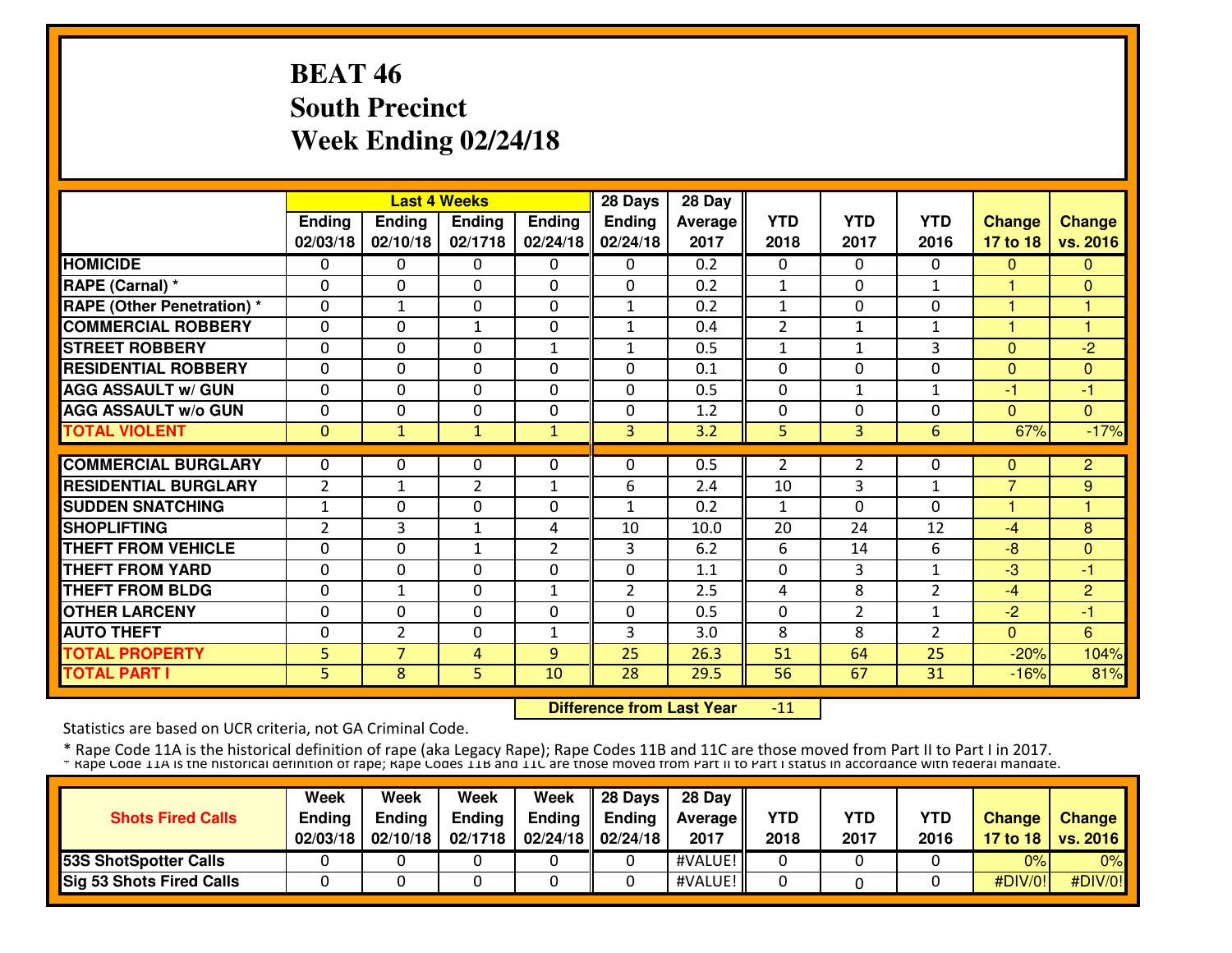# **BEAT 46 South PrecinctWeek Ending 02/24/18**

|                                   |                | <b>Last 4 Weeks</b> |                |                | 28 Days        | 28 Day         |                |                       |                |               |                |
|-----------------------------------|----------------|---------------------|----------------|----------------|----------------|----------------|----------------|-----------------------|----------------|---------------|----------------|
|                                   | Ending         | <b>Ending</b>       | <b>Ending</b>  | <b>Ending</b>  | <b>Ending</b>  | <b>Average</b> | <b>YTD</b>     | <b>YTD</b>            | <b>YTD</b>     | <b>Change</b> | <b>Change</b>  |
|                                   | 02/03/18       | 02/10/18            | 02/1718        | 02/24/18       | 02/24/18       | 2017           | 2018           | 2017                  | 2016           | 17 to 18      | vs. 2016       |
| <b>HOMICIDE</b>                   | 0              | $\Omega$            | 0              | $\Omega$       | $\Omega$       | 0.2            | 0              | $\Omega$              | 0              | $\mathbf{0}$  | $\Omega$       |
| RAPE (Carnal) *                   | $\Omega$       | $\Omega$            | 0              | $\mathbf{0}$   | $\Omega$       | 0.2            | 1              | $\mathbf{0}$          | 1              |               | $\Omega$       |
| <b>RAPE (Other Penetration) *</b> | $\Omega$       | $\mathbf{1}$        | 0              | $\mathbf 0$    | $\mathbf{1}$   | 0.2            | 1              | $\mathbf{0}$          | 0              | ٠             | 1              |
| <b>COMMERCIAL ROBBERY</b>         | $\Omega$       | $\Omega$            | $\mathbf{1}$   | 0              | 1              | 0.4            | $\overline{2}$ | $\mathbf{1}$          | 1              |               | н              |
| <b>STREET ROBBERY</b>             | $\Omega$       | 0                   | 0              | $\mathbf{1}$   | 1              | 0.5            | $\mathbf{1}$   | $\mathbf{1}$          | 3              | $\Omega$      | $-2$           |
| <b>RESIDENTIAL ROBBERY</b>        | $\Omega$       | $\Omega$            | $\Omega$       | $\Omega$       | $\Omega$       | 0.1            | $\Omega$       | $\Omega$              | $\Omega$       | $\Omega$      | $\Omega$       |
| <b>AGG ASSAULT W/ GUN</b>         | $\Omega$       | $\Omega$            | $\Omega$       | $\Omega$       | $\Omega$       | 0.5            | $\mathbf{0}$   | $\mathbf{1}$          | 1              | -1            | $-1$           |
| <b>AGG ASSAULT w/o GUN</b>        | $\Omega$       | $\Omega$            | $\Omega$       | $\Omega$       | $\Omega$       | 1.2            | $\Omega$       | 0                     | <sup>0</sup>   | $\Omega$      | $\Omega$       |
| <b>TOTAL VIOLENT</b>              | $\Omega$       | $\mathbf{1}$        | $\mathbf{1}$   | $\mathbf{1}$   | 3              | 3.2            | 5              | 3                     | 6              | 67%           | $-17%$         |
|                                   |                |                     |                |                |                |                |                |                       |                |               |                |
| <b>COMMERCIAL BURGLARY</b>        | 0              | 0                   | 0              | 0              | 0              | 0.5            | 2              | 2                     | 0              | $\Omega$      | $\overline{2}$ |
| <b>RESIDENTIAL BURGLARY</b>       | $\mathfrak{p}$ | 1                   | $\overline{2}$ | $\mathbf 1$    | 6              | 2.4            | 10             | 3                     | 1              | 7             | 9              |
| <b>SUDDEN SNATCHING</b>           | 1              | $\Omega$            | $\Omega$       | $\Omega$       | 1              | 0.2            | 1              | 0                     | 0              | ٠             | 1              |
| <b>SHOPLIFTING</b>                | $\overline{2}$ | 3                   | $\mathbf{1}$   | 4              | 10             | 10.0           | 20             | 24                    | 12             | $-4$          | 8              |
| <b>THEFT FROM VEHICLE</b>         | 0              | 0                   | $\mathbf{1}$   | $\overline{2}$ | 3              | 6.2            | 6              | 14                    | 6              | -8            | $\overline{0}$ |
| <b>THEFT FROM YARD</b>            | $\Omega$       | $\Omega$            | $\Omega$       | $\Omega$       | $\Omega$       | 1.1            | $\Omega$       | 3                     | $\mathbf{1}$   | -3            | $-1$           |
| <b>THEFT FROM BLDG</b>            | $\Omega$       | $\mathbf{1}$        | 0              | $\mathbf{1}$   | $\overline{2}$ | 2.5            | 4              | 8                     | $\overline{2}$ | $-4$          | $\overline{2}$ |
| <b>OTHER LARCENY</b>              | 0              | 0                   | 0              | $\Omega$       | $\Omega$       | 0.5            | $\mathbf{0}$   | $\overline{2}$        | 1              | $-2$          | $-1$           |
| <b>AUTO THEFT</b>                 | $\Omega$       | $\overline{2}$      | 0              | $\mathbf{1}$   | 3              | 3.0            | 8              | $\mathsf{\mathsf{R}}$ | $\overline{2}$ | $\mathbf{0}$  | 6              |
| <b>TOTAL PROPERTY</b>             | 5              | $\overline{7}$      | $\overline{4}$ | 9              | 25             | 26.3           | 51             | 64                    | 25             | $-20%$        | 104%           |
| <b>TOTAL PART I</b>               | 5              | 8                   | 5              | 10             | 28             | 29.5           | 56             | 67                    | 31             | $-16%$        | 81%            |

 **Difference from Last Year**-11

Statistics are based on UCR criteria, not GA Criminal Code.

|                                 | Week     | Week          | Week          | Week          | 28 Days              | 28 Day           |            |      |            |               |                     |
|---------------------------------|----------|---------------|---------------|---------------|----------------------|------------------|------------|------|------------|---------------|---------------------|
| <b>Shots Fired Calls</b>        | Endina   | <b>Endina</b> | <b>Ending</b> | <b>Ending</b> | <b>Ending</b>        | <b>Average</b> I | <b>YTD</b> | YTD  | <b>YTD</b> | <b>Change</b> | <b>Change</b>       |
|                                 | 02/03/18 | 02/10/18      | 02/1718       |               | 02/24/18    02/24/18 | 2017             | 2018       | 2017 | 2016       |               | 17 to 18   vs. 2016 |
| <b>153S ShotSpotter Calls</b>   |          |               |               |               |                      | #VALUE!          |            |      |            | 0%            | 0%                  |
| <b>Sig 53 Shots Fired Calls</b> |          |               |               |               |                      | #VALUE!          |            |      |            | #DIV/0!       | #DIV/0!             |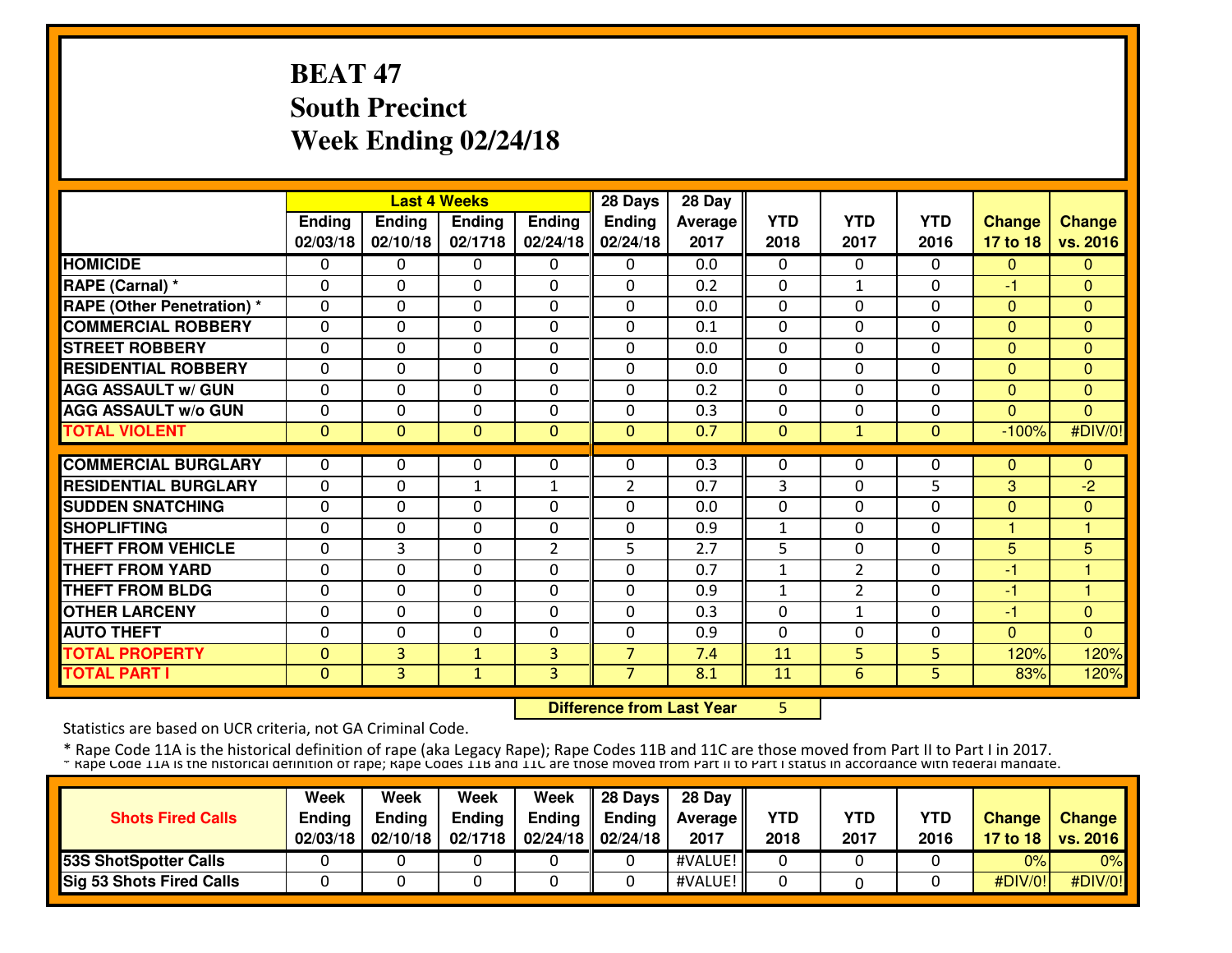# **BEAT 47 South PrecinctWeek Ending 02/24/18**

|                                   |              |               | <b>Last 4 Weeks</b> |                | 28 Days        | 28 Day  |              |                          |                |                |                |
|-----------------------------------|--------------|---------------|---------------------|----------------|----------------|---------|--------------|--------------------------|----------------|----------------|----------------|
|                                   | Ending       | <b>Ending</b> | <b>Ending</b>       | <b>Ending</b>  | <b>Ending</b>  | Average | <b>YTD</b>   | <b>YTD</b>               | <b>YTD</b>     | <b>Change</b>  | <b>Change</b>  |
|                                   | 02/03/18     | 02/10/18      | 02/1718             | 02/24/18       | 02/24/18       | 2017    | 2018         | 2017                     | 2016           | 17 to 18       | vs. 2016       |
| <b>HOMICIDE</b>                   | 0            | 0             | 0                   | $\Omega$       | $\Omega$       | 0.0     | 0            | $\Omega$                 | 0              | $\mathbf{0}$   | 0              |
| RAPE (Carnal) *                   | 0            | 0             | 0                   | $\Omega$       | $\Omega$       | 0.2     | $\mathbf{0}$ | $\mathbf{1}$             | 0              | -1             | $\mathbf{0}$   |
| <b>RAPE (Other Penetration) *</b> | 0            | $\Omega$      | 0                   | 0              | $\Omega$       | 0.0     | $\mathbf 0$  | $\Omega$                 | $\Omega$       | $\overline{0}$ | $\overline{0}$ |
| <b>COMMERCIAL ROBBERY</b>         | $\mathbf{0}$ | $\Omega$      | 0                   | 0              | $\Omega$       | 0.1     | $\mathbf{0}$ | 0                        | 0              | $\Omega$       | $\mathbf{0}$   |
| <b>STREET ROBBERY</b>             | 0            | $\Omega$      | 0                   | 0              | $\Omega$       | 0.0     | $\Omega$     | 0                        | 0              | $\Omega$       | $\mathbf{0}$   |
| <b>RESIDENTIAL ROBBERY</b>        | 0            | $\Omega$      | 0                   | 0              | $\Omega$       | 0.0     | 0            | 0                        | 0              | $\overline{0}$ | $\overline{0}$ |
| <b>AGG ASSAULT w/ GUN</b>         | $\Omega$     | 0             | 0                   | 0              | $\Omega$       | 0.2     | 0            | 0                        | 0              | $\Omega$       | 0              |
| <b>AGG ASSAULT W/o GUN</b>        | $\mathbf{0}$ | 0             | 0                   | 0              | $\Omega$       | 0.3     | 0            | 0                        | 0              | $\Omega$       | $\Omega$       |
| <b>TOTAL VIOLENT</b>              | $\Omega$     | $\Omega$      | $\mathbf{0}$        | $\mathbf{0}$   | $\mathbf{0}$   | 0.7     | $\Omega$     | $\mathbf{1}$             | $\Omega$       | $-100%$        | #DIV/0!        |
|                                   |              |               |                     |                |                |         |              |                          |                |                |                |
| <b>COMMERCIAL BURGLARY</b>        | $\Omega$     | 0             | 0                   | 0              | $\Omega$       | 0.3     | 0            | 0                        | 0              | $\Omega$       | $\Omega$       |
| <b>RESIDENTIAL BURGLARY</b>       | $\Omega$     | 0             | $\mathbf{1}$        | $\mathbf{1}$   | $\overline{2}$ | 0.7     | 3            | 0                        | 5              | 3              | $-2$           |
| <b>SUDDEN SNATCHING</b>           | 0            | 0             | $\Omega$            | $\Omega$       | $\Omega$       | 0.0     | $\Omega$     | 0                        | 0              | $\Omega$       | $\mathbf{0}$   |
| <b>ISHOPLIFTING</b>               | 0            | 0             | $\Omega$            | $\Omega$       | $\Omega$       | 0.9     | 1            | 0                        | 0              | 1              |                |
| <b>THEFT FROM VEHICLE</b>         | 0            | 3             | 0                   | $\overline{2}$ | 5              | 2.7     | 5            | 0                        | 0              | 5              | 5              |
| <b>THEFT FROM YARD</b>            | 0            | $\Omega$      | 0                   | 0              | $\Omega$       | 0.7     | $\mathbf{1}$ | $\overline{2}$           | $\Omega$       | $-1$           | 1              |
| <b>THEFT FROM BLDG</b>            | $\mathbf{0}$ | $\Omega$      | 0                   | 0              | $\Omega$       | 0.9     | $\mathbf{1}$ | $\overline{\phantom{a}}$ | $\Omega$       | $-1$           | $\mathbf 1$    |
| <b>OTHER LARCENY</b>              | $\mathbf{0}$ | 0             | 0                   | 0              | $\Omega$       | 0.3     | 0            | $\mathbf{1}$             | 0              | $-1$           | $\overline{0}$ |
| <b>AUTO THEFT</b>                 | $\mathbf{0}$ | $\Omega$      | 0                   | 0              | $\Omega$       | 0.9     | 0            | 0                        | 0              | $\overline{0}$ | $\Omega$       |
| <b>TOTAL PROPERTY</b>             | $\mathbf{0}$ | 3             | $\mathbf{1}$        | 3              | $\overline{7}$ | 7.4     | 11           | 5                        | 5 <sup>1</sup> | 120%           | 120%           |
| <b>TOTAL PART I</b>               | $\mathbf{0}$ | 3             | $\mathbf{1}$        | 3              | $\overline{7}$ | 8.1     | 11           | 6                        | 5              | 83%            | 120%           |

 **Difference from Last Year**<sup>5</sup>

Statistics are based on UCR criteria, not GA Criminal Code.

|                                 | Week          | Week          | Week          | Week                                      | $\parallel$ 28 Days | 28 Dav            |      |      |            |               |                     |
|---------------------------------|---------------|---------------|---------------|-------------------------------------------|---------------------|-------------------|------|------|------------|---------------|---------------------|
| <b>Shots Fired Calls</b>        | <b>Ending</b> | <b>Ending</b> | <b>Ending</b> | Ending                                    | <b>Ending</b>       | <b>Average II</b> | YTD  | YTD  | <b>YTD</b> | <b>Change</b> | <b>Change</b>       |
|                                 | 02/03/18      | 02/10/18      | 02/1718       | $\parallel$ 02/24/18 $\parallel$ 02/24/18 |                     | 2017              | 2018 | 2017 | 2016       |               | 17 to 18   vs. 2016 |
| <b>53S ShotSpotter Calls</b>    |               |               |               |                                           |                     | #VALUE!           |      |      |            | 0%            | 0%                  |
| <b>Sig 53 Shots Fired Calls</b> |               |               |               |                                           |                     | #VALUE!           |      |      |            | #DIV/0!       | #DIV/0!             |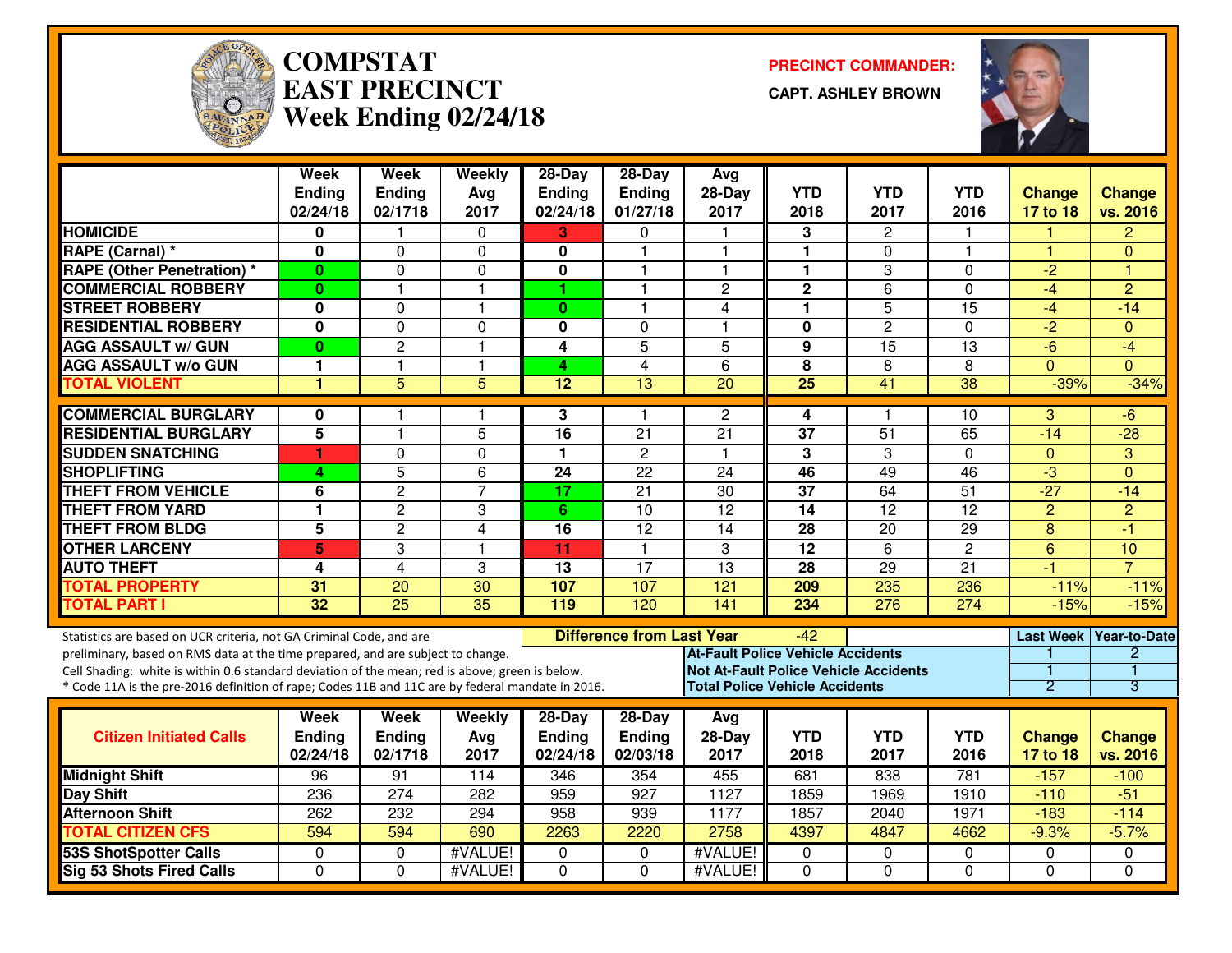

#### **COMPSTATEAST PRECINCTWeek Ending 02/24/18**

**PRECINCT COMMANDER:**

**CAPT. ASHLEY BROWN**



|                                                                                                                                                        | <b>Week</b><br><b>Ending</b><br>02/24/18 | <b>Week</b><br><b>Ending</b><br>02/1718 | Weekly<br>Avg<br>2017   | $28-Day$<br><b>Ending</b><br>02/24/18 | $28$ -Day<br><b>Ending</b><br>01/27/18 | Avg<br>28-Day<br>2017                        | <b>YTD</b><br>2018 | <b>YTD</b><br>2017 | <b>YTD</b><br>2016 | <b>Change</b><br>17 to 18 | <b>Change</b><br>vs. 2016                  |
|--------------------------------------------------------------------------------------------------------------------------------------------------------|------------------------------------------|-----------------------------------------|-------------------------|---------------------------------------|----------------------------------------|----------------------------------------------|--------------------|--------------------|--------------------|---------------------------|--------------------------------------------|
| <b>HOMICIDE</b>                                                                                                                                        | 0                                        | 1                                       | $\mathbf{0}$            | 3.                                    | $\Omega$                               | $\mathbf{1}$                                 | 3                  | 2                  | 1                  | 1                         | $\overline{2}$                             |
| RAPE (Carnal) *                                                                                                                                        | 0                                        | 0                                       | $\Omega$                | 0                                     | 1                                      | 1                                            | $\mathbf{1}$       | $\Omega$           | 1                  | 1                         | $\Omega$                                   |
| <b>RAPE (Other Penetration) *</b>                                                                                                                      | $\bf{0}$                                 | 0                                       | $\mathbf 0$             | $\mathbf{0}$                          | $\mathbf{1}$                           | $\mathbf{1}$                                 | $\mathbf{1}$       | 3                  | $\mathbf 0$        | $-2$                      | $\overline{1}$                             |
| <b>COMMERCIAL ROBBERY</b>                                                                                                                              | 0                                        | $\blacksquare$                          | $\overline{\mathbf{1}}$ | 1.                                    | 1                                      | $\overline{c}$                               | $\mathbf{2}$       | 6                  | $\mathbf 0$        | $-4$                      | $\overline{2}$                             |
| <b>STREET ROBBERY</b>                                                                                                                                  | $\mathbf 0$                              | 0                                       | $\overline{1}$          | $\bf{0}$                              | 1                                      | 4                                            | $\mathbf{1}$       | 5                  | 15                 | $-4$                      | $-14$                                      |
| <b>RESIDENTIAL ROBBERY</b>                                                                                                                             | 0                                        | 0                                       | $\mathbf 0$             | $\mathbf 0$                           | $\Omega$                               | $\overline{1}$                               | $\mathbf 0$        | $\overline{2}$     | 0                  | $-2$                      | $\Omega$                                   |
| <b>AGG ASSAULT w/ GUN</b>                                                                                                                              | $\bf{0}$                                 | $\overline{2}$                          | $\overline{\mathbf{1}}$ | 4                                     | 5                                      | 5                                            | 9                  | 15                 | $\overline{13}$    | $-6$                      | $-4$                                       |
| <b>AGG ASSAULT w/o GUN</b>                                                                                                                             | 1                                        | $\blacksquare$                          | $\overline{1}$          | 4                                     | $\overline{4}$                         | 6                                            | 8                  | 8                  | 8                  | $\overline{0}$            | $\Omega$                                   |
| <b>TOTAL VIOLENT</b>                                                                                                                                   | $\overline{\mathbf{1}}$                  | $\overline{5}$                          | $\overline{5}$          | $\overline{12}$                       | $\overline{13}$                        | $\overline{20}$                              | $\overline{25}$    | 41                 | 38                 | $-39%$                    | $-34%$                                     |
| <b>COMMERCIAL BURGLARY</b>                                                                                                                             | $\bf{0}$                                 | 1                                       | -1                      | 3                                     | $\mathbf{1}$                           | $\overline{2}$                               | 4                  | 1                  | 10                 | $\overline{3}$            | $-\sqrt{6}$                                |
| <b>RESIDENTIAL BURGLARY</b>                                                                                                                            | $\overline{5}$                           | $\blacksquare$                          | $\overline{5}$          | $\overline{16}$                       | $\overline{21}$                        | $\overline{21}$                              | $\overline{37}$    | $\overline{51}$    | 65                 | $-14$                     | $\overline{-28}$                           |
| <b>SUDDEN SNATCHING</b>                                                                                                                                | 1                                        | 0                                       | $\mathbf 0$             | $\blacksquare$                        | $\overline{2}$                         | $\overline{1}$                               | $\overline{3}$     | 3                  | $\Omega$           | $\mathbf{0}$              | $\overline{3}$                             |
| <b>SHOPLIFTING</b>                                                                                                                                     | 4                                        | $\overline{5}$                          | 6                       | $\overline{24}$                       | $\overline{22}$                        | 24                                           | $\overline{46}$    | 49                 | $\overline{46}$    | $\overline{\cdot 3}$      | $\Omega$                                   |
| <b>THEFT FROM VEHICLE</b>                                                                                                                              | $\overline{6}$                           | $\overline{2}$                          | $\overline{7}$          | 17                                    | $\overline{21}$                        | $\overline{30}$                              | $\overline{37}$    | 64                 | 51                 | $-27$                     | $-14$                                      |
| <b>THEFT FROM YARD</b>                                                                                                                                 | 1                                        | $\overline{2}$                          | 3                       | 6                                     | 10                                     | $\overline{12}$                              | $\overline{14}$    | $\overline{12}$    | $\overline{12}$    | $\overline{2}$            | $\overline{2}$                             |
| <b>THEFT FROM BLDG</b>                                                                                                                                 | $\overline{\mathbf{5}}$                  | $\overline{2}$                          | $\overline{4}$          | $\overline{16}$                       | 12                                     | $\overline{14}$                              | $\overline{28}$    | $\overline{20}$    | $\overline{29}$    | 8                         | -1                                         |
| <b>OTHER LARCENY</b>                                                                                                                                   | 5                                        | 3                                       | $\overline{1}$          | 11                                    | $\mathbf{1}$                           | 3                                            | $\overline{12}$    | 6                  | $\overline{2}$     | $6\phantom{1}$            | 10                                         |
| <b>AUTO THEFT</b>                                                                                                                                      | 4                                        | 4                                       | 3                       | $\overline{13}$                       | $\overline{17}$                        | $\overline{13}$                              | $\overline{28}$    | $\overline{29}$    | $\overline{21}$    | $-1$                      | $\overline{7}$                             |
| <b>TOTAL PROPERTY</b>                                                                                                                                  | $\overline{31}$                          | $\overline{20}$                         | 30                      | 107                                   | 107                                    | 121                                          | 209                | 235                | 236                | $-11%$                    | $-11%$                                     |
| <b>TOTAL PART I</b>                                                                                                                                    | 32                                       | $\overline{25}$                         | $\overline{35}$         | 119                                   | 120                                    | 141                                          | 234                | 276                | 274                | $-15%$                    | $-15%$                                     |
|                                                                                                                                                        |                                          |                                         |                         |                                       |                                        |                                              |                    |                    |                    |                           |                                            |
| Statistics are based on UCR criteria, not GA Criminal Code, and are<br>preliminary, based on RMS data at the time prepared, and are subject to change. |                                          |                                         |                         |                                       | <b>Difference from Last Year</b>       | <b>At-Fault Police Vehicle Accidents</b>     | -42                |                    |                    |                           | Last Week   Year-to-Date<br>$\overline{c}$ |
| Cell Shading: white is within 0.6 standard deviation of the mean; red is above; green is below.                                                        |                                          |                                         |                         |                                       |                                        | <b>Not At-Fault Police Vehicle Accidents</b> |                    |                    |                    | 1                         | 1                                          |
| * Code 11A is the pre-2016 definition of rape; Codes 11B and 11C are by federal mandate in 2016.                                                       |                                          |                                         |                         |                                       |                                        | <b>Total Police Vehicle Accidents</b>        |                    |                    |                    | 2                         | З                                          |
|                                                                                                                                                        |                                          |                                         |                         |                                       |                                        |                                              |                    |                    |                    |                           |                                            |
|                                                                                                                                                        | Week                                     | <b>Week</b>                             | Weekly                  | 28-Day                                | $28-Day$                               | Avg                                          |                    |                    |                    |                           |                                            |
| <b>Citizen Initiated Calls</b>                                                                                                                         | Ending<br>02/24/18                       | <b>Ending</b><br>02/1718                | Avg<br>2017             | Ending<br>02/24/18                    | <b>Ending</b><br>02/03/18              | 28-Day<br>2017                               | <b>YTD</b><br>2018 | <b>YTD</b><br>2017 | <b>YTD</b><br>2016 | <b>Change</b><br>17 to 18 | <b>Change</b><br>vs. 2016                  |
| <b>Midnight Shift</b>                                                                                                                                  | 96                                       | 91                                      | 114                     | 346                                   | 354                                    | 455                                          | 681                | 838                | 781                | $-157$                    | $-100$                                     |
| <b>Day Shift</b>                                                                                                                                       | 236                                      | 274                                     | 282                     | 959                                   | $\overline{927}$                       | 1127                                         | 1859               | 1969               | 1910               | $-110$                    | $-51$                                      |
| <b>Afternoon Shift</b>                                                                                                                                 | 262                                      | 232                                     | 294                     | 958                                   | 939                                    | 1177                                         | 1857               | 2040               | 1971               | $-183$                    | $-114$                                     |
| <b>TOTAL CITIZEN CFS</b>                                                                                                                               | 594                                      | 594                                     | 690                     | 2263                                  | 2220                                   | 2758                                         | 4397               | 4847               | 4662               | $-9.3%$                   | $-5.7%$                                    |
| 53S ShotSpotter Calls                                                                                                                                  | $\mathbf 0$                              | 0                                       | #VALUE!                 | 0                                     | $\mathbf{0}$                           | #VALUE!                                      | 0                  | 0                  | 0                  | 0                         | $\Omega$                                   |
| <b>Sig 53 Shots Fired Calls</b>                                                                                                                        | $\overline{0}$                           | $\Omega$                                | #VALUE!                 | $\Omega$                              | $\overline{0}$                         | #VALUE!                                      | $\overline{0}$     | $\overline{0}$     | $\Omega$           | $\Omega$                  | $\Omega$                                   |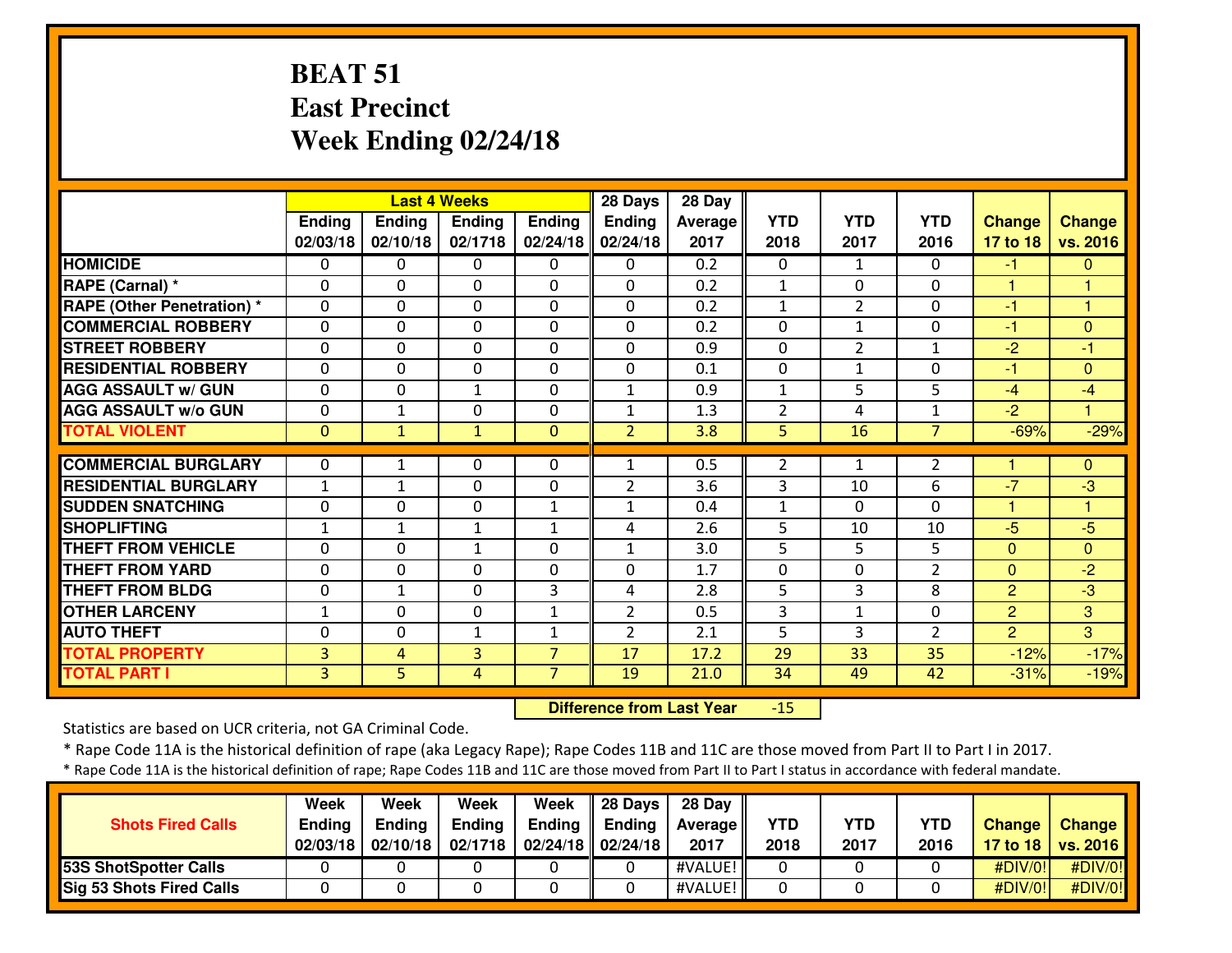## **BEAT 51 East PrecinctWeek Ending 02/24/18**

|                                  |              |              | <b>Last 4 Weeks</b> |                | 28 Days                   | 28 Day          |                    |                    |                    |                           |               |
|----------------------------------|--------------|--------------|---------------------|----------------|---------------------------|-----------------|--------------------|--------------------|--------------------|---------------------------|---------------|
|                                  | Ending       | Ending       | Ending              | <b>Ending</b>  | <b>Ending</b><br>02/24/18 | Average<br>2017 | <b>YTD</b><br>2018 | <b>YTD</b><br>2017 | <b>YTD</b><br>2016 | <b>Change</b><br>17 to 18 | <b>Change</b> |
|                                  | 02/03/18     | 02/10/18     | 02/1718             | 02/24/18       |                           |                 |                    |                    |                    |                           | vs. 2016      |
| <b>HOMICIDE</b>                  | 0            | 0            | 0                   | 0              | $\Omega$                  | 0.2             | $\mathbf{0}$       | $\mathbf{1}$       | $\Omega$           | $-1$                      | 0             |
| RAPE (Carnal) *                  | 0            | 0            | 0                   | 0              | $\Omega$                  | 0.2             | $\mathbf{1}$       | 0                  | 0                  |                           |               |
| <b>RAPE (Other Penetration)*</b> | 0            | $\Omega$     | 0                   | 0              | $\Omega$                  | 0.2             | 1                  | $\overline{2}$     | $\Omega$           | -1                        | H             |
| <b>COMMERCIAL ROBBERY</b>        | 0            | $\Omega$     | 0                   | 0              | $\Omega$                  | 0.2             | $\mathbf{0}$       | 1                  | 0                  | -1                        | $\mathbf{0}$  |
| <b>STREET ROBBERY</b>            | 0            | 0            | 0                   | 0              | $\Omega$                  | 0.9             | 0                  | $\overline{2}$     | 1                  | $-2$                      | -1            |
| <b>RESIDENTIAL ROBBERY</b>       | $\Omega$     | 0            | 0                   | 0              | $\Omega$                  | 0.1             | 0                  | 1                  | 0                  | -1                        | $\mathbf{0}$  |
| <b>AGG ASSAULT w/ GUN</b>        | $\Omega$     | 0            | $\mathbf{1}$        | 0              | $\mathbf{1}$              | 0.9             | $\mathbf{1}$       | 5                  | 5                  | -4                        | $-4$          |
| <b>AGG ASSAULT w/o GUN</b>       | $\Omega$     | $\mathbf{1}$ | 0                   | 0              | $\mathbf{1}$              | 1.3             | $\overline{2}$     | 4                  | 1                  | $-2$                      |               |
| <b>TOTAL VIOLENT</b>             | $\mathbf{0}$ | $\mathbf{1}$ | $\mathbf{1}$        | $\mathbf{0}$   | $\overline{2}$            | 3.8             | 5                  | 16                 | 7                  | $-69%$                    | $-29%$        |
|                                  |              |              |                     |                |                           |                 |                    |                    |                    |                           |               |
| <b>COMMERCIAL BURGLARY</b>       | 0            |              | 0                   | 0              | $\mathbf{1}$              | 0.5             | 2                  | 1                  | 2                  |                           | 0             |
| <b>RESIDENTIAL BURGLARY</b>      | $\mathbf{1}$ | $\mathbf{1}$ | 0                   | 0              | $\overline{2}$            | 3.6             | 3                  | 10                 | 6                  | $-7$                      | -3            |
| <b>ISUDDEN SNATCHING</b>         | 0            | 0            | 0                   | 1              | $\mathbf{1}$              | 0.4             | 1                  | 0                  | 0                  | 1                         |               |
| <b>SHOPLIFTING</b>               | 1            | $\mathbf{1}$ | $\mathbf{1}$        | 1              | 4                         | 2.6             | 5                  | 10                 | 10                 | -5                        | $-5$          |
| <b>THEFT FROM VEHICLE</b>        | $\Omega$     | $\Omega$     | $\mathbf{1}$        | $\Omega$       | $\mathbf{1}$              | 3.0             | 5                  | 5                  | 5.                 | $\Omega$                  | $\Omega$      |
| <b>THEFT FROM YARD</b>           | 0            | 0            | $\Omega$            | $\Omega$       | $\Omega$                  | 1.7             | $\Omega$           | 0                  | $\mathcal{P}$      | $\Omega$                  | $-2$          |
| <b>THEFT FROM BLDG</b>           | 0            | $\mathbf{1}$ | $\Omega$            | 3              | 4                         | 2.8             | 5                  | 3                  | 8                  | 2                         | $-3$          |
| <b>OTHER LARCENY</b>             | $\mathbf{1}$ | $\Omega$     | 0                   | $\mathbf{1}$   | $\overline{2}$            | 0.5             | 3                  | $\mathbf{1}$       | $\Omega$           | 2                         | 3             |
| <b>AUTO THEFT</b>                | 0            | $\Omega$     | $\mathbf{1}$        | $\mathbf{1}$   | $\overline{2}$            | 2.1             | 5                  | 3                  | $\overline{2}$     | $\overline{2}$            | 3             |
| <b>TOTAL PROPERTY</b>            | 3            | 4            | 3                   | $\overline{7}$ | 17                        | 17.2            | 29                 | 33                 | 35                 | $-12%$                    | $-17%$        |
| <b>TOTAL PART I</b>              | 3            | 5            | 4                   | $\overline{7}$ | 19                        | 21.0            | 34                 | 49                 | 42                 | $-31%$                    | $-19%$        |

 **Difference from Last Year**-15

Statistics are based on UCR criteria, not GA Criminal Code.

\* Rape Code 11A is the historical definition of rape (aka Legacy Rape); Rape Codes 11B and 11C are those moved from Part II to Part I in 2017.

\* Rape Code 11A is the historical definition of rape; Rape Codes 11B and 11C are those moved from Part II to Part I status in accordance with federal mandate.

| <b>Shots Fired Calls</b>        | Week<br><b>Ending</b><br>$02/03/18$ 02/10/18 | Week<br><b>Ending</b> | Week<br><b>Ending</b><br>02/1718 | Week<br>Endina | 28 Days<br>Ending<br>$02/24/18$ 02/24/18 | 28 Day<br>Average II<br>2017 | <b>YTD</b><br>2018 | YTD<br>2017 | YTD<br>2016 | <b>Change</b> | <b>Change</b><br>17 to 18   vs. 2016 |
|---------------------------------|----------------------------------------------|-----------------------|----------------------------------|----------------|------------------------------------------|------------------------------|--------------------|-------------|-------------|---------------|--------------------------------------|
| <b>53S ShotSpotter Calls</b>    |                                              |                       |                                  |                |                                          | #VALUE! II                   |                    |             |             | #DIV/0!       | #DIV/0!                              |
| <b>Sig 53 Shots Fired Calls</b> |                                              |                       |                                  |                |                                          | #VALUE! I                    |                    |             |             | #DIV/0!]      | #DIV/0!                              |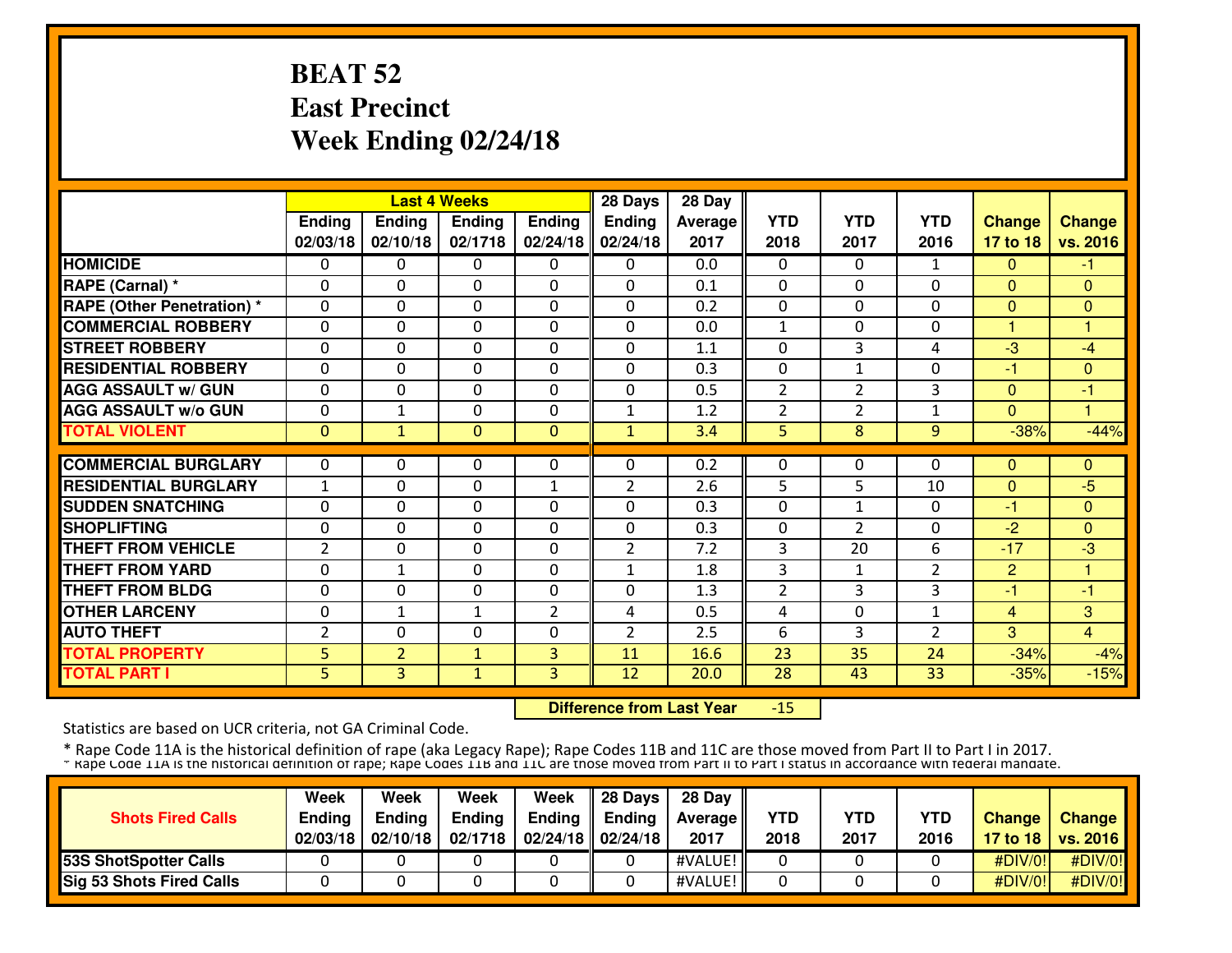#### **BEAT 52 East PrecinctWeek Ending 02/24/18**

|                                  |                | <b>Last 4 Weeks</b> |              |                | 28 Days        | 28 Day  |                |                          |                |                     |               |
|----------------------------------|----------------|---------------------|--------------|----------------|----------------|---------|----------------|--------------------------|----------------|---------------------|---------------|
|                                  | Ending         | <b>Ending</b>       | Ending       | <b>Ending</b>  | <b>Ending</b>  | Average | <b>YTD</b>     | <b>YTD</b>               | <b>YTD</b>     | <b>Change</b>       | <b>Change</b> |
|                                  | 02/03/18       | 02/10/18            | 02/1718      | 02/24/18       | 02/24/18       | 2017    | 2018           | 2017                     | 2016           | 17 to 18            | vs. 2016      |
| <b>HOMICIDE</b>                  | 0              | 0                   | 0            | 0              | 0              | 0.0     | 0              | 0                        | 1              | $\Omega$            | -1            |
| RAPE (Carnal) *                  | $\Omega$       | 0                   | 0            | $\Omega$       | $\Omega$       | 0.1     | $\mathbf{0}$   | 0                        | $\Omega$       | $\Omega$            | $\Omega$      |
| <b>RAPE (Other Penetration)*</b> | 0              | 0                   | 0            | 0              | $\mathbf{0}$   | 0.2     | 0              | $\Omega$                 | 0              | $\Omega$            | $\mathbf{0}$  |
| <b>COMMERCIAL ROBBERY</b>        | 0              | 0                   | 0            | 0              | $\Omega$       | 0.0     | $\mathbf{1}$   | 0                        | 0              |                     |               |
| <b>STREET ROBBERY</b>            | 0              | 0                   | 0            | 0              | $\Omega$       | 1.1     | 0              | 3                        | 4              | -3                  | $-4$          |
| <b>RESIDENTIAL ROBBERY</b>       | $\Omega$       | 0                   | 0            | 0              | $\Omega$       | 0.3     | 0              | 1                        | 0              | -1                  | $\Omega$      |
| <b>AGG ASSAULT w/ GUN</b>        | $\Omega$       | $\Omega$            | $\Omega$     | $\Omega$       | $\Omega$       | 0.5     | $\overline{2}$ | $\overline{\phantom{a}}$ | 3              | $\Omega$            | -1            |
| <b>AGG ASSAULT w/o GUN</b>       | 0              | $\mathbf{1}$        | $\Omega$     | $\Omega$       | $\mathbf{1}$   | 1.2     | $\overline{2}$ | $\mathfrak{p}$           | 1              | $\Omega$            |               |
| <b>TOTAL VIOLENT</b>             | $\mathbf 0$    | $\mathbf{1}$        | $\mathbf{0}$ | $\mathbf 0$    | $\mathbf{1}$   | 3.4     | 5              | 8                        | 9              | $-38%$              | $-44%$        |
| <b>COMMERCIAL BURGLARY</b>       | 0              | 0                   | 0            | 0              | $\Omega$       | 0.2     | 0              | 0                        | 0              | $\mathbf{0}$        | $\mathbf{0}$  |
| <b>RESIDENTIAL BURGLARY</b>      | $\mathbf{1}$   | 0                   | $\Omega$     | $\mathbf{1}$   | $\overline{2}$ | 2.6     | 5              | 5                        | 10             | $\Omega$            | $-5$          |
| <b>SUDDEN SNATCHING</b>          | $\Omega$       | $\Omega$            | $\Omega$     | $\Omega$       | $\Omega$       | 0.3     | $\Omega$       | $\mathbf{1}$             | $\Omega$       | -1                  | $\Omega$      |
| <b>SHOPLIFTING</b>               | 0              | 0                   | 0            | $\Omega$       | $\Omega$       | 0.3     | $\mathbf{0}$   | $\mathfrak{p}$           | $\Omega$       | $-2$                | $\Omega$      |
| <b>THEFT FROM VEHICLE</b>        | $\overline{2}$ | 0                   | 0            | 0              | $\overline{2}$ | 7.2     | 3              | 20                       | 6              | $-17$               | $-3$          |
| <b>THEFT FROM YARD</b>           | 0              | $\mathbf{1}$        | 0            | $\Omega$       | 1              | 1.8     | 3              | 1                        | $\overline{2}$ | $\overline{2}$      | н             |
| <b>THEFT FROM BLDG</b>           | $\mathbf{0}$   | 0                   | 0            | 0              | $\Omega$       | 1.3     | $\overline{2}$ | 3                        | 3              | -1                  | $-1$          |
| <b>OTHER LARCENY</b>             |                |                     |              |                |                |         |                |                          |                |                     |               |
| <b>AUTO THEFT</b>                | $\mathbf{0}$   | $\mathbf{1}$        | $\mathbf{1}$ | $\overline{2}$ | 4              | 0.5     | 4              | 0                        | $\mathbf{1}$   | $\overline{4}$<br>3 | 3             |
|                                  | $\overline{2}$ | 0                   | 0            | 0              | $\overline{2}$ | 2.5     | 6              | 3                        | $\overline{2}$ |                     | 4             |
| <b>TOTAL PROPERTY</b>            | 5              | $\overline{2}$      | $\mathbf{1}$ | 3              | 11             | 16.6    | 23             | 35                       | 24             | $-34%$              | $-4%$         |
| <b>TOTAL PART I</b>              | 5              | 3                   | $\mathbf{1}$ | 3              | 12             | 20.0    | 28             | 43                       | 33             | $-35%$              | $-15%$        |

 **Difference from Last Year**-15

Statistics are based on UCR criteria, not GA Criminal Code.

|                                 | Week          | Week          | Week    | Week                                      | <b>28 Days</b> | 28 Day         |      |      |            |               |                     |
|---------------------------------|---------------|---------------|---------|-------------------------------------------|----------------|----------------|------|------|------------|---------------|---------------------|
| <b>Shots Fired Calls</b>        | <b>Ending</b> | <b>Ending</b> | Ending  | Ending                                    | <b>Ending</b>  | <b>Average</b> | YTD  | YTD  | <b>YTD</b> | <b>Change</b> | <b>Change</b>       |
|                                 | 02/03/18      | 02/10/18      | 02/1718 | $\parallel$ 02/24/18 $\parallel$ 02/24/18 |                | 2017           | 2018 | 2017 | 2016       |               | 17 to 18   vs. 2016 |
| <b>153S ShotSpotter Calls</b>   |               |               |         |                                           |                | #VALUE!        |      |      |            | #DIV/0!       | #DIV/0!             |
| <b>Sig 53 Shots Fired Calls</b> |               |               |         |                                           |                | #VALUE!        |      |      |            | #DIV/0!       | #DIV/0!             |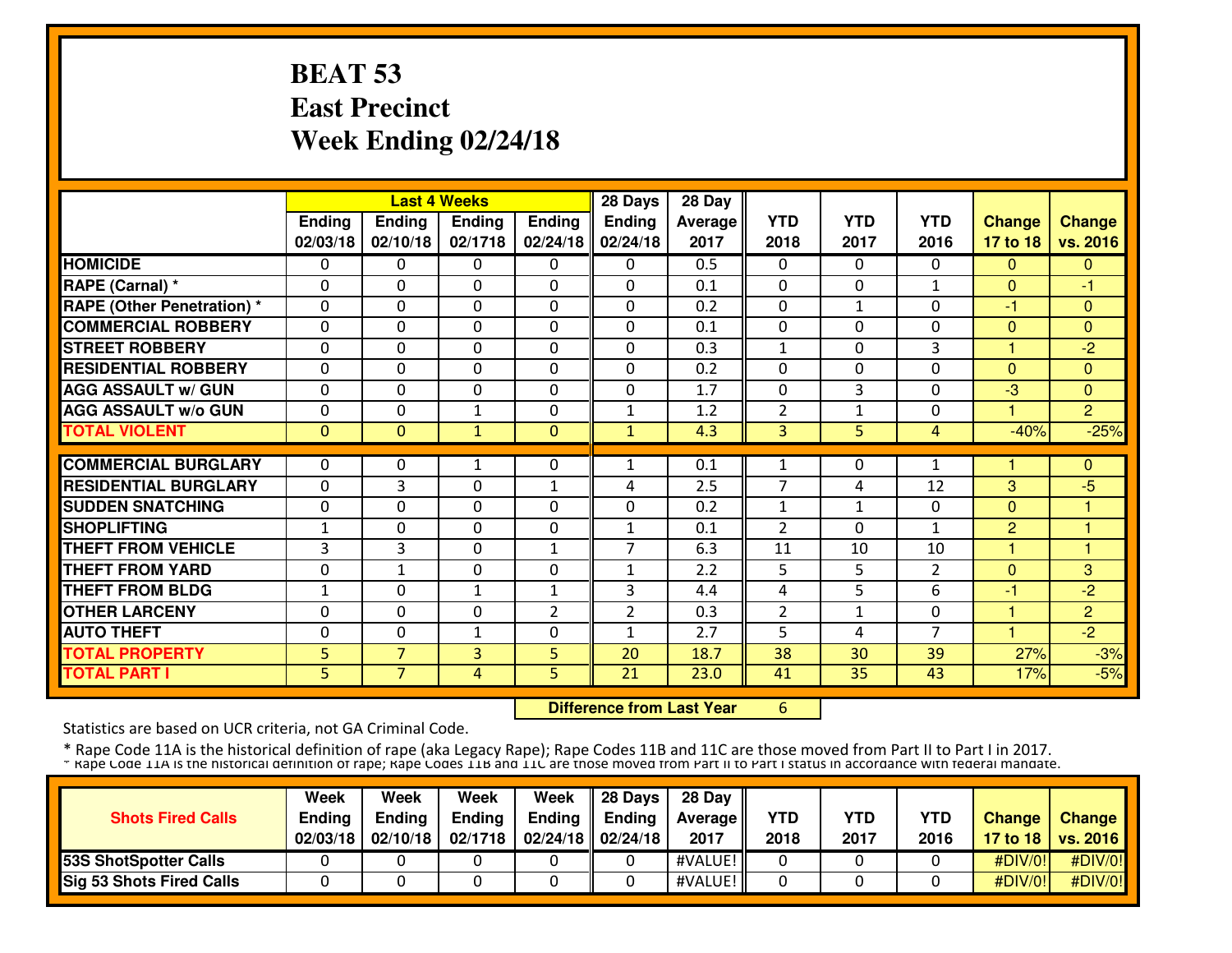#### **BEAT 53 East PrecinctWeek Ending 02/24/18**

|                                   |          | <b>Last 4 Weeks</b> |              |                | 28 Days        | 28 Day  |                |              |                |               |                 |
|-----------------------------------|----------|---------------------|--------------|----------------|----------------|---------|----------------|--------------|----------------|---------------|-----------------|
|                                   | Ending   | Ending              | Ending       | <b>Ending</b>  | <b>Ending</b>  | Average | <b>YTD</b>     | <b>YTD</b>   | <b>YTD</b>     | <b>Change</b> | <b>Change</b>   |
|                                   | 02/03/18 | 02/10/18            | 02/1718      | 02/24/18       | 02/24/18       | 2017    | 2018           | 2017         | 2016           | 17 to 18      | vs. 2016        |
| <b>HOMICIDE</b>                   | 0        | $\Omega$            | 0            | 0              | $\Omega$       | 0.5     | 0              | 0            | $\Omega$       | $\mathbf{0}$  | $\mathbf{0}$    |
| RAPE (Carnal) *                   | 0        | 0                   | 0            | 0              | $\Omega$       | 0.1     | $\mathbf{0}$   | $\Omega$     | 1              | $\Omega$      | -1              |
| <b>RAPE (Other Penetration) *</b> | $\Omega$ | 0                   | 0            | 0              | $\Omega$       | 0.2     | 0              | $\mathbf{1}$ | $\Omega$       | -1            | $\Omega$        |
| <b>COMMERCIAL ROBBERY</b>         | $\Omega$ | 0                   | 0            | 0              | 0              | 0.1     | $\mathbf{0}$   | 0            | 0              | $\mathbf{0}$  | $\Omega$        |
| <b>STREET ROBBERY</b>             | 0        | 0                   | 0            | 0              | $\Omega$       | 0.3     | $\mathbf{1}$   | $\Omega$     | 3              |               | $-2$            |
| <b>RESIDENTIAL ROBBERY</b>        | $\Omega$ | $\Omega$            | $\Omega$     | $\Omega$       | $\Omega$       | 0.2     | $\Omega$       | $\Omega$     | $\Omega$       | $\Omega$      | $\Omega$        |
| <b>AGG ASSAULT w/ GUN</b>         | $\Omega$ | 0                   | $\Omega$     | 0              | $\Omega$       | 1.7     | $\Omega$       | 3            | $\Omega$       | -3            | $\Omega$        |
| <b>AGG ASSAULT w/o GUN</b>        | $\Omega$ | 0                   | 1            | $\Omega$       | $\mathbf{1}$   | 1.2     | $\overline{2}$ | $\mathbf{1}$ | $\Omega$       |               | $\overline{2}$  |
| <b>TOTAL VIOLENT</b>              | $\Omega$ | $\Omega$            | $\mathbf{1}$ | $\mathbf{0}$   | $\mathbf{1}$   | 4.3     | 3              | 5            | 4              | $-40%$        | $-25%$          |
|                                   |          |                     |              |                |                |         |                |              |                |               |                 |
| <b>COMMERCIAL BURGLARY</b>        | 0        | 0                   | 1            | 0              | $\mathbf{1}$   | 0.1     | 1              | 0            | $\mathbf{1}$   |               | $\mathbf{0}$    |
| <b>RESIDENTIAL BURGLARY</b>       | $\Omega$ | 3                   | 0            | $\mathbf{1}$   | 4              | 2.5     | 7              | 4            | 12             | 3             | $-5$            |
| <b>SUDDEN SNATCHING</b>           | 0        | 0                   | $\Omega$     | $\Omega$       | $\Omega$       | 0.2     | $\mathbf{1}$   | $\mathbf{1}$ | 0              | $\Omega$      |                 |
| <b>SHOPLIFTING</b>                | 1        | 0                   | 0            | 0              | $\mathbf{1}$   | 0.1     | $\overline{2}$ | $\Omega$     | 1              | 2             | н               |
| <b>THEFT FROM VEHICLE</b>         | 3        | 3                   | 0            | $\mathbf{1}$   | $\overline{7}$ | 6.3     | 11             | 10           | 10             | 1             | 1               |
| <b>THEFT FROM YARD</b>            | $\Omega$ | $\mathbf{1}$        | 0            | 0              | $\mathbf{1}$   | 2.2     | 5              | 5            | $\overline{2}$ | $\mathbf{0}$  | 3               |
| <b>THEFT FROM BLDG</b>            | 1        | 0                   | $\mathbf{1}$ | $\mathbf{1}$   | 3              | 4.4     | 4              | 5            | 6              | -1            | $-2$            |
| <b>OTHER LARCENY</b>              | 0        | 0                   | 0            | $\overline{2}$ | $\overline{2}$ | 0.3     | 2              | 1            | 0              | 1             | $\overline{2}$  |
| <b>AUTO THEFT</b>                 | 0        | 0                   | $\mathbf{1}$ | 0              | $\mathbf{1}$   | 2.7     | 5              | 4            | $\overline{7}$ | 4             | $\overline{-2}$ |
| <b>TOTAL PROPERTY</b>             | 5        | $\overline{7}$      | 3            | 5              | 20             | 18.7    | 38             | 30           | 39             | 27%           | $-3%$           |
| <b>TOTAL PART I</b>               | 5        | $\overline{7}$      | 4            | 5              | 21             | 23.0    | 41             | 35           | 43             | 17%           | $-5%$           |

 **Difference from Last Year**<sup>6</sup>

Statistics are based on UCR criteria, not GA Criminal Code.

|                                 | Week          | Week          | Week    | Week                                      | <b>28 Days</b> | 28 Day         |      |      |            |               |                     |
|---------------------------------|---------------|---------------|---------|-------------------------------------------|----------------|----------------|------|------|------------|---------------|---------------------|
| <b>Shots Fired Calls</b>        | <b>Ending</b> | <b>Ending</b> | Ending  | Ending                                    | <b>Ending</b>  | <b>Average</b> | YTD  | YTD  | <b>YTD</b> | <b>Change</b> | <b>Change</b>       |
|                                 | 02/03/18      | 02/10/18      | 02/1718 | $\parallel$ 02/24/18 $\parallel$ 02/24/18 |                | 2017           | 2018 | 2017 | 2016       |               | 17 to 18   vs. 2016 |
| <b>153S ShotSpotter Calls</b>   |               |               |         |                                           |                | #VALUE!        |      |      |            | #DIV/0!       | #DIV/0!             |
| <b>Sig 53 Shots Fired Calls</b> |               |               |         |                                           |                | #VALUE!        |      |      |            | #DIV/0!       | #DIV/0!             |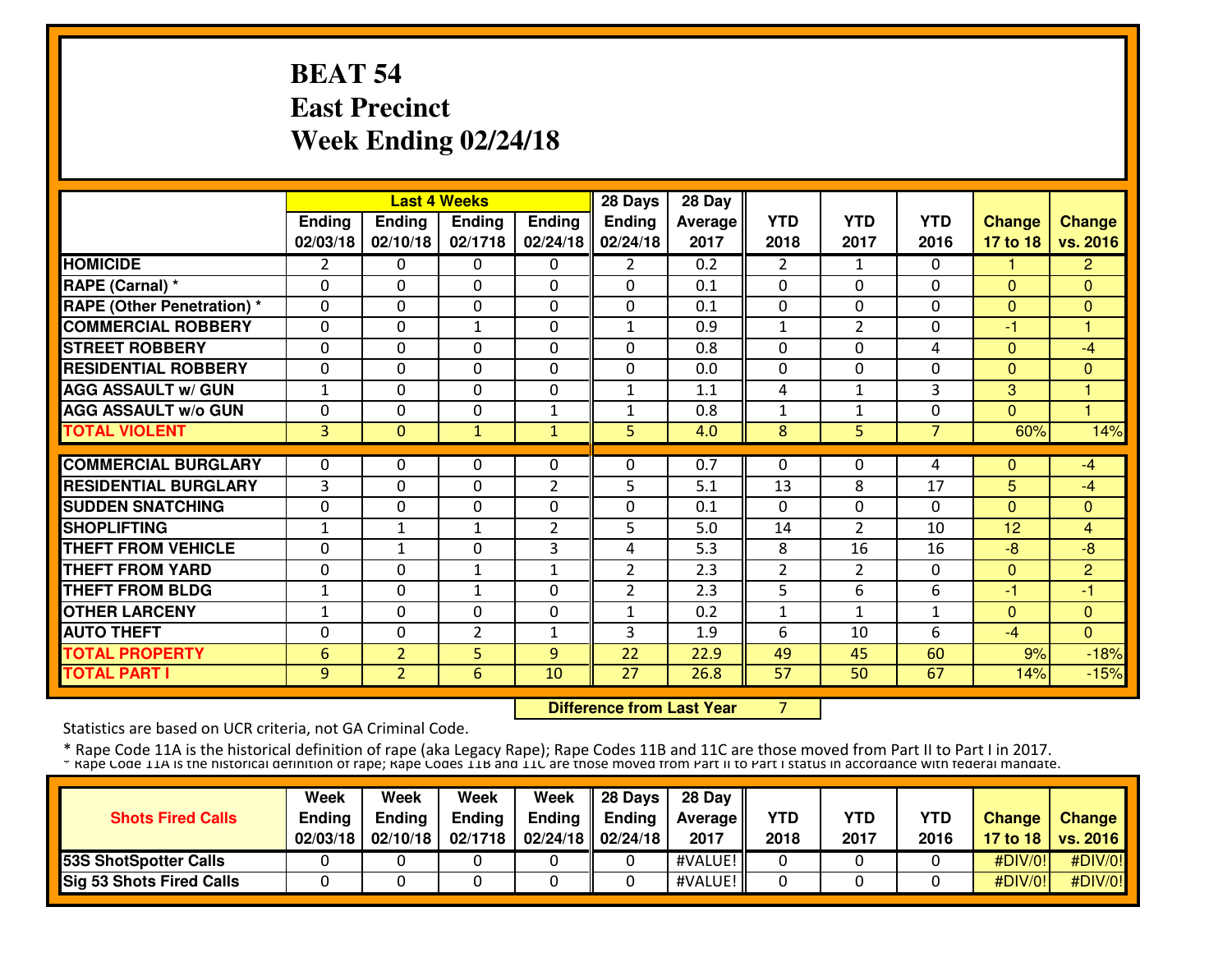#### **BEAT 54 East PrecinctWeek Ending 02/24/18**

|                                   |              | <b>Last 4 Weeks</b> |                |                | 28 Days               | 28 Day  |                |                |                |               |                |
|-----------------------------------|--------------|---------------------|----------------|----------------|-----------------------|---------|----------------|----------------|----------------|---------------|----------------|
|                                   | Ending       | <b>Ending</b>       | Ending         | <b>Ending</b>  | <b>Ending</b>         | Average | <b>YTD</b>     | <b>YTD</b>     | <b>YTD</b>     | <b>Change</b> | <b>Change</b>  |
|                                   | 02/03/18     | 02/10/18            | 02/1718        | 02/24/18       | 02/24/18              | 2017    | 2018           | 2017           | 2016           | 17 to 18      | vs. 2016       |
| <b>HOMICIDE</b>                   | 2            | $\mathbf{0}$        | 0              | 0              | $\mathbf{2}^{\prime}$ | 0.2     | $\overline{2}$ | $\mathbf{1}$   | 0              |               | $\overline{2}$ |
| RAPE (Carnal) *                   | $\Omega$     | 0                   | 0              | 0              | $\Omega$              | 0.1     | $\mathbf{0}$   | 0              | 0              | $\mathbf{0}$  | $\mathbf{0}$   |
| <b>RAPE (Other Penetration)</b> * | 0            | 0                   | 0              | 0              | $\mathbf{0}$          | 0.1     | $\mathbf{0}$   | 0              | 0              | $\Omega$      | $\Omega$       |
| <b>COMMERCIAL ROBBERY</b>         | 0            | 0                   | 1              | 0              | 1                     | 0.9     | $\mathbf{1}$   | $\overline{2}$ | 0              | -1            |                |
| <b>STREET ROBBERY</b>             | $\Omega$     | $\Omega$            | 0              | 0              | $\Omega$              | 0.8     | $\Omega$       | $\Omega$       | 4              | $\Omega$      | $-4$           |
| <b>RESIDENTIAL ROBBERY</b>        | $\Omega$     | 0                   | $\Omega$       | $\Omega$       | $\Omega$              | 0.0     | $\Omega$       | 0              | $\Omega$       | $\Omega$      | $\Omega$       |
| <b>AGG ASSAULT w/ GUN</b>         | $\mathbf{1}$ | 0                   | 0              | 0              | 1                     | 1.1     | 4              | $\mathbf{1}$   | 3              | 3             |                |
| <b>AGG ASSAULT w/o GUN</b>        | 0            | 0                   | 0              | $\mathbf{1}$   | 1                     | 0.8     | $\mathbf{1}$   | 1              | $\Omega$       | $\Omega$      | и              |
| <b>TOTAL VIOLENT</b>              | 3            | $\Omega$            | $\mathbf{1}$   | $\mathbf{1}$   | 5                     | 4.0     | 8              | 5              | $\overline{7}$ | 60%           | 14%            |
|                                   |              |                     |                |                |                       |         |                |                |                |               |                |
| <b>COMMERCIAL BURGLARY</b>        | 0            | 0                   | 0              | 0              | $\Omega$              | 0.7     | 0              | 0              | 4              | $\mathbf{0}$  | $-4$           |
| <b>RESIDENTIAL BURGLARY</b>       | 3            | 0                   | 0              | $\overline{2}$ | 5                     | 5.1     | 13             | 8              | 17             | 5             | $-4$           |
| <b>SUDDEN SNATCHING</b>           | 0            | 0                   | 0              | 0              | $\Omega$              | 0.1     | $\mathbf{0}$   | $\Omega$       | $\Omega$       | $\Omega$      | $\Omega$       |
| <b>SHOPLIFTING</b>                | $\mathbf{1}$ | $\mathbf{1}$        | $\mathbf{1}$   | $\overline{2}$ | 5                     | 5.0     | 14             | $\mathcal{P}$  | 10             | 12            | $\overline{4}$ |
| <b>THEFT FROM VEHICLE</b>         | 0            | $\mathbf{1}$        | 0              | 3              | 4                     | 5.3     | 8              | 16             | 16             | $-8$          | $-8$           |
| <b>THEFT FROM YARD</b>            | 0            | 0                   | 1              | $\mathbf{1}$   | $\overline{2}$        | 2.3     | $\overline{2}$ | $\overline{2}$ | 0              | $\mathbf{0}$  | $\overline{2}$ |
| <b>THEFT FROM BLDG</b>            | $\mathbf{1}$ | 0                   | $\mathbf{1}$   | 0              | $\overline{2}$        | 2.3     | 5              | 6              | 6              | -1            | -1             |
| <b>OTHER LARCENY</b>              | $\mathbf{1}$ | 0                   | 0              | 0              | $\mathbf{1}$          | 0.2     | $\mathbf{1}$   | 1              | $\mathbf{1}$   | $\mathbf{0}$  | $\Omega$       |
| <b>AUTO THEFT</b>                 | $\mathbf 0$  | 0                   | $\overline{2}$ | $\mathbf{1}$   | 3                     | 1.9     | 6              | 10             | 6              | $-4$          | $\overline{0}$ |
| <b>TOTAL PROPERTY</b>             | 6            | $\overline{2}$      | 5              | 9              | 22                    | 22.9    | 49             | 45             | 60             | 9%            | $-18%$         |
| <b>TOTAL PART I</b>               | 9            | $\overline{2}$      | 6              | 10             | 27                    | 26.8    | 57             | 50             | 67             | 14%           | $-15%$         |

 **Difference from Last Year**

<sup>7</sup>

Statistics are based on UCR criteria, not GA Criminal Code.

|                                 | Week     | Week          | Week          | Week                                      | $\parallel$ 28 Days | 28 Dav            |      |      |            |               |                     |
|---------------------------------|----------|---------------|---------------|-------------------------------------------|---------------------|-------------------|------|------|------------|---------------|---------------------|
| <b>Shots Fired Calls</b>        | Ending   | <b>Ending</b> | <b>Ending</b> | Ending                                    | Ending              | <b>Average II</b> | YTD  | YTD  | <b>YTD</b> | <b>Change</b> | <b>Change</b>       |
|                                 | 02/03/18 | 02/10/18      | 02/1718       | $\parallel$ 02/24/18 $\parallel$ 02/24/18 |                     | 2017              | 2018 | 2017 | 2016       |               | 17 to 18   vs. 2016 |
| <b>53S ShotSpotter Calls</b>    |          |               |               |                                           |                     | #VALUE!           |      |      |            | #DIV/0!       | $\#$ DIV/0!         |
| <b>Sig 53 Shots Fired Calls</b> |          |               |               |                                           |                     | #VALUE!           |      |      |            | #DIV/0!       | #DIV/0!             |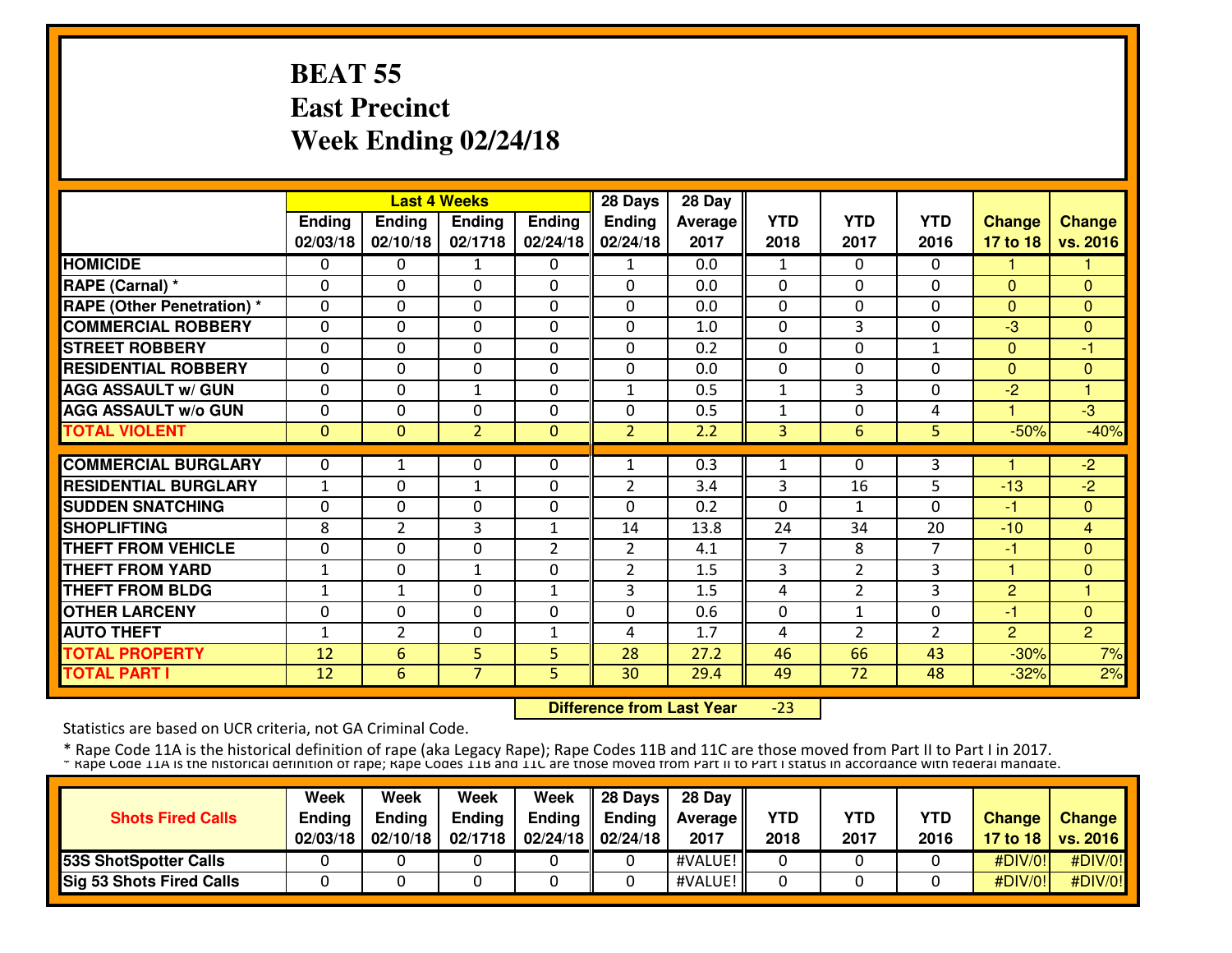#### **BEAT 55 East PrecinctWeek Ending 02/24/18**

|                                  |              | <b>Last 4 Weeks</b> |                |                | 28 Days        | $\overline{28}$ Day |              |                |                |                |                |
|----------------------------------|--------------|---------------------|----------------|----------------|----------------|---------------------|--------------|----------------|----------------|----------------|----------------|
|                                  | Ending       | <b>Ending</b>       | Ending         | <b>Ending</b>  | Ending         | Average             | <b>YTD</b>   | <b>YTD</b>     | <b>YTD</b>     | <b>Change</b>  | <b>Change</b>  |
|                                  | 02/03/18     | 02/10/18            | 02/1718        | 02/24/18       | 02/24/18       | 2017                | 2018         | 2017           | 2016           | 17 to 18       | vs. 2016       |
| <b>HOMICIDE</b>                  | 0            | $\Omega$            | 1              | 0              | 1              | 0.0                 | $\mathbf{1}$ | 0              | $\Omega$       |                |                |
| RAPE (Carnal) *                  | $\Omega$     | 0                   | 0              | $\Omega$       | $\Omega$       | 0.0                 | $\mathbf{0}$ | 0              | $\Omega$       | $\Omega$       | $\Omega$       |
| <b>RAPE (Other Penetration)*</b> | $\Omega$     | 0                   | 0              | 0              | 0              | 0.0                 | $\mathbf{0}$ | $\Omega$       | 0              | $\Omega$       | $\Omega$       |
| <b>COMMERCIAL ROBBERY</b>        | $\Omega$     | 0                   | 0              | 0              | 0              | 1.0                 | $\mathbf{0}$ | 3              | 0              | -3             | $\Omega$       |
| <b>STREET ROBBERY</b>            | 0            | 0                   | 0              | 0              | $\Omega$       | 0.2                 | $\mathbf{0}$ | 0              | 1              | $\Omega$       | -1             |
| <b>RESIDENTIAL ROBBERY</b>       | $\Omega$     | 0                   | 0              | 0              | $\Omega$       | 0.0                 | $\Omega$     | $\Omega$       | $\Omega$       | $\Omega$       | $\Omega$       |
| <b>AGG ASSAULT w/ GUN</b>        | 0            | 0                   | $\mathbf{1}$   | 0              | $\mathbf{1}$   | 0.5                 | $\mathbf{1}$ | 3              | 0              | $-2$           | H              |
| <b>AGG ASSAULT w/o GUN</b>       | 0            | 0                   | 0              | 0              | $\Omega$       | 0.5                 | $\mathbf{1}$ | $\Omega$       | 4              |                | -3             |
| <b>TOTAL VIOLENT</b>             | $\mathbf{0}$ | 0                   | $\overline{2}$ | $\mathbf 0$    | $\overline{2}$ | 2.2                 | 3            | 6              | 5.             | $-50%$         | $-40%$         |
|                                  |              |                     |                |                |                |                     |              |                |                |                |                |
| <b>COMMERCIAL BURGLARY</b>       | 0            | 1                   | 0              | 0              | 1              | 0.3                 | 1            | 0              | 3              |                | $-2$           |
| <b>RESIDENTIAL BURGLARY</b>      | $\mathbf{1}$ | 0                   | $\mathbf{1}$   | 0              | $\overline{2}$ | 3.4                 | 3            | 16             | 5              | $-13$          | $-2$           |
| <b>ISUDDEN SNATCHING</b>         | $\Omega$     | 0                   | 0              | 0              | $\Omega$       | 0.2                 | $\Omega$     | 1              | $\Omega$       | -1             | $\Omega$       |
| <b>SHOPLIFTING</b>               | 8            | $\overline{2}$      | 3              | $\mathbf{1}$   | 14             | 13.8                | 24           | 34             | 20             | $-10$          | 4              |
| <b>THEFT FROM VEHICLE</b>        | 0            | 0                   | $\Omega$       | $\overline{2}$ | $\overline{2}$ | 4.1                 | 7            | 8              | 7              | -1             | $\Omega$       |
| <b>THEFT FROM YARD</b>           | 1            | 0                   | $\mathbf{1}$   | 0              | $\overline{2}$ | 1.5                 | 3            | $\mathfrak{p}$ | 3              | 1              | $\mathbf{0}$   |
| <b>THEFT FROM BLDG</b>           | $\mathbf{1}$ | $\mathbf{1}$        | 0              | $\mathbf{1}$   | 3              | 1.5                 | 4            | $\overline{2}$ | 3              | $\overline{2}$ | H              |
| <b>OTHER LARCENY</b>             | 0            | 0                   | 0              | 0              | $\Omega$       | 0.6                 | $\mathbf{0}$ | $\mathbf{1}$   | 0              | -1             | $\Omega$       |
| <b>AUTO THEFT</b>                | $\mathbf{1}$ | $\overline{2}$      | 0              | $\mathbf{1}$   | 4              | 1.7                 | 4            | $\overline{2}$ | $\overline{2}$ | $\overline{2}$ | $\overline{2}$ |
| <b>TOTAL PROPERTY</b>            | 12           | 6                   | 5              | 5              | 28             | 27.2                | 46           | 66             | 43             | $-30%$         | 7%             |
| <b>TOTAL PART I</b>              | 12           | 6                   | $\overline{7}$ | 5              | 30             | 29.4                | 49           | 72             | 48             | $-32%$         | 2%             |

 **Difference from Last Year**-23

Statistics are based on UCR criteria, not GA Criminal Code.

|                                 | Week     | Week          | Week          | Week          | 28 Days             | 28 Day           |      |      |            |               |                     |
|---------------------------------|----------|---------------|---------------|---------------|---------------------|------------------|------|------|------------|---------------|---------------------|
| <b>Shots Fired Calls</b>        | Endina   | <b>Endina</b> | <b>Ending</b> | <b>Ending</b> | <b>Ending</b>       | <b>Average</b> I | YTD  | YTD  | <b>YTD</b> | <b>Change</b> | <b>Change</b>       |
|                                 | 02/03/18 | 02/10/18      | 02/1718       |               | $02/24/18$ 02/24/18 | 2017             | 2018 | 2017 | 2016       |               | 17 to 18   vs. 2016 |
| <b>153S ShotSpotter Calls</b>   |          |               |               |               |                     | #VALUE!          |      |      |            | #DIV/0!       | #DIV/0!             |
| <b>Sig 53 Shots Fired Calls</b> |          |               |               |               |                     | #VALUE!          |      |      |            | #DIV/0!       | #DIV/0!             |